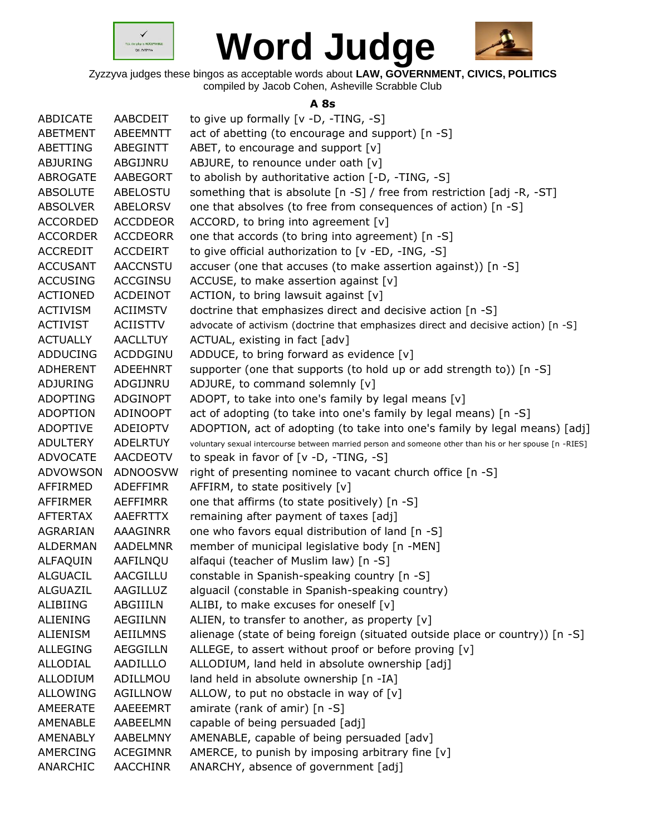



Zyzzyva judges these bingos as acceptable words about **LAW, GOVERNMENT, CIVICS, POLITICS** compiled by Jacob Cohen, Asheville Scrabble Club

## **A 8s**

| ABDICATE        | AABCDEIT        | to give up formally [v -D, -TING, -S]                                                                  |
|-----------------|-----------------|--------------------------------------------------------------------------------------------------------|
| <b>ABETMENT</b> | ABEEMNTT        | act of abetting (to encourage and support) [n -S]                                                      |
| ABETTING        | ABEGINTT        | ABET, to encourage and support [v]                                                                     |
| <b>ABJURING</b> | ABGIJNRU        | ABJURE, to renounce under oath [v]                                                                     |
| ABROGATE        | AABEGORT        | to abolish by authoritative action [-D, -TING, -S]                                                     |
| <b>ABSOLUTE</b> | ABELOSTU        | something that is absolute [n -S] / free from restriction [adj -R, -ST]                                |
| <b>ABSOLVER</b> | ABELORSV        | one that absolves (to free from consequences of action) [n -S]                                         |
| <b>ACCORDED</b> | <b>ACCDDEOR</b> | ACCORD, to bring into agreement $[v]$                                                                  |
| <b>ACCORDER</b> | <b>ACCDEORR</b> | one that accords (to bring into agreement) [n -S]                                                      |
| <b>ACCREDIT</b> | ACCDEIRT        | to give official authorization to [v -ED, -ING, -S]                                                    |
| <b>ACCUSANT</b> | <b>AACCNSTU</b> | accuser (one that accuses (to make assertion against)) [n -S]                                          |
| <b>ACCUSING</b> | <b>ACCGINSU</b> | ACCUSE, to make assertion against $[v]$                                                                |
| <b>ACTIONED</b> | ACDEINOT        | ACTION, to bring lawsuit against [v]                                                                   |
| <b>ACTIVISM</b> | <b>ACIIMSTV</b> | doctrine that emphasizes direct and decisive action [n -S]                                             |
| <b>ACTIVIST</b> | <b>ACIISTTV</b> | advocate of activism (doctrine that emphasizes direct and decisive action) [n -S]                      |
| <b>ACTUALLY</b> | <b>AACLLTUY</b> | ACTUAL, existing in fact [adv]                                                                         |
| <b>ADDUCING</b> | ACDDGINU        | ADDUCE, to bring forward as evidence [v]                                                               |
| <b>ADHERENT</b> | ADEEHNRT        | supporter (one that supports (to hold up or add strength to)) [n -S]                                   |
| ADJURING        | ADGIJNRU        | ADJURE, to command solemnly [v]                                                                        |
| <b>ADOPTING</b> | ADGINOPT        | ADOPT, to take into one's family by legal means [v]                                                    |
| <b>ADOPTION</b> | ADINOOPT        | act of adopting (to take into one's family by legal means) [n -S]                                      |
| <b>ADOPTIVE</b> | ADEIOPTV        | ADOPTION, act of adopting (to take into one's family by legal means) [adj]                             |
| <b>ADULTERY</b> | <b>ADELRTUY</b> | voluntary sexual intercourse between married person and someone other than his or her spouse [n -RIES] |
| <b>ADVOCATE</b> | AACDEOTV        | to speak in favor of [v -D, -TING, -S]                                                                 |
| ADVOWSON        | ADNOOSVW        | right of presenting nominee to vacant church office [n -S]                                             |
| AFFIRMED        | <b>ADEFFIMR</b> | AFFIRM, to state positively [v]                                                                        |
| AFFIRMER        | AEFFIMRR        | one that affirms (to state positively) [n -S]                                                          |
| <b>AFTERTAX</b> | AAEFRTTX        | remaining after payment of taxes [adj]                                                                 |
| AGRARIAN        | AAAGINRR        | one who favors equal distribution of land [n -S]                                                       |
| <b>ALDERMAN</b> | AADELMNR        | member of municipal legislative body [n -MEN]                                                          |
| ALFAQUIN        | AAFILNQU        | alfaqui (teacher of Muslim law) [n -S]                                                                 |
| <b>ALGUACIL</b> | AACGILLU        | constable in Spanish-speaking country [n -S]                                                           |
| <b>ALGUAZIL</b> | AAGILLUZ        | alguacil (constable in Spanish-speaking country)                                                       |
| <b>ALIBIING</b> | ABGIIILN        | ALIBI, to make excuses for oneself $[v]$                                                               |
| <b>ALIENING</b> | <b>AEGIILNN</b> | ALIEN, to transfer to another, as property [v]                                                         |
| <b>ALIENISM</b> | <b>AEIILMNS</b> | alienage (state of being foreign (situated outside place or country)) [n -S]                           |
| <b>ALLEGING</b> | <b>AEGGILLN</b> | ALLEGE, to assert without proof or before proving [v]                                                  |
| ALLODIAL        | AADILLLO        | ALLODIUM, land held in absolute ownership [adj]                                                        |
| <b>ALLODIUM</b> | ADILLMOU        | land held in absolute ownership [n -IA]                                                                |
| <b>ALLOWING</b> | <b>AGILLNOW</b> | ALLOW, to put no obstacle in way of $[v]$                                                              |
| AMEERATE        | AAEEEMRT        | amirate (rank of amir) [n -S]                                                                          |
| AMENABLE        | AABEELMN        | capable of being persuaded [adj]                                                                       |
| AMENABLY        | AABELMNY        | AMENABLE, capable of being persuaded [adv]                                                             |
| AMERCING        | <b>ACEGIMNR</b> | AMERCE, to punish by imposing arbitrary fine [v]                                                       |
| ANARCHIC        | AACCHINR        | ANARCHY, absence of government [adj]                                                                   |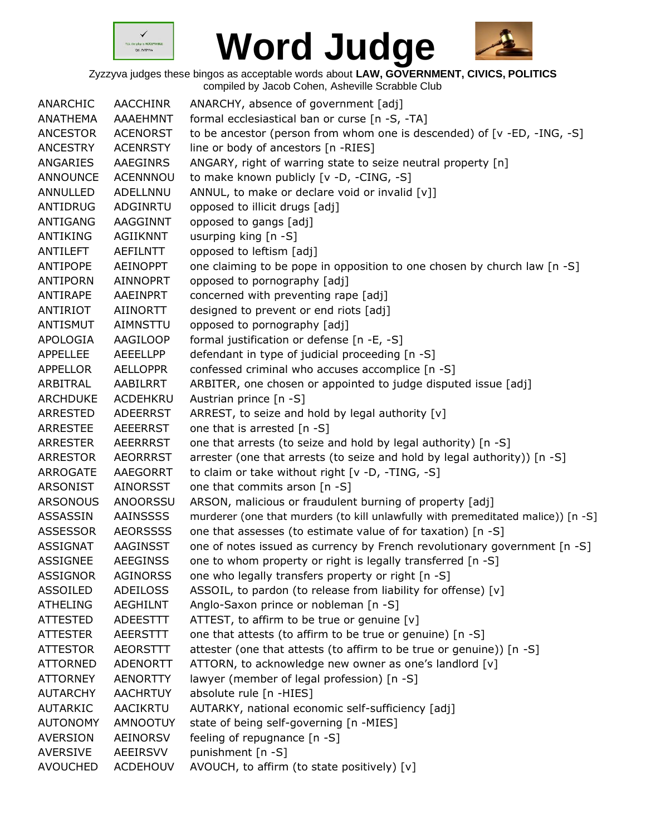



| ANARCHIC        | AACCHINR        | ANARCHY, absence of government [adj]                                             |
|-----------------|-----------------|----------------------------------------------------------------------------------|
| ANATHEMA        | <b>AAAEHMNT</b> | formal ecclesiastical ban or curse [n -S, -TA]                                   |
| <b>ANCESTOR</b> | <b>ACENORST</b> | to be ancestor (person from whom one is descended) of [v -ED, -ING, -S]          |
| <b>ANCESTRY</b> | <b>ACENRSTY</b> | line or body of ancestors [n -RIES]                                              |
| ANGARIES        | AAEGINRS        | ANGARY, right of warring state to seize neutral property [n]                     |
| <b>ANNOUNCE</b> | <b>ACENNNOU</b> | to make known publicly [v -D, -CING, -S]                                         |
| ANNULLED        | ADELLNNU        | ANNUL, to make or declare void or invalid [v]]                                   |
| ANTIDRUG        | <b>ADGINRTU</b> | opposed to illicit drugs [adj]                                                   |
| <b>ANTIGANG</b> | AAGGINNT        | opposed to gangs [adj]                                                           |
| ANTIKING        | <b>AGIIKNNT</b> | usurping king [n -S]                                                             |
| ANTILEFT        | <b>AEFILNTT</b> | opposed to leftism [adj]                                                         |
| ANTIPOPE        | <b>AEINOPPT</b> | one claiming to be pope in opposition to one chosen by church law [n -S]         |
| ANTIPORN        | <b>AINNOPRT</b> | opposed to pornography [adj]                                                     |
| ANTIRAPE        | AAEINPRT        | concerned with preventing rape [adj]                                             |
| ANTIRIOT        | <b>AIINORTT</b> | designed to prevent or end riots [adj]                                           |
| <b>ANTISMUT</b> | AIMNSTTU        | opposed to pornography [adj]                                                     |
| APOLOGIA        | AAGILOOP        | formal justification or defense [n -E, -S]                                       |
| <b>APPELLEE</b> | AEEELLPP        | defendant in type of judicial proceeding [n -S]                                  |
| <b>APPELLOR</b> | <b>AELLOPPR</b> | confessed criminal who accuses accomplice [n -S]                                 |
| ARBITRAL        | AABILRRT        | ARBITER, one chosen or appointed to judge disputed issue [adj]                   |
| <b>ARCHDUKE</b> | <b>ACDEHKRU</b> | Austrian prince [n -S]                                                           |
| ARRESTED        | <b>ADEERRST</b> | ARREST, to seize and hold by legal authority [v]                                 |
| <b>ARRESTEE</b> | <b>AEEERRST</b> | one that is arrested [n -S]                                                      |
| <b>ARRESTER</b> | AEERRRST        | one that arrests (to seize and hold by legal authority) [n -S]                   |
| ARRESTOR        | <b>AEORRRST</b> | arrester (one that arrests (to seize and hold by legal authority)) [n -S]        |
| ARROGATE        | AAEGORRT        | to claim or take without right [v -D, -TING, -S]                                 |
| <b>ARSONIST</b> | AINORSST        | one that commits arson [n -S]                                                    |
| <b>ARSONOUS</b> | <b>ANOORSSU</b> | ARSON, malicious or fraudulent burning of property [adj]                         |
| ASSASSIN        | AAINSSSS        | murderer (one that murders (to kill unlawfully with premeditated malice)) [n -S] |
| <b>ASSESSOR</b> | <b>AEORSSSS</b> | one that assesses (to estimate value of for taxation) [n -S]                     |
| <b>ASSIGNAT</b> | AAGINSST        | one of notes issued as currency by French revolutionary government [n -S]        |
| ASSIGNEE        | <b>AEEGINSS</b> | one to whom property or right is legally transferred [n -S]                      |
| <b>ASSIGNOR</b> | <b>AGINORSS</b> | one who legally transfers property or right [n -S]                               |
| ASSOILED        | <b>ADEILOSS</b> | ASSOIL, to pardon (to release from liability for offense) [v]                    |
| <b>ATHELING</b> | <b>AEGHILNT</b> | Anglo-Saxon prince or nobleman [n -S]                                            |
| <b>ATTESTED</b> | <b>ADEESTTT</b> | ATTEST, to affirm to be true or genuine [v]                                      |
| <b>ATTESTER</b> | <b>AEERSTTT</b> | one that attests (to affirm to be true or genuine) [n -S]                        |
| <b>ATTESTOR</b> | <b>AEORSTTT</b> | attester (one that attests (to affirm to be true or genuine)) [n -S]             |
| <b>ATTORNED</b> | ADENORTT        | ATTORN, to acknowledge new owner as one's landlord [v]                           |
| <b>ATTORNEY</b> | <b>AENORTTY</b> | lawyer (member of legal profession) [n -S]                                       |
| <b>AUTARCHY</b> | <b>AACHRTUY</b> | absolute rule [n -HIES]                                                          |
| AUTARKIC        | AACIKRTU        | AUTARKY, national economic self-sufficiency [adj]                                |
| <b>AUTONOMY</b> | <b>AMNOOTUY</b> | state of being self-governing [n -MIES]                                          |
| <b>AVERSION</b> | <b>AEINORSV</b> | feeling of repugnance [n -S]                                                     |
| <b>AVERSIVE</b> | <b>AEEIRSVV</b> | punishment [n -S]                                                                |
| <b>AVOUCHED</b> | <b>ACDEHOUV</b> | AVOUCH, to affirm (to state positively) [v]                                      |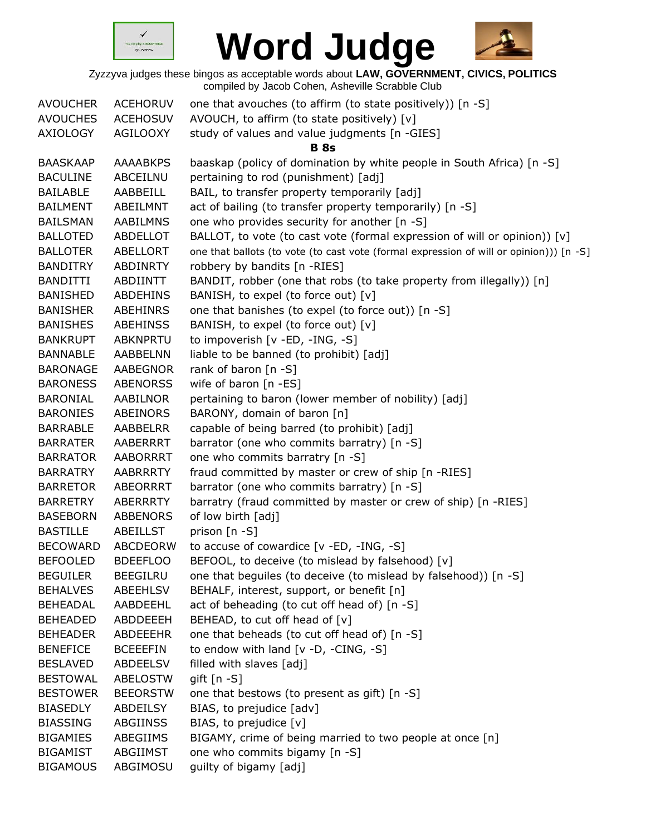



| <b>AVOUCHER</b> | <b>ACEHORUV</b> | one that avouches (to affirm (to state positively)) [n -S]                              |
|-----------------|-----------------|-----------------------------------------------------------------------------------------|
| <b>AVOUCHES</b> | <b>ACEHOSUV</b> | AVOUCH, to affirm (to state positively) [v]                                             |
| <b>AXIOLOGY</b> | AGILOOXY        | study of values and value judgments [n -GIES]                                           |
|                 |                 | <b>B</b> 8s                                                                             |
| <b>BAASKAAP</b> | <b>AAAABKPS</b> | baaskap (policy of domination by white people in South Africa) [n -S]                   |
| <b>BACULINE</b> | ABCEILNU        | pertaining to rod (punishment) [adj]                                                    |
| <b>BAILABLE</b> | AABBEILL        | BAIL, to transfer property temporarily [adj]                                            |
| <b>BAILMENT</b> | ABEILMNT        | act of bailing (to transfer property temporarily) [n -S]                                |
| <b>BAILSMAN</b> | <b>AABILMNS</b> | one who provides security for another [n -S]                                            |
| <b>BALLOTED</b> | ABDELLOT        | BALLOT, to vote (to cast vote (formal expression of will or opinion)) [v]               |
| <b>BALLOTER</b> | ABELLORT        | one that ballots (to vote (to cast vote (formal expression of will or opinion))) [n -S] |
| <b>BANDITRY</b> | ABDINRTY        | robbery by bandits [n -RIES]                                                            |
| <b>BANDITTI</b> | ABDIINTT        | BANDIT, robber (one that robs (to take property from illegally)) [n]                    |
| <b>BANISHED</b> | ABDEHINS        | BANISH, to expel (to force out) [v]                                                     |
| <b>BANISHER</b> | ABEHINRS        | one that banishes (to expel (to force out)) [n -S]                                      |
| <b>BANISHES</b> | <b>ABEHINSS</b> | BANISH, to expel (to force out) [v]                                                     |
| <b>BANKRUPT</b> | ABKNPRTU        | to impoverish [v -ED, -ING, -S]                                                         |
| <b>BANNABLE</b> | AABBELNN        | liable to be banned (to prohibit) [adj]                                                 |
| <b>BARONAGE</b> | <b>AABEGNOR</b> | rank of baron $[n -S]$                                                                  |
| <b>BARONESS</b> | <b>ABENORSS</b> | wife of baron [n -ES]                                                                   |
| BARONIAL        | AABILNOR        | pertaining to baron (lower member of nobility) [adj]                                    |
| <b>BARONIES</b> | ABEINORS        | BARONY, domain of baron [n]                                                             |
| <b>BARRABLE</b> | AABBELRR        | capable of being barred (to prohibit) [adj]                                             |
| <b>BARRATER</b> | AABERRRT        | barrator (one who commits barratry) [n -S]                                              |
| <b>BARRATOR</b> | <b>AABORRRT</b> | one who commits barratry [n -S]                                                         |
| <b>BARRATRY</b> | AABRRRTY        | fraud committed by master or crew of ship [n -RIES]                                     |
| <b>BARRETOR</b> | <b>ABEORRRT</b> | barrator (one who commits barratry) [n -S]                                              |
| <b>BARRETRY</b> | ABERRRTY        | barratry (fraud committed by master or crew of ship) [n -RIES]                          |
| <b>BASEBORN</b> | <b>ABBENORS</b> | of low birth [adj]                                                                      |
| <b>BASTILLE</b> | <b>ABEILLST</b> | prison [n -S]                                                                           |
| <b>BECOWARD</b> | ABCDEORW        | to accuse of cowardice [v -ED, -ING, -S]                                                |
| <b>BEFOOLED</b> | <b>BDEEFLOO</b> | BEFOOL, to deceive (to mislead by falsehood) [v]                                        |
| <b>BEGUILER</b> | <b>BEEGILRU</b> | one that beguiles (to deceive (to mislead by falsehood)) [n -S]                         |
| <b>BEHALVES</b> | ABEEHLSV        | BEHALF, interest, support, or benefit [n]                                               |
| <b>BEHEADAL</b> | AABDEEHL        | act of beheading (to cut off head of) [n -S]                                            |
| <b>BEHEADED</b> | ABDDEEEH        | BEHEAD, to cut off head of [v]                                                          |
| <b>BEHEADER</b> | ABDEEEHR        | one that beheads (to cut off head of) [n -S]                                            |
| <b>BENEFICE</b> | <b>BCEEEFIN</b> | to endow with land $[v -D, -CING, -S]$                                                  |
| <b>BESLAVED</b> | ABDEELSV        | filled with slaves [adj]                                                                |
| <b>BESTOWAL</b> | <b>ABELOSTW</b> | gift $[n - S]$                                                                          |
| <b>BESTOWER</b> | <b>BEEORSTW</b> | one that bestows (to present as gift) [n -S]                                            |
| <b>BIASEDLY</b> | ABDEILSY        | BIAS, to prejudice [adv]                                                                |
| <b>BIASSING</b> | <b>ABGIINSS</b> | BIAS, to prejudice [v]                                                                  |
| <b>BIGAMIES</b> | ABEGIIMS        | BIGAMY, crime of being married to two people at once [n]                                |
| <b>BIGAMIST</b> | ABGIIMST        | one who commits bigamy [n -S]                                                           |
| <b>BIGAMOUS</b> | ABGIMOSU        | guilty of bigamy [adj]                                                                  |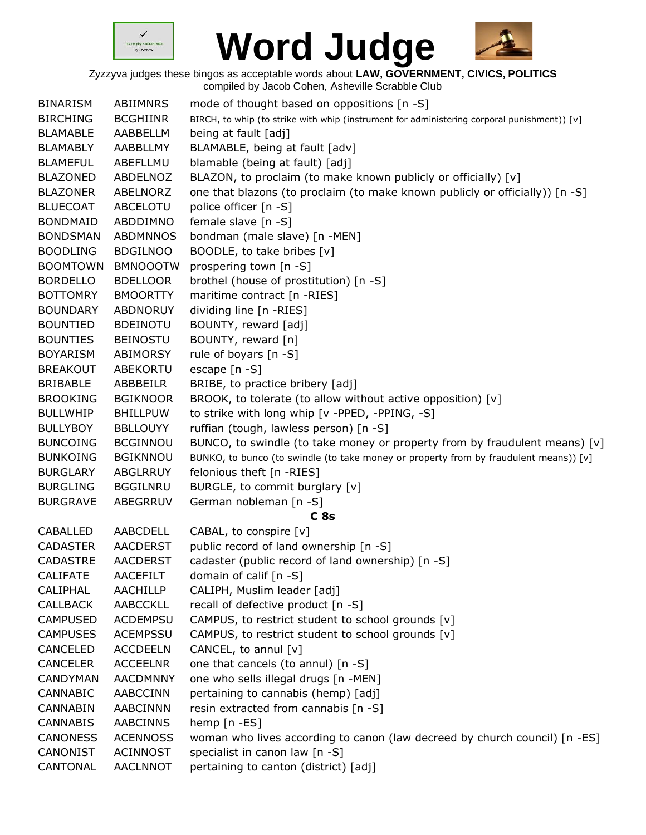



|                 |                 | complica by sacob Concil, Ashcville Octabbie Oldb                                           |
|-----------------|-----------------|---------------------------------------------------------------------------------------------|
| <b>BINARISM</b> | ABIIMNRS        | mode of thought based on oppositions [n -S]                                                 |
| <b>BIRCHING</b> | <b>BCGHIINR</b> | BIRCH, to whip (to strike with whip (instrument for administering corporal punishment)) [v] |
| <b>BLAMABLE</b> | AABBELLM        | being at fault [adj]                                                                        |
| <b>BLAMABLY</b> | AABBLLMY        | BLAMABLE, being at fault [adv]                                                              |
| <b>BLAMEFUL</b> | ABEFLLMU        | blamable (being at fault) [adj]                                                             |
| <b>BLAZONED</b> | ABDELNOZ        | BLAZON, to proclaim (to make known publicly or officially) [v]                              |
| <b>BLAZONER</b> | ABELNORZ        | one that blazons (to proclaim (to make known publicly or officially)) [n -S]                |
| <b>BLUECOAT</b> | ABCELOTU        | police officer [n -S]                                                                       |
| <b>BONDMAID</b> | ABDDIMNO        | female slave [n -S]                                                                         |
| <b>BONDSMAN</b> | <b>ABDMNNOS</b> | bondman (male slave) [n -MEN]                                                               |
| <b>BOODLING</b> | <b>BDGILNOO</b> | BOODLE, to take bribes [v]                                                                  |
| <b>BOOMTOWN</b> | <b>BMNOOOTW</b> | prospering town [n -S]                                                                      |
| <b>BORDELLO</b> | <b>BDELLOOR</b> | brothel (house of prostitution) [n -S]                                                      |
| <b>BOTTOMRY</b> | <b>BMOORTTY</b> | maritime contract [n -RIES]                                                                 |
| <b>BOUNDARY</b> | <b>ABDNORUY</b> | dividing line [n -RIES]                                                                     |
| <b>BOUNTIED</b> | <b>BDEINOTU</b> | BOUNTY, reward [adj]                                                                        |
| <b>BOUNTIES</b> | <b>BEINOSTU</b> | BOUNTY, reward [n]                                                                          |
| <b>BOYARISM</b> | <b>ABIMORSY</b> | rule of boyars [n -S]                                                                       |
| <b>BREAKOUT</b> | <b>ABEKORTU</b> | escape [n -S]                                                                               |
| <b>BRIBABLE</b> | ABBBEILR        | BRIBE, to practice bribery [adj]                                                            |
| <b>BROOKING</b> | <b>BGIKNOOR</b> | BROOK, to tolerate (to allow without active opposition) [v]                                 |
| <b>BULLWHIP</b> | <b>BHILLPUW</b> | to strike with long whip [v -PPED, -PPING, -S]                                              |
| <b>BULLYBOY</b> | <b>BBLLOUYY</b> | ruffian (tough, lawless person) [n -S]                                                      |
| <b>BUNCOING</b> | <b>BCGINNOU</b> | BUNCO, to swindle (to take money or property from by fraudulent means) [v]                  |
| <b>BUNKOING</b> | <b>BGIKNNOU</b> | BUNKO, to bunco (to swindle (to take money or property from by fraudulent means)) [v]       |
| <b>BURGLARY</b> | ABGLRRUY        | felonious theft [n -RIES]                                                                   |
| <b>BURGLING</b> | <b>BGGILNRU</b> | BURGLE, to commit burglary [v]                                                              |
| <b>BURGRAVE</b> | ABEGRRUV        | German nobleman [n -S]                                                                      |
|                 |                 | C8s                                                                                         |
| CABALLED        | AABCDELL        | CABAL, to conspire [v]                                                                      |
| <b>CADASTER</b> | <b>AACDERST</b> | public record of land ownership [n -S]                                                      |
| CADASTRE        | AACDERST        | cadaster (public record of land ownership) [n -S]                                           |
| <b>CALIFATE</b> | AACEFILT        | domain of calif [n -S]                                                                      |
| <b>CALIPHAL</b> | <b>AACHILLP</b> | CALIPH, Muslim leader [adj]                                                                 |
| <b>CALLBACK</b> | <b>AABCCKLL</b> | recall of defective product [n -S]                                                          |
| <b>CAMPUSED</b> | <b>ACDEMPSU</b> | CAMPUS, to restrict student to school grounds [v]                                           |
| <b>CAMPUSES</b> | <b>ACEMPSSU</b> | CAMPUS, to restrict student to school grounds [v]                                           |
| <b>CANCELED</b> | <b>ACCDEELN</b> | CANCEL, to annul [v]                                                                        |
| <b>CANCELER</b> | <b>ACCEELNR</b> | one that cancels (to annul) [n -S]                                                          |
| <b>CANDYMAN</b> | <b>AACDMNNY</b> | one who sells illegal drugs [n -MEN]                                                        |
| <b>CANNABIC</b> | <b>AABCCINN</b> | pertaining to cannabis (hemp) [adj]                                                         |
| <b>CANNABIN</b> | <b>AABCINNN</b> | resin extracted from cannabis [n -S]                                                        |
| <b>CANNABIS</b> | <b>AABCINNS</b> | hemp [n -ES]                                                                                |
| <b>CANONESS</b> | <b>ACENNOSS</b> | woman who lives according to canon (law decreed by church council) [n -ES]                  |
| <b>CANONIST</b> | <b>ACINNOST</b> | specialist in canon law [n -S]                                                              |
| CANTONAL        | <b>AACLNNOT</b> | pertaining to canton (district) [adj]                                                       |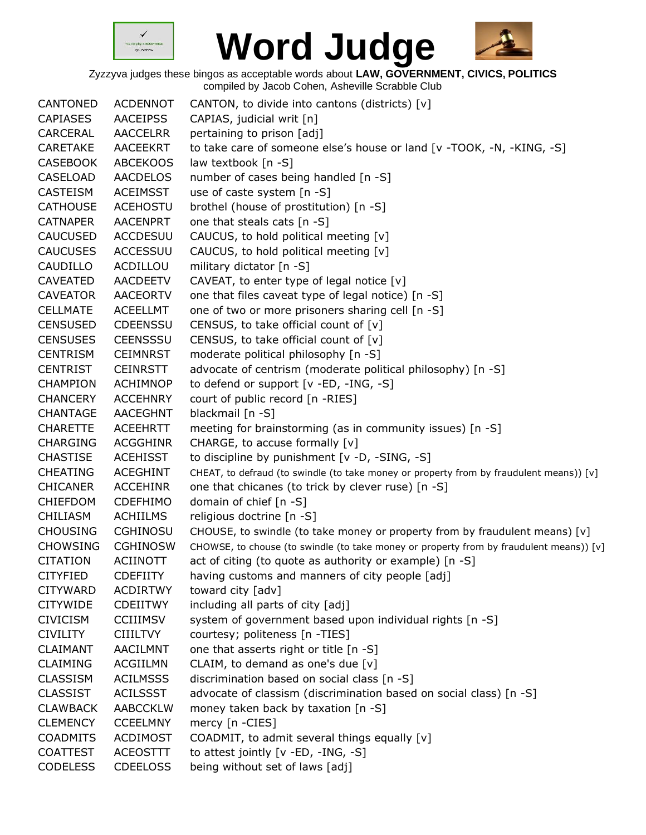



| CANTONED                           | <b>ACDENNOT</b>                    | CANTON, to divide into cantons (districts) [v]                                          |
|------------------------------------|------------------------------------|-----------------------------------------------------------------------------------------|
| <b>CAPIASES</b>                    | <b>AACEIPSS</b>                    | CAPIAS, judicial writ [n]                                                               |
| CARCERAL                           | <b>AACCELRR</b>                    | pertaining to prison [adj]                                                              |
| <b>CARETAKE</b>                    | <b>AACEEKRT</b>                    | to take care of someone else's house or land [v -TOOK, -N, -KING, -S]                   |
| <b>CASEBOOK</b>                    | <b>ABCEKOOS</b>                    | law textbook [n -S]                                                                     |
| <b>CASELOAD</b>                    | <b>AACDELOS</b>                    | number of cases being handled [n -S]                                                    |
| <b>CASTEISM</b>                    | <b>ACEIMSST</b>                    | use of caste system [n -S]                                                              |
| <b>CATHOUSE</b>                    | <b>ACEHOSTU</b>                    | brothel (house of prostitution) [n -S]                                                  |
| <b>CATNAPER</b>                    | <b>AACENPRT</b>                    | one that steals cats [n -S]                                                             |
| <b>CAUCUSED</b>                    | <b>ACCDESUU</b>                    | CAUCUS, to hold political meeting [v]                                                   |
| <b>CAUCUSES</b>                    | <b>ACCESSUU</b>                    | CAUCUS, to hold political meeting [v]                                                   |
| CAUDILLO                           | ACDILLOU                           | military dictator [n -S]                                                                |
| <b>CAVEATED</b>                    | <b>AACDEETV</b>                    | CAVEAT, to enter type of legal notice [v]                                               |
| <b>CAVEATOR</b>                    | <b>AACEORTV</b>                    | one that files caveat type of legal notice) [n -S]                                      |
| <b>CELLMATE</b>                    | <b>ACEELLMT</b>                    | one of two or more prisoners sharing cell [n -S]                                        |
| <b>CENSUSED</b>                    | <b>CDEENSSU</b>                    | CENSUS, to take official count of [v]                                                   |
| <b>CENSUSES</b>                    | <b>CEENSSSU</b>                    | CENSUS, to take official count of [v]                                                   |
| <b>CENTRISM</b>                    | <b>CEIMNRST</b>                    | moderate political philosophy [n -S]                                                    |
| <b>CENTRIST</b>                    | <b>CEINRSTT</b>                    | advocate of centrism (moderate political philosophy) [n -S]                             |
| <b>CHAMPION</b>                    | <b>ACHIMNOP</b>                    | to defend or support [v -ED, -ING, -S]                                                  |
| <b>CHANCERY</b>                    | <b>ACCEHNRY</b>                    | court of public record [n -RIES]                                                        |
| <b>CHANTAGE</b>                    | <b>AACEGHNT</b>                    | blackmail [n -S]                                                                        |
| <b>CHARETTE</b>                    | <b>ACEEHRTT</b>                    | meeting for brainstorming (as in community issues) [n -S]                               |
| <b>CHARGING</b>                    | <b>ACGGHINR</b>                    | CHARGE, to accuse formally [v]                                                          |
| <b>CHASTISE</b>                    | <b>ACEHISST</b>                    | to discipline by punishment [v -D, -SING, -S]                                           |
| <b>CHEATING</b>                    | <b>ACEGHINT</b>                    | CHEAT, to defraud (to swindle (to take money or property from by fraudulent means)) [v] |
| <b>CHICANER</b>                    | <b>ACCEHINR</b>                    | one that chicanes (to trick by clever ruse) [n -S]                                      |
| <b>CHIEFDOM</b>                    | <b>CDEFHIMO</b>                    | domain of chief [n -S]                                                                  |
| <b>CHILIASM</b>                    | <b>ACHIILMS</b>                    | religious doctrine [n -S]                                                               |
| <b>CHOUSING</b>                    | <b>CGHINOSU</b>                    | CHOUSE, to swindle (to take money or property from by fraudulent means) [v]             |
| <b>CHOWSING</b>                    | <b>CGHINOSW</b>                    | CHOWSE, to chouse (to swindle (to take money or property from by fraudulent means)) [v] |
| <b>CITATION</b>                    | <b>ACIINOTT</b>                    | act of citing (to quote as authority or example) [n -S]                                 |
| <b>CITYFIED</b>                    | <b>CDEFIITY</b>                    | having customs and manners of city people [adj]                                         |
| <b>CITYWARD</b>                    | <b>ACDIRTWY</b>                    | toward city [adv]                                                                       |
| <b>CITYWIDE</b>                    | <b>CDEIITWY</b>                    | including all parts of city [adj]                                                       |
| <b>CIVICISM</b>                    | <b>CCIIIMSV</b>                    | system of government based upon individual rights [n -S]                                |
| <b>CIVILITY</b>                    | <b>CIIILTVY</b>                    | courtesy; politeness [n -TIES]                                                          |
| <b>CLAIMANT</b>                    | AACILMNT                           | one that asserts right or title [n -S]                                                  |
| <b>CLAIMING</b>                    | ACGIILMN                           | CLAIM, to demand as one's due $[v]$                                                     |
| <b>CLASSISM</b>                    | <b>ACILMSSS</b>                    | discrimination based on social class [n -S]                                             |
| <b>CLASSIST</b>                    | <b>ACILSSST</b>                    | advocate of classism (discrimination based on social class) [n -S]                      |
|                                    |                                    |                                                                                         |
| <b>CLAWBACK</b><br><b>CLEMENCY</b> | <b>AABCCKLW</b><br><b>CCEELMNY</b> | money taken back by taxation [n -S]                                                     |
|                                    |                                    | mercy [n -CIES]                                                                         |
| <b>COADMITS</b>                    | <b>ACDIMOST</b>                    | COADMIT, to admit several things equally [v]                                            |
| <b>COATTEST</b>                    | <b>ACEOSTTT</b>                    | to attest jointly [v -ED, -ING, -S]                                                     |
| <b>CODELESS</b>                    | <b>CDEELOSS</b>                    | being without set of laws [adj]                                                         |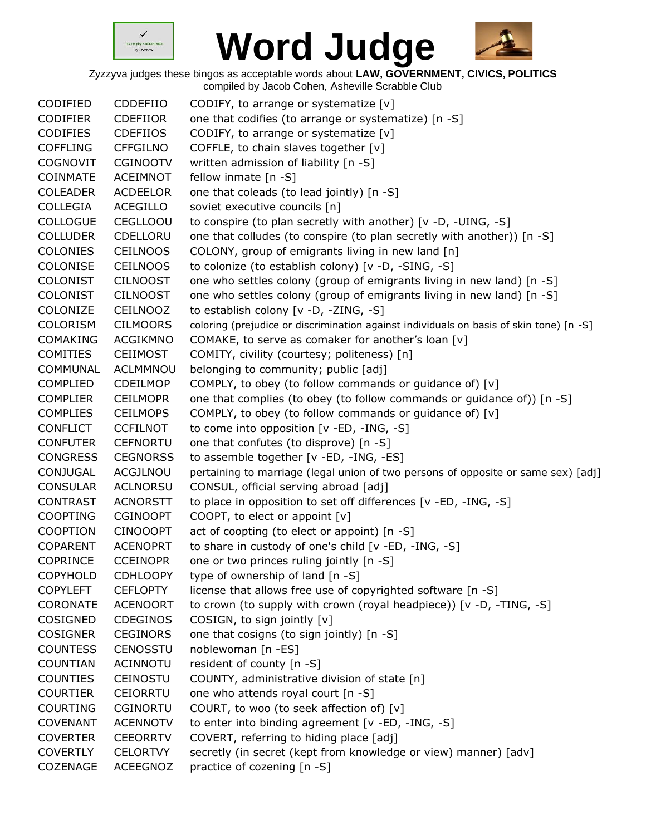



| CODIFIED        | CDDEFIIO        | CODIFY, to arrange or systematize [v]                                                   |
|-----------------|-----------------|-----------------------------------------------------------------------------------------|
| <b>CODIFIER</b> | <b>CDEFIIOR</b> | one that codifies (to arrange or systematize) [n -S]                                    |
| <b>CODIFIES</b> | <b>CDEFIIOS</b> | CODIFY, to arrange or systematize [v]                                                   |
| <b>COFFLING</b> | <b>CFFGILNO</b> | COFFLE, to chain slaves together [v]                                                    |
| <b>COGNOVIT</b> | <b>CGINOOTV</b> | written admission of liability [n -S]                                                   |
| <b>COINMATE</b> | <b>ACEIMNOT</b> | fellow inmate [n -S]                                                                    |
| <b>COLEADER</b> | <b>ACDEELOR</b> | one that coleads (to lead jointly) [n -S]                                               |
| <b>COLLEGIA</b> | <b>ACEGILLO</b> | soviet executive councils [n]                                                           |
| <b>COLLOGUE</b> | <b>CEGLLOOU</b> | to conspire (to plan secretly with another) [v -D, -UING, -S]                           |
| <b>COLLUDER</b> | CDELLORU        | one that colludes (to conspire (to plan secretly with another)) [n -S]                  |
| <b>COLONIES</b> | <b>CEILNOOS</b> | COLONY, group of emigrants living in new land [n]                                       |
| <b>COLONISE</b> | <b>CEILNOOS</b> | to colonize (to establish colony) [v -D, -SING, -S]                                     |
| <b>COLONIST</b> | <b>CILNOOST</b> | one who settles colony (group of emigrants living in new land) [n -S]                   |
| <b>COLONIST</b> | <b>CILNOOST</b> | one who settles colony (group of emigrants living in new land) [n -S]                   |
| COLONIZE        | CEILNOOZ        | to establish colony [v -D, -ZING, -S]                                                   |
| <b>COLORISM</b> | <b>CILMOORS</b> | coloring (prejudice or discrimination against individuals on basis of skin tone) [n -S] |
| <b>COMAKING</b> | <b>ACGIKMNO</b> | COMAKE, to serve as comaker for another's loan [v]                                      |
| <b>COMITIES</b> | <b>CEIIMOST</b> | COMITY, civility (courtesy; politeness) [n]                                             |
| COMMUNAL        | ACLMMNOU        | belonging to community; public [adj]                                                    |
| <b>COMPLIED</b> | CDEILMOP        | COMPLY, to obey (to follow commands or guidance of) [v]                                 |
| <b>COMPLIER</b> | <b>CEILMOPR</b> | one that complies (to obey (to follow commands or guidance of)) [n -S]                  |
| <b>COMPLIES</b> | <b>CEILMOPS</b> | COMPLY, to obey (to follow commands or guidance of) [v]                                 |
| <b>CONFLICT</b> | <b>CCFILNOT</b> | to come into opposition [v -ED, -ING, -S]                                               |
| <b>CONFUTER</b> | <b>CEFNORTU</b> | one that confutes (to disprove) [n -S]                                                  |
| <b>CONGRESS</b> | <b>CEGNORSS</b> | to assemble together [v -ED, -ING, -ES]                                                 |
| CONJUGAL        | ACGJLNOU        | pertaining to marriage (legal union of two persons of opposite or same sex) [adj]       |
| <b>CONSULAR</b> | <b>ACLNORSU</b> | CONSUL, official serving abroad [adj]                                                   |
| <b>CONTRAST</b> | <b>ACNORSTT</b> | to place in opposition to set off differences [v -ED, -ING, -S]                         |
| <b>COOPTING</b> | <b>CGINOOPT</b> | COOPT, to elect or appoint $[v]$                                                        |
| <b>COOPTION</b> | <b>CINOOOPT</b> | act of coopting (to elect or appoint) [n -S]                                            |
| <b>COPARENT</b> | <b>ACENOPRT</b> | to share in custody of one's child [v -ED, -ING, -S]                                    |
| COPRINCE        | <b>CCEINOPR</b> | one or two princes ruling jointly [n -S]                                                |
| <b>COPYHOLD</b> | <b>CDHLOOPY</b> | type of ownership of land [n -S]                                                        |
| <b>COPYLEFT</b> | <b>CEFLOPTY</b> | license that allows free use of copyrighted software [n -S]                             |
| <b>CORONATE</b> | <b>ACENOORT</b> | to crown (to supply with crown (royal headpiece)) [v -D, -TING, -S]                     |
| COSIGNED        | CDEGINOS        | COSIGN, to sign jointly [v]                                                             |
| <b>COSIGNER</b> | <b>CEGINORS</b> | one that cosigns (to sign jointly) [n -S]                                               |
| <b>COUNTESS</b> | CENOSSTU        | noblewoman [n -ES]                                                                      |
| COUNTIAN        | ACINNOTU        | resident of county [n -S]                                                               |
| <b>COUNTIES</b> | <b>CEINOSTU</b> | COUNTY, administrative division of state [n]                                            |
| <b>COURTIER</b> | <b>CEIORRTU</b> | one who attends royal court [n -S]                                                      |
| <b>COURTING</b> | <b>CGINORTU</b> | COURT, to woo (to seek affection of) [v]                                                |
| <b>COVENANT</b> | <b>ACENNOTV</b> | to enter into binding agreement [v -ED, -ING, -S]                                       |
| <b>COVERTER</b> | <b>CEEORRTV</b> | COVERT, referring to hiding place [adj]                                                 |
| <b>COVERTLY</b> | <b>CELORTVY</b> | secretly (in secret (kept from knowledge or view) manner) [adv]                         |
| COZENAGE        | <b>ACEEGNOZ</b> | practice of cozening [n -S]                                                             |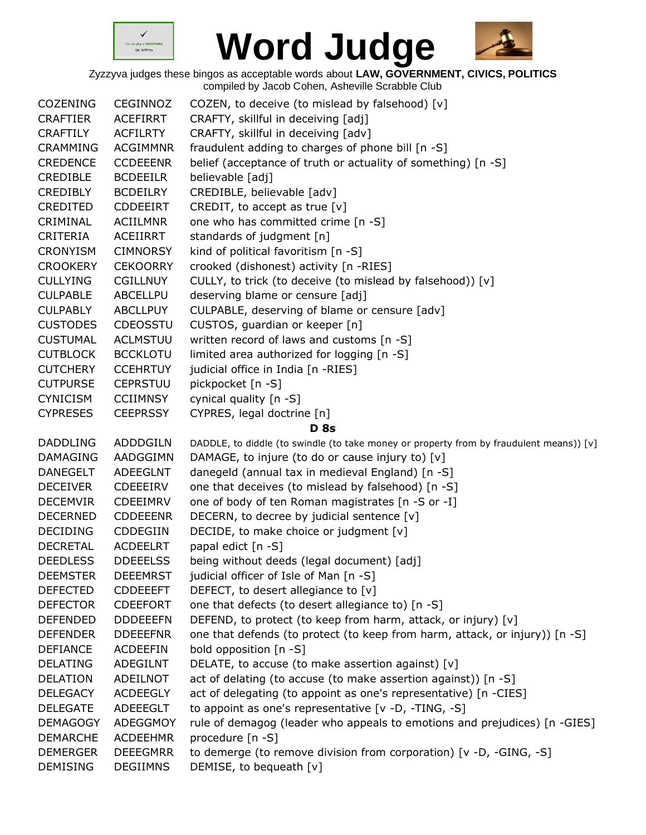



| <b>COZENING</b> | CEGINNOZ        | COZEN, to deceive (to mislead by falsehood) [v]                                         |
|-----------------|-----------------|-----------------------------------------------------------------------------------------|
| <b>CRAFTIER</b> | <b>ACEFIRRT</b> | CRAFTY, skillful in deceiving [adj]                                                     |
| <b>CRAFTILY</b> | <b>ACFILRTY</b> | CRAFTY, skillful in deceiving [adv]                                                     |
| <b>CRAMMING</b> | <b>ACGIMMNR</b> | fraudulent adding to charges of phone bill [n -S]                                       |
| <b>CREDENCE</b> | <b>CCDEEENR</b> | belief (acceptance of truth or actuality of something) [n -S]                           |
| CREDIBLE        | <b>BCDEEILR</b> | believable [adj]                                                                        |
| <b>CREDIBLY</b> | <b>BCDEILRY</b> | CREDIBLE, believable [adv]                                                              |
| CREDITED        | CDDEEIRT        | CREDIT, to accept as true $[v]$                                                         |
| CRIMINAL        | <b>ACIILMNR</b> | one who has committed crime [n -S]                                                      |
| CRITERIA        | <b>ACEIIRRT</b> | standards of judgment [n]                                                               |
| <b>CRONYISM</b> | <b>CIMNORSY</b> | kind of political favoritism [n -S]                                                     |
| <b>CROOKERY</b> | <b>CEKOORRY</b> | crooked (dishonest) activity [n -RIES]                                                  |
| <b>CULLYING</b> | <b>CGILLNUY</b> | CULLY, to trick (to deceive (to mislead by falsehood)) [v]                              |
| <b>CULPABLE</b> | ABCELLPU        | deserving blame or censure [adj]                                                        |
| <b>CULPABLY</b> | <b>ABCLLPUY</b> | CULPABLE, deserving of blame or censure [adv]                                           |
| <b>CUSTODES</b> | <b>CDEOSSTU</b> | CUSTOS, guardian or keeper [n]                                                          |
| <b>CUSTUMAL</b> | <b>ACLMSTUU</b> | written record of laws and customs [n -S]                                               |
| <b>CUTBLOCK</b> | <b>BCCKLOTU</b> | limited area authorized for logging [n -S]                                              |
| <b>CUTCHERY</b> | <b>CCEHRTUY</b> | judicial office in India [n -RIES]                                                      |
| <b>CUTPURSE</b> | <b>CEPRSTUU</b> | pickpocket [n -S]                                                                       |
| <b>CYNICISM</b> | <b>CCIIMNSY</b> | cynical quality [n -S]                                                                  |
| <b>CYPRESES</b> | <b>CEEPRSSY</b> | CYPRES, legal doctrine [n]                                                              |
|                 |                 | <b>D</b> 8s                                                                             |
| <b>DADDLING</b> | ADDDGILN        | DADDLE, to diddle (to swindle (to take money or property from by fraudulent means)) [v] |
| <b>DAMAGING</b> | AADGGIMN        | DAMAGE, to injure (to do or cause injury to) [v]                                        |
| <b>DANEGELT</b> | <b>ADEEGLNT</b> | danegeld (annual tax in medieval England) [n -S]                                        |
| <b>DECEIVER</b> | CDEEEIRV        | one that deceives (to mislead by falsehood) [n -S]                                      |
| <b>DECEMVIR</b> | CDEEIMRV        | one of body of ten Roman magistrates [n -S or -I]                                       |
| <b>DECERNED</b> | <b>CDDEEENR</b> | DECERN, to decree by judicial sentence [v]                                              |
| <b>DECIDING</b> | <b>CDDEGIIN</b> | DECIDE, to make choice or judgment [v]                                                  |
| <b>DECRETAL</b> | <b>ACDEELRT</b> | papal edict [n -S]                                                                      |
| <b>DEEDLESS</b> | <b>DDEEELSS</b> | being without deeds (legal document) [adj]                                              |
| <b>DEEMSTER</b> | <b>DEEEMRST</b> | judicial officer of Isle of Man [n -S]                                                  |
| <b>DEFECTED</b> | <b>CDDEEEFT</b> | DEFECT, to desert allegiance to [v]                                                     |
| <b>DEFECTOR</b> | <b>CDEEFORT</b> | one that defects (to desert allegiance to) [n -S]                                       |
| <b>DEFENDED</b> | <b>DDDEEEFN</b> | DEFEND, to protect (to keep from harm, attack, or injury) [v]                           |
| <b>DEFENDER</b> | <b>DDEEEFNR</b> | one that defends (to protect (to keep from harm, attack, or injury)) [n -S]             |
| <b>DEFIANCE</b> | <b>ACDEEFIN</b> | bold opposition [n -S]                                                                  |
| <b>DELATING</b> | ADEGILNT        | DELATE, to accuse (to make assertion against) $[v]$                                     |
| <b>DELATION</b> | ADEILNOT        | act of delating (to accuse (to make assertion against)) [n -S]                          |
| <b>DELEGACY</b> | <b>ACDEEGLY</b> | act of delegating (to appoint as one's representative) [n -CIES]                        |
| <b>DELEGATE</b> | ADEEEGLT        | to appoint as one's representative [v -D, -TING, -S]                                    |
| <b>DEMAGOGY</b> | <b>ADEGGMOY</b> | rule of demagog (leader who appeals to emotions and prejudices) [n -GIES]               |
| <b>DEMARCHE</b> | <b>ACDEEHMR</b> | procedure [n -S]                                                                        |
| <b>DEMERGER</b> | <b>DEEEGMRR</b> | to demerge (to remove division from corporation) [v -D, -GING, -S]                      |
| <b>DEMISING</b> | <b>DEGIIMNS</b> | DEMISE, to bequeath [v]                                                                 |
|                 |                 |                                                                                         |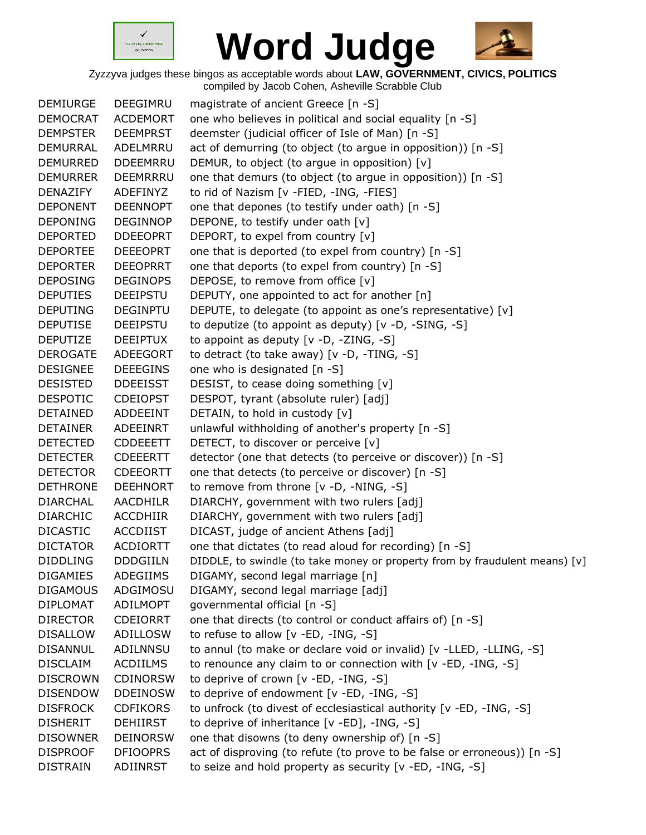



| <b>DEMIURGE</b> | <b>DEEGIMRU</b> | magistrate of ancient Greece [n -S]                                         |
|-----------------|-----------------|-----------------------------------------------------------------------------|
| <b>DEMOCRAT</b> | <b>ACDEMORT</b> | one who believes in political and social equality [n -S]                    |
| <b>DEMPSTER</b> | <b>DEEMPRST</b> | deemster (judicial officer of Isle of Man) [n -S]                           |
| DEMURRAL        | ADELMRRU        | act of demurring (to object (to argue in opposition)) [n -S]                |
| <b>DEMURRED</b> | <b>DDEEMRRU</b> | DEMUR, to object (to argue in opposition) [v]                               |
| <b>DEMURRER</b> | DEEMRRRU        | one that demurs (to object (to argue in opposition)) [n -S]                 |
| DENAZIFY        | ADEFINYZ        | to rid of Nazism [v -FIED, -ING, -FIES]                                     |
| <b>DEPONENT</b> | <b>DEENNOPT</b> | one that depones (to testify under oath) [n -S]                             |
| <b>DEPONING</b> | <b>DEGINNOP</b> | DEPONE, to testify under oath [v]                                           |
| <b>DEPORTED</b> | <b>DDEEOPRT</b> | DEPORT, to expel from country [v]                                           |
| <b>DEPORTEE</b> | <b>DEEEOPRT</b> | one that is deported (to expel from country) [n -S]                         |
| <b>DEPORTER</b> | <b>DEEOPRRT</b> | one that deports (to expel from country) [n -S]                             |
| <b>DEPOSING</b> | <b>DEGINOPS</b> | DEPOSE, to remove from office [v]                                           |
| <b>DEPUTIES</b> | <b>DEEIPSTU</b> | DEPUTY, one appointed to act for another [n]                                |
| <b>DEPUTING</b> | <b>DEGINPTU</b> | DEPUTE, to delegate (to appoint as one's representative) [v]                |
| <b>DEPUTISE</b> | <b>DEEIPSTU</b> | to deputize (to appoint as deputy) [v -D, -SING, -S]                        |
| <b>DEPUTIZE</b> | <b>DEEIPTUX</b> | to appoint as deputy $[v -D, -ZING, -S]$                                    |
| <b>DEROGATE</b> | ADEEGORT        | to detract (to take away) [v -D, -TING, -S]                                 |
| <b>DESIGNEE</b> | <b>DEEEGINS</b> | one who is designated [n -S]                                                |
| <b>DESISTED</b> | <b>DDEEISST</b> | DESIST, to cease doing something [v]                                        |
| <b>DESPOTIC</b> | <b>CDEIOPST</b> | DESPOT, tyrant (absolute ruler) [adj]                                       |
| <b>DETAINED</b> | ADDEEINT        | DETAIN, to hold in custody [v]                                              |
| <b>DETAINER</b> | ADEEINRT        | unlawful withholding of another's property [n -S]                           |
| <b>DETECTED</b> | <b>CDDEEETT</b> | DETECT, to discover or perceive [v]                                         |
| <b>DETECTER</b> | <b>CDEEERTT</b> | detector (one that detects (to perceive or discover)) [n -S]                |
| <b>DETECTOR</b> | <b>CDEEORTT</b> | one that detects (to perceive or discover) [n -S]                           |
| <b>DETHRONE</b> | <b>DEEHNORT</b> | to remove from throne [v -D, -NING, -S]                                     |
| <b>DIARCHAL</b> | AACDHILR        | DIARCHY, government with two rulers [adj]                                   |
| <b>DIARCHIC</b> | <b>ACCDHIIR</b> | DIARCHY, government with two rulers [adj]                                   |
| <b>DICASTIC</b> | <b>ACCDIIST</b> | DICAST, judge of ancient Athens [adj]                                       |
| <b>DICTATOR</b> | <b>ACDIORTT</b> | one that dictates (to read aloud for recording) [n -S]                      |
| <b>DIDDLING</b> | <b>DDDGIILN</b> | DIDDLE, to swindle (to take money or property from by fraudulent means) [v] |
| <b>DIGAMIES</b> | ADEGIIMS        | DIGAMY, second legal marriage [n]                                           |
| <b>DIGAMOUS</b> | ADGIMOSU        | DIGAMY, second legal marriage [adj]                                         |
| <b>DIPLOMAT</b> | ADILMOPT        | governmental official [n -S]                                                |
| <b>DIRECTOR</b> | <b>CDEIORRT</b> | one that directs (to control or conduct affairs of) [n -S]                  |
| <b>DISALLOW</b> | <b>ADILLOSW</b> | to refuse to allow $[v - ED, -ING, -S]$                                     |
| <b>DISANNUL</b> | ADILNNSU        | to annul (to make or declare void or invalid) [v -LLED, -LLING, -S]         |
| <b>DISCLAIM</b> | <b>ACDIILMS</b> | to renounce any claim to or connection with [v -ED, -ING, -S]               |
| <b>DISCROWN</b> | <b>CDINORSW</b> | to deprive of crown [v -ED, -ING, -S]                                       |
| <b>DISENDOW</b> | <b>DDEINOSW</b> | to deprive of endowment [v -ED, -ING, -S]                                   |
| <b>DISFROCK</b> | <b>CDFIKORS</b> | to unfrock (to divest of ecclesiastical authority [v -ED, -ING, -S]         |
| <b>DISHERIT</b> | <b>DEHIIRST</b> | to deprive of inheritance [v -ED], -ING, -S]                                |
| <b>DISOWNER</b> | <b>DEINORSW</b> | one that disowns (to deny ownership of) [n -S]                              |
| <b>DISPROOF</b> | <b>DFIOOPRS</b> | act of disproving (to refute (to prove to be false or erroneous)) [n -S]    |
| <b>DISTRAIN</b> | ADIINRST        | to seize and hold property as security [v -ED, -ING, -S]                    |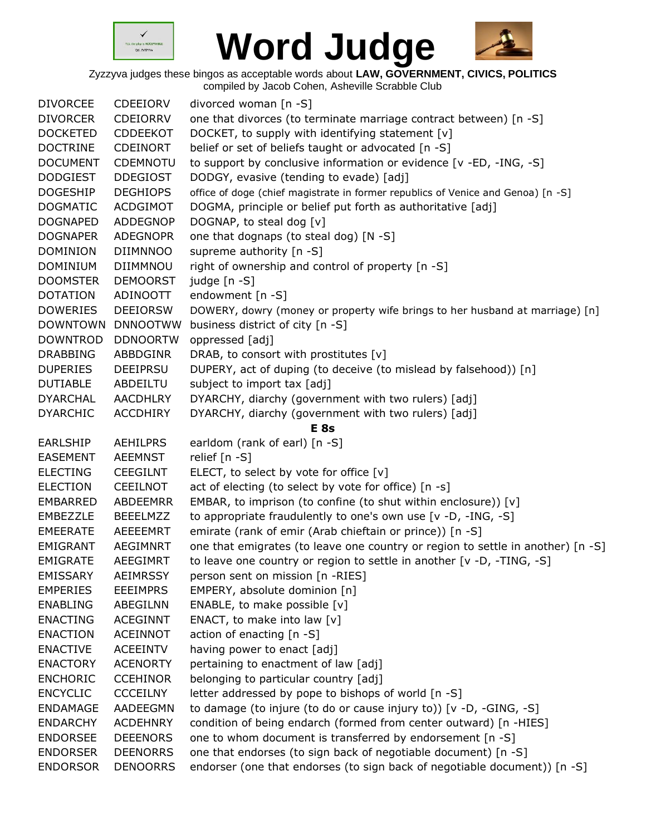



| <b>DIVORCEE</b> | <b>CDEEIORV</b> | divorced woman [n -S]                                                            |
|-----------------|-----------------|----------------------------------------------------------------------------------|
| <b>DIVORCER</b> | <b>CDEIORRV</b> | one that divorces (to terminate marriage contract between) [n -S]                |
| <b>DOCKETED</b> | <b>CDDEEKOT</b> | DOCKET, to supply with identifying statement [v]                                 |
| <b>DOCTRINE</b> | <b>CDEINORT</b> | belief or set of beliefs taught or advocated [n -S]                              |
| <b>DOCUMENT</b> | <b>CDEMNOTU</b> | to support by conclusive information or evidence [v -ED, -ING, -S]               |
| <b>DODGIEST</b> | <b>DDEGIOST</b> | DODGY, evasive (tending to evade) [adj]                                          |
| <b>DOGESHIP</b> | <b>DEGHIOPS</b> | office of doge (chief magistrate in former republics of Venice and Genoa) [n -S] |
| <b>DOGMATIC</b> | <b>ACDGIMOT</b> | DOGMA, principle or belief put forth as authoritative [adj]                      |
| <b>DOGNAPED</b> | <b>ADDEGNOP</b> | DOGNAP, to steal dog [v]                                                         |
| <b>DOGNAPER</b> | <b>ADEGNOPR</b> | one that dognaps (to steal dog) [N -S]                                           |
| <b>DOMINION</b> | <b>DIIMNNOO</b> | supreme authority [n -S]                                                         |
| <b>DOMINIUM</b> | <b>DIIMMNOU</b> | right of ownership and control of property [n -S]                                |
| <b>DOOMSTER</b> | <b>DEMOORST</b> | judge [n -S]                                                                     |
| <b>DOTATION</b> | ADINOOTT        | endowment [n -S]                                                                 |
| <b>DOWERIES</b> | <b>DEEIORSW</b> | DOWERY, dowry (money or property wife brings to her husband at marriage) [n]     |
| <b>DOWNTOWN</b> | <b>DNNOOTWW</b> | business district of city [n -S]                                                 |
| <b>DOWNTROD</b> | <b>DDNOORTW</b> | oppressed [adj]                                                                  |
| <b>DRABBING</b> | ABBDGINR        | DRAB, to consort with prostitutes [v]                                            |
| <b>DUPERIES</b> | <b>DEEIPRSU</b> | DUPERY, act of duping (to deceive (to mislead by falsehood)) [n]                 |
| <b>DUTIABLE</b> | ABDEILTU        | subject to import tax [adj]                                                      |
| <b>DYARCHAL</b> | AACDHLRY        | DYARCHY, diarchy (government with two rulers) [adj]                              |
| <b>DYARCHIC</b> | <b>ACCDHIRY</b> | DYARCHY, diarchy (government with two rulers) [adj]                              |
|                 |                 | <b>E</b> 8s                                                                      |
| <b>EARLSHIP</b> | <b>AEHILPRS</b> | earldom (rank of earl) [n -S]                                                    |
| <b>EASEMENT</b> | <b>AEEMNST</b>  | relief [n -S]                                                                    |
| <b>ELECTING</b> | <b>CEEGILNT</b> | ELECT, to select by vote for office $[v]$                                        |
| <b>ELECTION</b> | CEEILNOT        | act of electing (to select by vote for office) [n -s]                            |
| <b>EMBARRED</b> | ABDEEMRR        | EMBAR, to imprison (to confine (to shut within enclosure)) [v]                   |
| EMBEZZLE        | <b>BEEELMZZ</b> | to appropriate fraudulently to one's own use [v -D, -ING, -S]                    |
| <b>EMEERATE</b> | AEEEEMRT        | emirate (rank of emir (Arab chieftain or prince)) [n -S]                         |
| <b>EMIGRANT</b> | AEGIMNRT        | one that emigrates (to leave one country or region to settle in another) [n -S]  |
| <b>EMIGRATE</b> | AEEGIMRT        | to leave one country or region to settle in another $[v -D, -TING, -S]$          |
| <b>EMISSARY</b> | <b>AEIMRSSY</b> | person sent on mission [n -RIES]                                                 |
| <b>EMPERIES</b> | <b>EEEIMPRS</b> | EMPERY, absolute dominion [n]                                                    |
| <b>ENABLING</b> | ABEGILNN        | ENABLE, to make possible [v]                                                     |
| <b>ENACTING</b> | <b>ACEGINNT</b> | ENACT, to make into law [v]                                                      |
| <b>ENACTION</b> | <b>ACEINNOT</b> | action of enacting [n -S]                                                        |
| <b>ENACTIVE</b> | <b>ACEEINTV</b> | having power to enact [adj]                                                      |
| <b>ENACTORY</b> | <b>ACENORTY</b> | pertaining to enactment of law [adj]                                             |
| <b>ENCHORIC</b> | <b>CCEHINOR</b> | belonging to particular country [adj]                                            |
| <b>ENCYCLIC</b> | <b>CCCEILNY</b> | letter addressed by pope to bishops of world [n -S]                              |
| <b>ENDAMAGE</b> | AADEEGMN        | to damage (to injure (to do or cause injury to)) [v -D, -GING, -S]               |
| <b>ENDARCHY</b> | <b>ACDEHNRY</b> | condition of being endarch (formed from center outward) [n -HIES]                |
| <b>ENDORSEE</b> | <b>DEEENORS</b> | one to whom document is transferred by endorsement [n -S]                        |
| <b>ENDORSER</b> | <b>DEENORRS</b> | one that endorses (to sign back of negotiable document) [n -S]                   |
| <b>ENDORSOR</b> | <b>DENOORRS</b> | endorser (one that endorses (to sign back of negotiable document)) [n -S]        |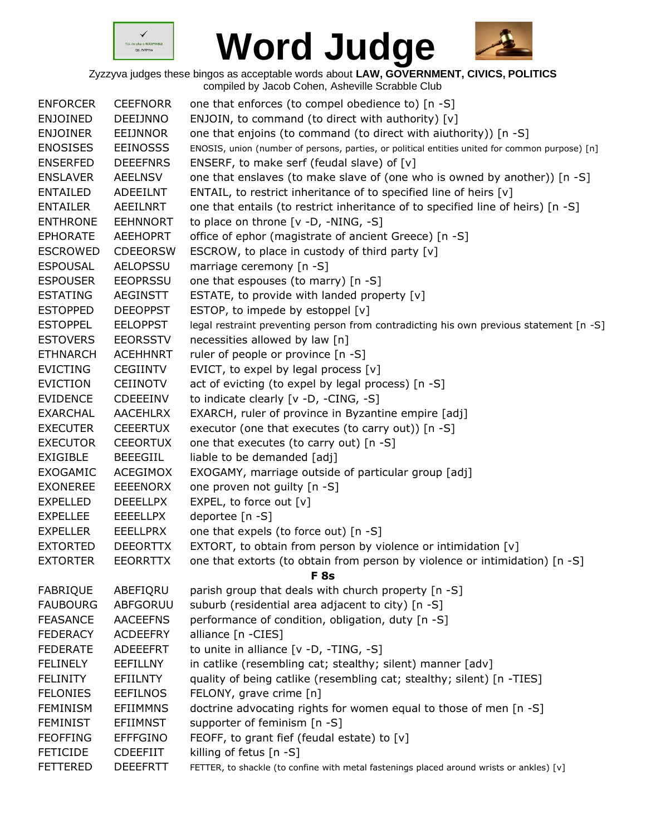



| <b>ENFORCER</b><br><b>ENJOINED</b> | <b>CEEFNORR</b><br>DEEIJNNO | one that enforces (to compel obedience to) [n -S]<br>ENJOIN, to command (to direct with authority) [v] |
|------------------------------------|-----------------------------|--------------------------------------------------------------------------------------------------------|
| <b>ENJOINER</b>                    | <b>EEIJNNOR</b>             | one that enjoins (to command (to direct with aiuthority)) [n -S]                                       |
| <b>ENOSISES</b>                    | <b>EEINOSSS</b>             | ENOSIS, union (number of persons, parties, or political entities united for common purpose) [n]        |
| <b>ENSERFED</b>                    | <b>DEEEFNRS</b>             | ENSERF, to make serf (feudal slave) of [v]                                                             |
| <b>ENSLAVER</b>                    | <b>AEELNSV</b>              | one that enslaves (to make slave of (one who is owned by another)) [n -S]                              |
| <b>ENTAILED</b>                    | <b>ADEEILNT</b>             | ENTAIL, to restrict inheritance of to specified line of heirs [v]                                      |
| <b>ENTAILER</b>                    | <b>AEEILNRT</b>             | one that entails (to restrict inheritance of to specified line of heirs) [n -S]                        |
| <b>ENTHRONE</b>                    | <b>EEHNNORT</b>             | to place on throne [v -D, -NING, -S]                                                                   |
| <b>EPHORATE</b>                    | <b>AEEHOPRT</b>             | office of ephor (magistrate of ancient Greece) [n -S]                                                  |
| <b>ESCROWED</b>                    | <b>CDEEORSW</b>             | ESCROW, to place in custody of third party [v]                                                         |
| <b>ESPOUSAL</b>                    | <b>AELOPSSU</b>             | marriage ceremony [n -S]                                                                               |
| <b>ESPOUSER</b>                    | <b>EEOPRSSU</b>             | one that espouses (to marry) [n -S]                                                                    |
| <b>ESTATING</b>                    | AEGINSTT                    | ESTATE, to provide with landed property [v]                                                            |
| <b>ESTOPPED</b>                    | <b>DEEOPPST</b>             | ESTOP, to impede by estoppel [v]                                                                       |
| <b>ESTOPPEL</b>                    | <b>EELOPPST</b>             | legal restraint preventing person from contradicting his own previous statement [n -S]                 |
| <b>ESTOVERS</b>                    | <b>EEORSSTV</b>             | necessities allowed by law [n]                                                                         |
| <b>ETHNARCH</b>                    | <b>ACEHHNRT</b>             | ruler of people or province [n -S]                                                                     |
| <b>EVICTING</b>                    | <b>CEGIINTV</b>             | EVICT, to expel by legal process [v]                                                                   |
| <b>EVICTION</b>                    | CEIINOTV                    | act of evicting (to expel by legal process) [n -S]                                                     |
| <b>EVIDENCE</b>                    | <b>CDEEEINV</b>             | to indicate clearly [v -D, -CING, -S]                                                                  |
| <b>EXARCHAL</b>                    | <b>AACEHLRX</b>             | EXARCH, ruler of province in Byzantine empire [adj]                                                    |
| <b>EXECUTER</b>                    | <b>CEEERTUX</b>             | executor (one that executes (to carry out)) [n -S]                                                     |
| <b>EXECUTOR</b>                    | <b>CEEORTUX</b>             | one that executes (to carry out) [n -S]                                                                |
| <b>EXIGIBLE</b>                    | <b>BEEEGIIL</b>             | liable to be demanded [adj]                                                                            |
| <b>EXOGAMIC</b>                    | <b>ACEGIMOX</b>             | EXOGAMY, marriage outside of particular group [adj]                                                    |
| <b>EXONEREE</b>                    | <b>EEEENORX</b>             | one proven not guilty [n -S]                                                                           |
| <b>EXPELLED</b>                    | <b>DEEELLPX</b>             | EXPEL, to force out [v]                                                                                |
| <b>EXPELLEE</b>                    | <b>EEEELLPX</b>             | deportee [n -S]                                                                                        |
| <b>EXPELLER</b>                    | <b>EEELLPRX</b>             | one that expels (to force out) [n -S]                                                                  |
| <b>EXTORTED</b>                    | <b>DEEORTTX</b>             | EXTORT, to obtain from person by violence or intimidation [v]                                          |
| <b>EXTORTER</b>                    | EEORRTTX                    |                                                                                                        |
|                                    |                             | one that extorts (to obtain from person by violence or intimidation) [n -S]<br>F <sub>8s</sub>         |
| <b>FABRIQUE</b>                    | ABEFIQRU                    | parish group that deals with church property [n -S]                                                    |
| <b>FAUBOURG</b>                    | ABFGORUU                    | suburb (residential area adjacent to city) [n -S]                                                      |
| <b>FEASANCE</b>                    | <b>AACEEFNS</b>             | performance of condition, obligation, duty [n -S]                                                      |
| <b>FEDERACY</b>                    | <b>ACDEEFRY</b>             | alliance [n -CIES]                                                                                     |
| <b>FEDERATE</b>                    | ADEEEFRT                    | to unite in alliance [v -D, -TING, -S]                                                                 |
| <b>FELINELY</b>                    | EEFILLNY                    | in catlike (resembling cat; stealthy; silent) manner [adv]                                             |
| <b>FELINITY</b>                    | <b>EFIILNTY</b>             | quality of being catlike (resembling cat; stealthy; silent) [n -TIES]                                  |
| <b>FELONIES</b>                    | <b>EEFILNOS</b>             | FELONY, grave crime [n]                                                                                |
|                                    |                             |                                                                                                        |
| <b>FEMINISM</b>                    | <b>EFIIMMNS</b>             | doctrine advocating rights for women equal to those of men [n -S]                                      |
| <b>FEMINIST</b>                    | <b>EFIIMNST</b>             | supporter of feminism [n -S]                                                                           |
| <b>FEOFFING</b>                    | <b>EFFFGINO</b>             | FEOFF, to grant fief (feudal estate) to [v]                                                            |
| <b>FETICIDE</b>                    | <b>CDEEFIIT</b>             | killing of fetus [n -S]                                                                                |
| <b>FETTERED</b>                    | <b>DEEEFRTT</b>             | FETTER, to shackle (to confine with metal fastenings placed around wrists or ankles) [v]               |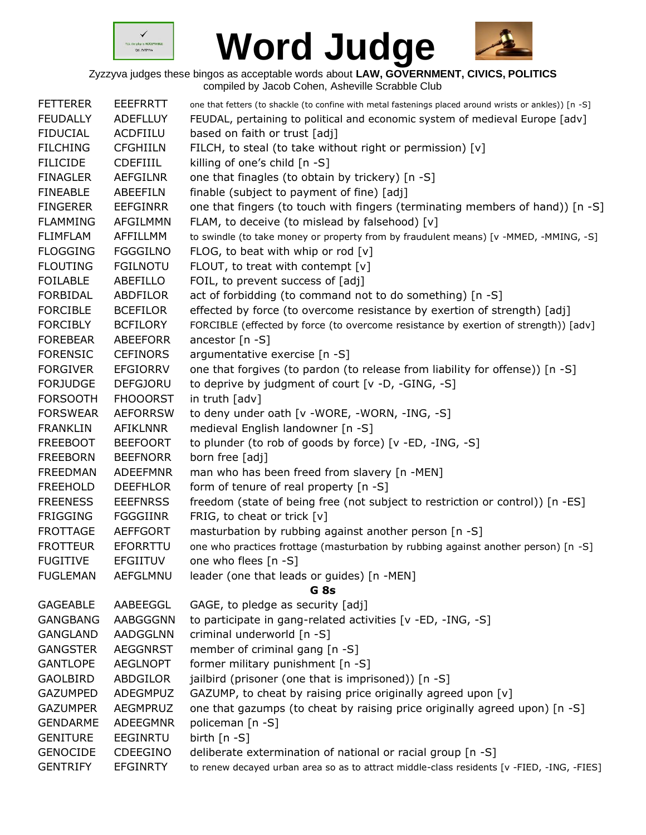



| <b>FETTERER</b> | <b>EEEFRRTT</b> | one that fetters (to shackle (to confine with metal fastenings placed around wrists or ankles)) [n -S] |
|-----------------|-----------------|--------------------------------------------------------------------------------------------------------|
| <b>FEUDALLY</b> | <b>ADEFLLUY</b> | FEUDAL, pertaining to political and economic system of medieval Europe [adv]                           |
| <b>FIDUCIAL</b> | ACDFIILU        | based on faith or trust [adj]                                                                          |
| <b>FILCHING</b> | <b>CFGHIILN</b> | FILCH, to steal (to take without right or permission) [v]                                              |
| <b>FILICIDE</b> | <b>CDEFIIIL</b> | killing of one's child [n -S]                                                                          |
| <b>FINAGLER</b> | <b>AEFGILNR</b> | one that finagles (to obtain by trickery) [n -S]                                                       |
| <b>FINEABLE</b> | ABEEFILN        | finable (subject to payment of fine) [adj]                                                             |
| <b>FINGERER</b> | <b>EEFGINRR</b> | one that fingers (to touch with fingers (terminating members of hand)) [n -S]                          |
| <b>FLAMMING</b> | AFGILMMN        | FLAM, to deceive (to mislead by falsehood) [v]                                                         |
| <b>FLIMFLAM</b> | AFFILLMM        | to swindle (to take money or property from by fraudulent means) [v -MMED, -MMING, -S]                  |
| <b>FLOGGING</b> | <b>FGGGILNO</b> | FLOG, to beat with whip or rod $[v]$                                                                   |
| <b>FLOUTING</b> | <b>FGILNOTU</b> | FLOUT, to treat with contempt $[v]$                                                                    |
| <b>FOILABLE</b> | ABEFILLO        | FOIL, to prevent success of [adj]                                                                      |
| <b>FORBIDAL</b> | ABDFILOR        | act of forbidding (to command not to do something) [n -S]                                              |
| <b>FORCIBLE</b> | <b>BCEFILOR</b> | effected by force (to overcome resistance by exertion of strength) [adj]                               |
| <b>FORCIBLY</b> | <b>BCFILORY</b> | FORCIBLE (effected by force (to overcome resistance by exertion of strength)) [adv]                    |
| <b>FOREBEAR</b> | <b>ABEEFORR</b> | ancestor [n -S]                                                                                        |
| <b>FORENSIC</b> | <b>CEFINORS</b> | argumentative exercise [n -S]                                                                          |
| <b>FORGIVER</b> | <b>EFGIORRV</b> | one that forgives (to pardon (to release from liability for offense)) [n -S]                           |
| <b>FORJUDGE</b> | <b>DEFGJORU</b> | to deprive by judgment of court [v -D, -GING, -S]                                                      |
| <b>FORSOOTH</b> | <b>FHOOORST</b> | in truth [adv]                                                                                         |
| <b>FORSWEAR</b> | <b>AEFORRSW</b> | to deny under oath [v -WORE, -WORN, -ING, -S]                                                          |
| <b>FRANKLIN</b> | <b>AFIKLNNR</b> | medieval English landowner [n -S]                                                                      |
| <b>FREEBOOT</b> | <b>BEEFOORT</b> | to plunder (to rob of goods by force) [v -ED, -ING, -S]                                                |
| <b>FREEBORN</b> | <b>BEEFNORR</b> | born free [adj]                                                                                        |
| <b>FREEDMAN</b> | <b>ADEEFMNR</b> | man who has been freed from slavery [n -MEN]                                                           |
| <b>FREEHOLD</b> | <b>DEEFHLOR</b> | form of tenure of real property [n -S]                                                                 |
| <b>FREENESS</b> | <b>EEEFNRSS</b> | freedom (state of being free (not subject to restriction or control)) [n -ES]                          |
| <b>FRIGGING</b> | <b>FGGGIINR</b> | FRIG, to cheat or trick [v]                                                                            |
| <b>FROTTAGE</b> | <b>AEFFGORT</b> | masturbation by rubbing against another person [n -S]                                                  |
| <b>FROTTEUR</b> | <b>EFORRTTU</b> | one who practices frottage (masturbation by rubbing against another person) [n -S]                     |
| <b>FUGITIVE</b> | <b>EFGIITUV</b> | one who flees [n -S]                                                                                   |
| <b>FUGLEMAN</b> | AEFGLMNU        | leader (one that leads or guides) [n -MEN]                                                             |
|                 |                 | G <sub>8s</sub>                                                                                        |
| <b>GAGEABLE</b> | AABEEGGL        | GAGE, to pledge as security [adj]                                                                      |
| <b>GANGBANG</b> | AABGGGNN        | to participate in gang-related activities [v -ED, -ING, -S]                                            |
| <b>GANGLAND</b> | <b>AADGGLNN</b> | criminal underworld [n -S]                                                                             |
| <b>GANGSTER</b> | <b>AEGGNRST</b> | member of criminal gang [n -S]                                                                         |
| <b>GANTLOPE</b> | <b>AEGLNOPT</b> | former military punishment [n -S]                                                                      |
| <b>GAOLBIRD</b> | ABDGILOR        | jailbird (prisoner (one that is imprisoned)) [n -S]                                                    |
| <b>GAZUMPED</b> | ADEGMPUZ        | GAZUMP, to cheat by raising price originally agreed upon [v]                                           |
| <b>GAZUMPER</b> | AEGMPRUZ        | one that gazumps (to cheat by raising price originally agreed upon) [n -S]                             |
| <b>GENDARME</b> | <b>ADEEGMNR</b> | policeman [n -S]                                                                                       |
| <b>GENITURE</b> | <b>EEGINRTU</b> | birth $[n - S]$                                                                                        |
| <b>GENOCIDE</b> | <b>CDEEGINO</b> | deliberate extermination of national or racial group [n -S]                                            |
| <b>GENTRIFY</b> | <b>EFGINRTY</b> | to renew decayed urban area so as to attract middle-class residents [v -FIED, -ING, -FIES]             |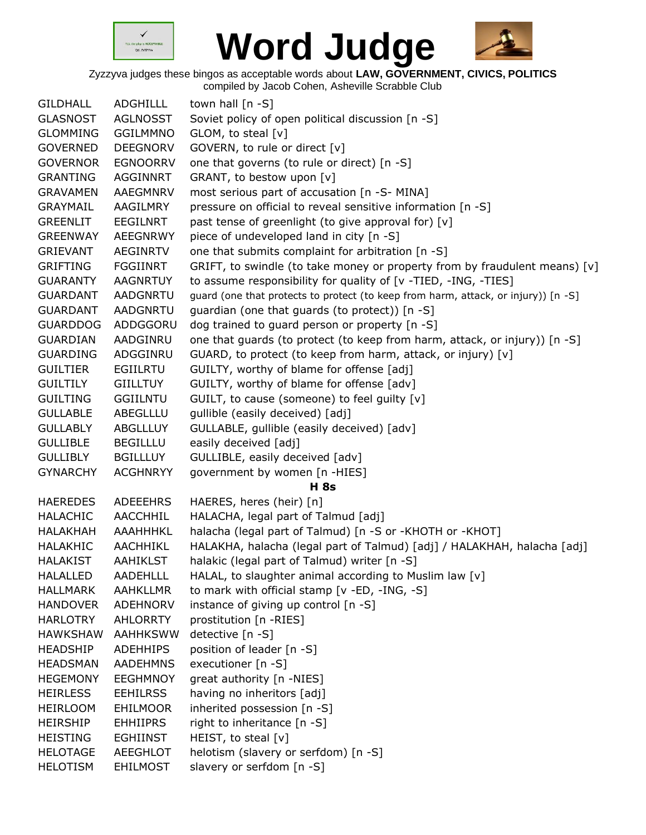



| <b>GILDHALL</b> | <b>ADGHILLL</b> | town hall $[n - S]$                                                                |
|-----------------|-----------------|------------------------------------------------------------------------------------|
| <b>GLASNOST</b> | <b>AGLNOSST</b> | Soviet policy of open political discussion [n -S]                                  |
| <b>GLOMMING</b> | <b>GGILMMNO</b> | GLOM, to steal [v]                                                                 |
| <b>GOVERNED</b> | <b>DEEGNORV</b> | GOVERN, to rule or direct [v]                                                      |
| <b>GOVERNOR</b> | <b>EGNOORRV</b> | one that governs (to rule or direct) [n -S]                                        |
| <b>GRANTING</b> | <b>AGGINNRT</b> | GRANT, to bestow upon [v]                                                          |
| <b>GRAVAMEN</b> | AAEGMNRV        | most serious part of accusation [n -S- MINA]                                       |
| <b>GRAYMAIL</b> | AAGILMRY        | pressure on official to reveal sensitive information [n -S]                        |
| <b>GREENLIT</b> | <b>EEGILNRT</b> | past tense of greenlight (to give approval for) [v]                                |
| <b>GREENWAY</b> | <b>AEEGNRWY</b> | piece of undeveloped land in city [n -S]                                           |
| <b>GRIEVANT</b> | <b>AEGINRTV</b> | one that submits complaint for arbitration [n -S]                                  |
| <b>GRIFTING</b> | <b>FGGIINRT</b> | GRIFT, to swindle (to take money or property from by fraudulent means) $[v]$       |
| <b>GUARANTY</b> | <b>AAGNRTUY</b> | to assume responsibility for quality of [v -TIED, -ING, -TIES]                     |
| <b>GUARDANT</b> | AADGNRTU        | guard (one that protects to protect (to keep from harm, attack, or injury)) [n -S] |
| <b>GUARDANT</b> | <b>AADGNRTU</b> | guardian (one that guards (to protect)) [n -S]                                     |
| <b>GUARDDOG</b> | ADDGGORU        | dog trained to guard person or property [n -S]                                     |
| <b>GUARDIAN</b> | AADGINRU        | one that guards (to protect (to keep from harm, attack, or injury)) [n -S]         |
| <b>GUARDING</b> | ADGGINRU        | GUARD, to protect (to keep from harm, attack, or injury) [v]                       |
| <b>GUILTIER</b> | EGIILRTU        | GUILTY, worthy of blame for offense [adj]                                          |
| <b>GUILTILY</b> | <b>GIILLTUY</b> | GUILTY, worthy of blame for offense [adv]                                          |
| <b>GUILTING</b> | <b>GGIILNTU</b> | GUILT, to cause (someone) to feel guilty [v]                                       |
| <b>GULLABLE</b> | ABEGLLLU        | gullible (easily deceived) [adj]                                                   |
| <b>GULLABLY</b> | <b>ABGLLLUY</b> | GULLABLE, gullible (easily deceived) [adv]                                         |
| <b>GULLIBLE</b> | <b>BEGILLLU</b> | easily deceived [adj]                                                              |
| <b>GULLIBLY</b> | <b>BGILLLUY</b> | GULLIBLE, easily deceived [adv]                                                    |
| <b>GYNARCHY</b> | <b>ACGHNRYY</b> | government by women [n -HIES]                                                      |
|                 |                 | <b>H</b> 8s                                                                        |
| <b>HAEREDES</b> | <b>ADEEEHRS</b> | HAERES, heres (heir) [n]                                                           |
| <b>HALACHIC</b> | <b>AACCHHIL</b> | HALACHA, legal part of Talmud [adj]                                                |
| <b>HALAKHAH</b> | <b>AAAHHHKL</b> | halacha (legal part of Talmud) [n -S or -KHOTH or -KHOT]                           |
| <b>HALAKHIC</b> | <b>AACHHIKL</b> | HALAKHA, halacha (legal part of Talmud) [adj] / HALAKHAH, halacha [adj]            |
| <b>HALAKIST</b> | <b>AAHIKLST</b> | halakic (legal part of Talmud) writer [n -S]                                       |
| <b>HALALLED</b> | <b>AADEHLLL</b> | HALAL, to slaughter animal according to Muslim law [v]                             |
| <b>HALLMARK</b> | <b>AAHKLLMR</b> | to mark with official stamp [v -ED, -ING, -S]                                      |
| <b>HANDOVER</b> | <b>ADEHNORV</b> | instance of giving up control [n -S]                                               |
| <b>HARLOTRY</b> | AHLORRTY        | prostitution [n -RIES]                                                             |
| <b>HAWKSHAW</b> | <b>AAHHKSWW</b> | detective [n -S]                                                                   |
| <b>HEADSHIP</b> | <b>ADEHHIPS</b> | position of leader [n -S]                                                          |
| <b>HEADSMAN</b> | <b>AADEHMNS</b> | executioner [n -S]                                                                 |
| <b>HEGEMONY</b> | <b>EEGHMNOY</b> | great authority [n -NIES]                                                          |
| <b>HEIRLESS</b> | <b>EEHILRSS</b> | having no inheritors [adj]                                                         |
| <b>HEIRLOOM</b> | <b>EHILMOOR</b> | inherited possession [n -S]                                                        |
| <b>HEIRSHIP</b> | <b>EHHIIPRS</b> | right to inheritance [n -S]                                                        |
| <b>HEISTING</b> | <b>EGHIINST</b> | HEIST, to steal [v]                                                                |
| <b>HELOTAGE</b> | AEEGHLOT        | helotism (slavery or serfdom) [n -S]                                               |
| <b>HELOTISM</b> | <b>EHILMOST</b> | slavery or serfdom [n -S]                                                          |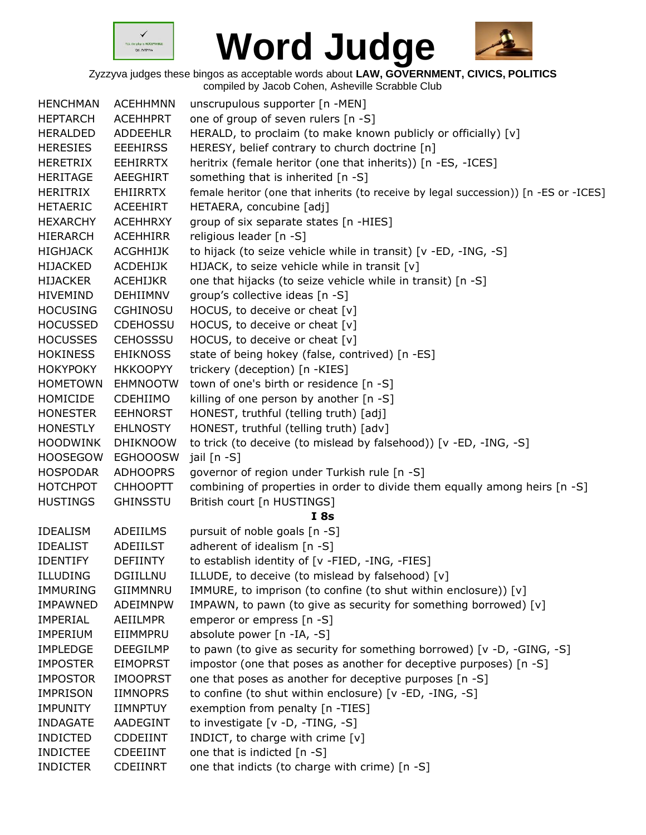



| <b>HENCHMAN</b> | <b>ACEHHMNN</b> | unscrupulous supporter [n -MEN]                                                      |
|-----------------|-----------------|--------------------------------------------------------------------------------------|
| <b>HEPTARCH</b> | <b>ACEHHPRT</b> | one of group of seven rulers [n -S]                                                  |
| <b>HERALDED</b> | <b>ADDEEHLR</b> | HERALD, to proclaim (to make known publicly or officially) [v]                       |
| <b>HERESIES</b> | <b>EEEHIRSS</b> | HERESY, belief contrary to church doctrine [n]                                       |
| <b>HERETRIX</b> | <b>EEHIRRTX</b> | heritrix (female heritor (one that inherits)) [n -ES, -ICES]                         |
| <b>HERITAGE</b> | <b>AEEGHIRT</b> | something that is inherited [n -S]                                                   |
| HERITRIX        | <b>EHIIRRTX</b> | female heritor (one that inherits (to receive by legal succession)) [n -ES or -ICES] |
| <b>HETAERIC</b> | <b>ACEEHIRT</b> | HETAERA, concubine [adj]                                                             |
| <b>HEXARCHY</b> | <b>ACEHHRXY</b> | group of six separate states [n -HIES]                                               |
| <b>HIERARCH</b> | <b>ACEHHIRR</b> | religious leader [n -S]                                                              |
| <b>HIGHJACK</b> | <b>ACGHHIJK</b> | to hijack (to seize vehicle while in transit) [v -ED, -ING, -S]                      |
| <b>HIJACKED</b> | <b>ACDEHIJK</b> | HIJACK, to seize vehicle while in transit [v]                                        |
| <b>HIJACKER</b> | <b>ACEHIJKR</b> | one that hijacks (to seize vehicle while in transit) [n -S]                          |
| <b>HIVEMIND</b> | DEHIIMNV        | group's collective ideas [n -S]                                                      |
| <b>HOCUSING</b> | <b>CGHINOSU</b> | HOCUS, to deceive or cheat [v]                                                       |
| <b>HOCUSSED</b> | <b>CDEHOSSU</b> | HOCUS, to deceive or cheat [v]                                                       |
| <b>HOCUSSES</b> | <b>CEHOSSSU</b> | HOCUS, to deceive or cheat [v]                                                       |
| <b>HOKINESS</b> | <b>EHIKNOSS</b> | state of being hokey (false, contrived) [n -ES]                                      |
| <b>HOKYPOKY</b> | <b>HKKOOPYY</b> | trickery (deception) [n -KIES]                                                       |
| <b>HOMETOWN</b> | <b>EHMNOOTW</b> | town of one's birth or residence [n -S]                                              |
| HOMICIDE        | <b>CDEHIIMO</b> | killing of one person by another [n -S]                                              |
| <b>HONESTER</b> | <b>EEHNORST</b> | HONEST, truthful (telling truth) [adj]                                               |
| <b>HONESTLY</b> | <b>EHLNOSTY</b> | HONEST, truthful (telling truth) [adv]                                               |
| <b>HOODWINK</b> | <b>DHIKNOOW</b> | to trick (to deceive (to mislead by falsehood)) [v -ED, -ING, -S]                    |
| <b>HOOSEGOW</b> | <b>EGHOOOSW</b> | jail [n -S]                                                                          |
| <b>HOSPODAR</b> | <b>ADHOOPRS</b> | governor of region under Turkish rule [n -S]                                         |
| <b>HOTCHPOT</b> | <b>CHHOOPTT</b> | combining of properties in order to divide them equally among heirs [n -S]           |
| <b>HUSTINGS</b> | <b>GHINSSTU</b> | British court [n HUSTINGS]                                                           |
|                 |                 | I8s                                                                                  |
| <b>IDEALISM</b> | ADEIILMS        | pursuit of noble goals [n -S]                                                        |
| <b>IDEALIST</b> | <b>ADEIILST</b> | adherent of idealism [n -S]                                                          |
| <b>IDENTIFY</b> | <b>DEFIINTY</b> | to establish identity of [v -FIED, -ING, -FIES]                                      |
| <b>ILLUDING</b> | <b>DGIILLNU</b> | ILLUDE, to deceive (to mislead by falsehood) [v]                                     |
| <b>IMMURING</b> | GIIMMNRU        | IMMURE, to imprison (to confine (to shut within enclosure)) [v]                      |
| <b>IMPAWNED</b> | ADEIMNPW        | IMPAWN, to pawn (to give as security for something borrowed) [v]                     |
| <b>IMPERIAL</b> | AEIILMPR        | emperor or empress [n -S]                                                            |
| <b>IMPERIUM</b> | EIIMMPRU        | absolute power [n -IA, -S]                                                           |
| <b>IMPLEDGE</b> | <b>DEEGILMP</b> | to pawn (to give as security for something borrowed) [v -D, -GING, -S]               |
| <b>IMPOSTER</b> | <b>EIMOPRST</b> | impostor (one that poses as another for deceptive purposes) [n -S]                   |
| <b>IMPOSTOR</b> | <b>IMOOPRST</b> | one that poses as another for deceptive purposes [n -S]                              |
| <b>IMPRISON</b> | <b>IIMNOPRS</b> | to confine (to shut within enclosure) [v -ED, -ING, -S]                              |
| <b>IMPUNITY</b> | <b>IIMNPTUY</b> | exemption from penalty [n -TIES]                                                     |
| <b>INDAGATE</b> | <b>AADEGINT</b> | to investigate [v -D, -TING, -S]                                                     |
| <b>INDICTED</b> | CDDEIINT        | INDICT, to charge with crime $[v]$                                                   |
| <b>INDICTEE</b> | <b>CDEEIINT</b> | one that is indicted [n -S]                                                          |
| <b>INDICTER</b> | <b>CDEIINRT</b> | one that indicts (to charge with crime) [n -S]                                       |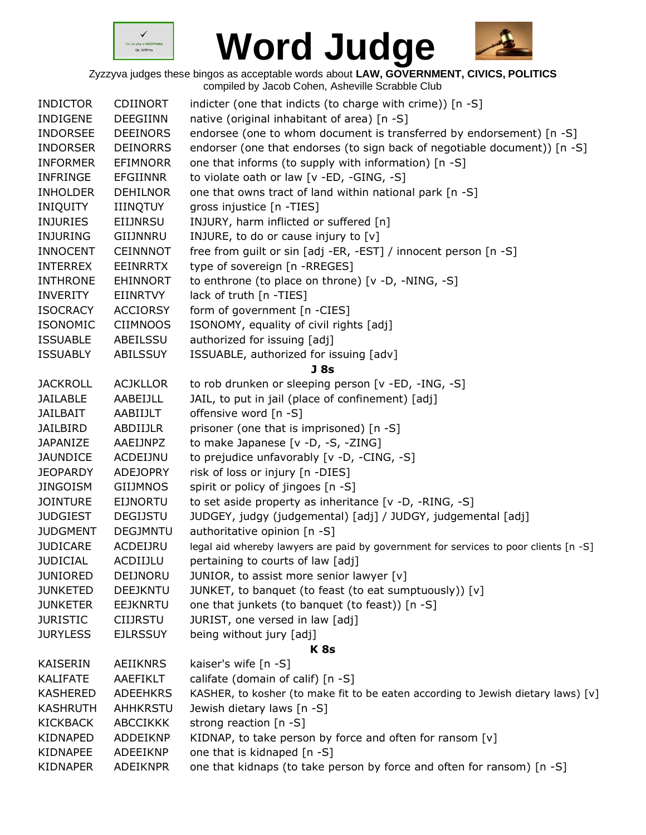



| <b>INDICTOR</b> | <b>CDIINORT</b> | indicter (one that indicts (to charge with crime)) [n -S]                            |
|-----------------|-----------------|--------------------------------------------------------------------------------------|
| <b>INDIGENE</b> | <b>DEEGIINN</b> | native (original inhabitant of area) [n -S]                                          |
| <b>INDORSEE</b> | <b>DEEINORS</b> | endorsee (one to whom document is transferred by endorsement) [n -S]                 |
| <b>INDORSER</b> | <b>DEINORRS</b> | endorser (one that endorses (to sign back of negotiable document)) [n -S]            |
| <b>INFORMER</b> | <b>EFIMNORR</b> | one that informs (to supply with information) [n -S]                                 |
| <b>INFRINGE</b> | <b>EFGIINNR</b> | to violate oath or law [v -ED, -GING, -S]                                            |
| <b>INHOLDER</b> | <b>DEHILNOR</b> | one that owns tract of land within national park [n -S]                              |
| <b>INIQUITY</b> | <b>IIINQTUY</b> | gross injustice [n -TIES]                                                            |
| <b>INJURIES</b> | <b>EIIJNRSU</b> | INJURY, harm inflicted or suffered [n]                                               |
| <b>INJURING</b> | GIIJNNRU        | INJURE, to do or cause injury to [v]                                                 |
| <b>INNOCENT</b> | <b>CEINNNOT</b> | free from guilt or sin [adj -ER, -EST] / innocent person [n -S]                      |
| <b>INTERREX</b> | <b>EEINRRTX</b> | type of sovereign [n -RREGES]                                                        |
| <b>INTHRONE</b> | EHINNORT        | to enthrone (to place on throne) [v -D, -NING, -S]                                   |
| INVERITY        | EIINRTVY        | lack of truth [n -TIES]                                                              |
| <b>ISOCRACY</b> | <b>ACCIORSY</b> | form of government [n -CIES]                                                         |
| <b>ISONOMIC</b> | <b>CIIMNOOS</b> | ISONOMY, equality of civil rights [adj]                                              |
| <b>ISSUABLE</b> | ABEILSSU        | authorized for issuing [adj]                                                         |
| <b>ISSUABLY</b> | <b>ABILSSUY</b> | ISSUABLE, authorized for issuing [adv]                                               |
|                 |                 | J <sub>8s</sub>                                                                      |
| <b>JACKROLL</b> | <b>ACJKLLOR</b> | to rob drunken or sleeping person [v -ED, -ING, -S]                                  |
| <b>JAILABLE</b> | AABEIJLL        | JAIL, to put in jail (place of confinement) [adj]                                    |
| <b>JAILBAIT</b> | AABIIJLT        | offensive word [n -S]                                                                |
| <b>JAILBIRD</b> | ABDIIJLR        | prisoner (one that is imprisoned) [n -S]                                             |
| <b>JAPANIZE</b> | AAEIJNPZ        | to make Japanese [v -D, -S, -ZING]                                                   |
| <b>JAUNDICE</b> | ACDEIJNU        | to prejudice unfavorably [v -D, -CING, -S]                                           |
| <b>JEOPARDY</b> | <b>ADEJOPRY</b> | risk of loss or injury [n -DIES]                                                     |
| <b>JINGOISM</b> | <b>GIIJMNOS</b> | spirit or policy of jingoes [n -S]                                                   |
| <b>JOINTURE</b> | <b>EIJNORTU</b> | to set aside property as inheritance [v -D, -RING, -S]                               |
| <b>JUDGIEST</b> | <b>DEGIJSTU</b> | JUDGEY, judgy (judgemental) [adj] / JUDGY, judgemental [adj]                         |
| <b>JUDGMENT</b> | <b>DEGJMNTU</b> | authoritative opinion [n -S]                                                         |
| <b>JUDICARE</b> | ACDEIJRU        | legal aid whereby lawyers are paid by government for services to poor clients [n -S] |
| <b>JUDICIAL</b> | ACDIIJLU        | pertaining to courts of law [adj]                                                    |
| <b>JUNIORED</b> | DEIJNORU        | JUNIOR, to assist more senior lawyer [v]                                             |
| <b>JUNKETED</b> | DEEJKNTU        | JUNKET, to banquet (to feast (to eat sumptuously)) [v]                               |
| <b>JUNKETER</b> | <b>EEJKNRTU</b> | one that junkets (to banquet (to feast)) [n -S]                                      |
| <b>JURISTIC</b> | <b>CIIJRSTU</b> | JURIST, one versed in law [adj]                                                      |
| <b>JURYLESS</b> | <b>EJLRSSUY</b> | being without jury [adj]                                                             |
|                 |                 | K <sub>8s</sub>                                                                      |
| KAISERIN        | AEIIKNRS        | kaiser's wife [n -S]                                                                 |
| <b>KALIFATE</b> | AAEFIKLT        | califate (domain of calif) [n -S]                                                    |
| <b>KASHERED</b> | <b>ADEEHKRS</b> | KASHER, to kosher (to make fit to be eaten according to Jewish dietary laws) [v]     |
| KASHRUTH        | AHHKRSTU        | Jewish dietary laws [n -S]                                                           |
| <b>KICKBACK</b> | <b>ABCCIKKK</b> |                                                                                      |
|                 |                 | strong reaction [n -S]                                                               |
| KIDNAPED        | ADDEIKNP        | KIDNAP, to take person by force and often for ransom [v]                             |
| KIDNAPEE        | ADEEIKNP        | one that is kidnaped [n -S]                                                          |
| KIDNAPER        | ADEIKNPR        | one that kidnaps (to take person by force and often for ransom) [n -S]               |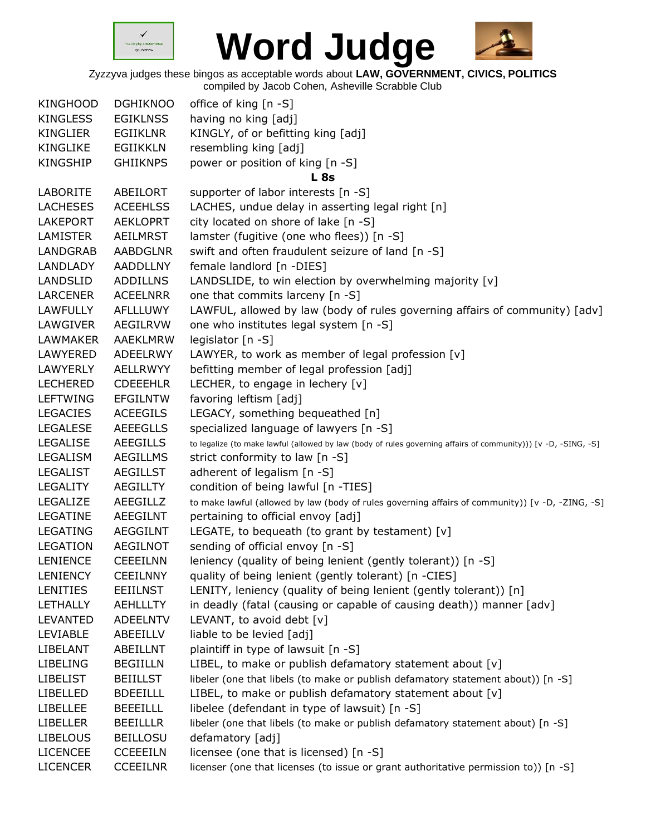



Zyzzyva judges these bingos as acceptable words about **LAW, GOVERNMENT, CIVICS, POLITICS**

compiled by Jacob Cohen, Asheville Scrabble Club

| <b>KINGHOOD</b> | <b>DGHIKNOO</b> | office of king $[n - S]$                                                                                       |
|-----------------|-----------------|----------------------------------------------------------------------------------------------------------------|
| <b>KINGLESS</b> | <b>EGIKLNSS</b> | having no king [adj]                                                                                           |
| KINGLIER        | EGIIKLNR        | KINGLY, of or befitting king [adj]                                                                             |
| <b>KINGLIKE</b> | <b>EGIIKKLN</b> | resembling king [adj]                                                                                          |
| KINGSHIP        | <b>GHIIKNPS</b> | power or position of king [n -S]                                                                               |
|                 |                 | <b>L</b> 8s                                                                                                    |
| LABORITE        | ABEILORT        | supporter of labor interests [n -S]                                                                            |
| <b>LACHESES</b> | <b>ACEEHLSS</b> | LACHES, undue delay in asserting legal right [n]                                                               |
| <b>LAKEPORT</b> | <b>AEKLOPRT</b> | city located on shore of lake [n -S]                                                                           |
| LAMISTER        | AEILMRST        | lamster (fugitive (one who flees)) [n -S]                                                                      |
| <b>LANDGRAB</b> | <b>AABDGLNR</b> | swift and often fraudulent seizure of land [n -S]                                                              |
| <b>LANDLADY</b> | <b>AADDLLNY</b> | female landlord [n -DIES]                                                                                      |
| LANDSLID        | <b>ADDILLNS</b> | LANDSLIDE, to win election by overwhelming majority [v]                                                        |
| <b>LARCENER</b> | <b>ACEELNRR</b> | one that commits larceny [n -S]                                                                                |
| <b>LAWFULLY</b> | AFLLLUWY        | LAWFUL, allowed by law (body of rules governing affairs of community) [adv]                                    |
| <b>LAWGIVER</b> | <b>AEGILRVW</b> | one who institutes legal system [n -S]                                                                         |
| <b>LAWMAKER</b> | AAEKLMRW        | legislator [n -S]                                                                                              |
| LAWYERED        | ADEELRWY        | LAWYER, to work as member of legal profession [v]                                                              |
| <b>LAWYERLY</b> | <b>AELLRWYY</b> | befitting member of legal profession [adj]                                                                     |
| <b>LECHERED</b> | <b>CDEEEHLR</b> | LECHER, to engage in lechery [v]                                                                               |
| <b>LEFTWING</b> | <b>EFGILNTW</b> | favoring leftism [adj]                                                                                         |
| <b>LEGACIES</b> | <b>ACEEGILS</b> | LEGACY, something bequeathed [n]                                                                               |
| <b>LEGALESE</b> | <b>AEEEGLLS</b> | specialized language of lawyers [n -S]                                                                         |
| <b>LEGALISE</b> | <b>AEEGILLS</b> | to legalize (to make lawful (allowed by law (body of rules governing affairs of community))) [v -D, -SING, -S] |
| LEGALISM        | <b>AEGILLMS</b> | strict conformity to law [n -S]                                                                                |
| <b>LEGALIST</b> | <b>AEGILLST</b> | adherent of legalism [n -S]                                                                                    |
| <b>LEGALITY</b> | <b>AEGILLTY</b> | condition of being lawful [n -TIES]                                                                            |
| LEGALIZE        | AEEGILLZ        | to make lawful (allowed by law (body of rules governing affairs of community)) [v -D, -ZING, -S]               |
| LEGATINE        | <b>AEEGILNT</b> | pertaining to official envoy [adj]                                                                             |
| <b>LEGATING</b> | <b>AEGGILNT</b> | LEGATE, to bequeath (to grant by testament) [v]                                                                |
| LEGATION        | <b>AEGILNOT</b> | sending of official envoy [n -S]                                                                               |
| <b>LENIENCE</b> | <b>CEEEILNN</b> | leniency (quality of being lenient (gently tolerant)) [n -S]                                                   |
| <b>LENIENCY</b> | <b>CEEILNNY</b> | quality of being lenient (gently tolerant) [n -CIES]                                                           |
| <b>LENITIES</b> | <b>EEIILNST</b> | LENITY, leniency (quality of being lenient (gently tolerant)) [n]                                              |
| LETHALLY        | <b>AEHLLLTY</b> | in deadly (fatal (causing or capable of causing death)) manner [adv]                                           |
| LEVANTED        | <b>ADEELNTV</b> | LEVANT, to avoid debt [v]                                                                                      |
| LEVIABLE        | ABEEILLV        | liable to be levied [adj]                                                                                      |
| LIBELANT        | ABEILLNT        | plaintiff in type of lawsuit [n -S]                                                                            |
| <b>LIBELING</b> | <b>BEGIILLN</b> | LIBEL, to make or publish defamatory statement about [v]                                                       |
| <b>LIBELIST</b> | <b>BEIILLST</b> | libeler (one that libels (to make or publish defamatory statement about)) [n -S]                               |
| <b>LIBELLED</b> | <b>BDEEILLL</b> | LIBEL, to make or publish defamatory statement about [v]                                                       |
| <b>LIBELLEE</b> | <b>BEEEILLL</b> | libelee (defendant in type of lawsuit) [n -S]                                                                  |
| <b>LIBELLER</b> | <b>BEEILLLR</b> | libeler (one that libels (to make or publish defamatory statement about) [n -S]                                |
| <b>LIBELOUS</b> | <b>BEILLOSU</b> | defamatory [adj]                                                                                               |
| <b>LICENCEE</b> | <b>CCEEEILN</b> | licensee (one that is licensed) [n -S]                                                                         |
| <b>LICENCER</b> | <b>CCEEILNR</b> | licenser (one that licenses (to issue or grant authoritative permission to)) [n -S]                            |
|                 |                 |                                                                                                                |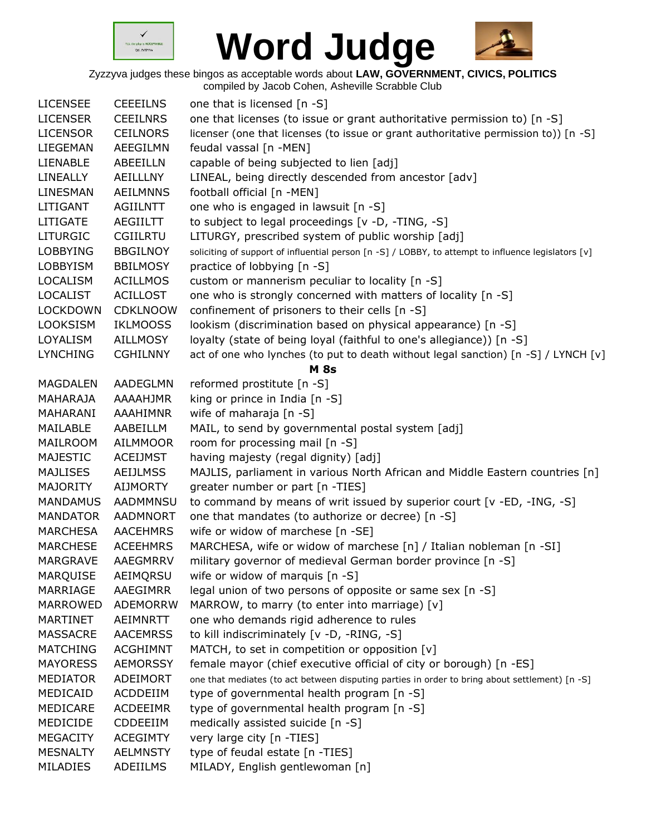



Zyzzyva judges these bingos as acceptable words about **LAW, GOVERNMENT, CIVICS, POLITICS**

compiled by Jacob Cohen, Asheville Scrabble Club

| <b>LICENSEE</b> | <b>CEEEILNS</b> | one that is licensed [n -S]                                                                         |
|-----------------|-----------------|-----------------------------------------------------------------------------------------------------|
| <b>LICENSER</b> | <b>CEEILNRS</b> | one that licenses (to issue or grant authoritative permission to) [n -S]                            |
| <b>LICENSOR</b> | <b>CEILNORS</b> | licenser (one that licenses (to issue or grant authoritative permission to)) [n -S]                 |
| LIEGEMAN        | AEEGILMN        | feudal vassal [n -MEN]                                                                              |
| LIENABLE        | <b>ABEEILLN</b> | capable of being subjected to lien [adj]                                                            |
| LINEALLY        | AEILLLNY        | LINEAL, being directly descended from ancestor [adv]                                                |
| LINESMAN        | <b>AEILMNNS</b> | football official [n -MEN]                                                                          |
| LITIGANT        | <b>AGIILNTT</b> | one who is engaged in lawsuit [n -S]                                                                |
| <b>LITIGATE</b> | <b>AEGIILTT</b> | to subject to legal proceedings [v -D, -TING, -S]                                                   |
| <b>LITURGIC</b> | <b>CGIILRTU</b> | LITURGY, prescribed system of public worship [adj]                                                  |
| <b>LOBBYING</b> | <b>BBGILNOY</b> | soliciting of support of influential person [n -S] / LOBBY, to attempt to influence legislators [v] |
| <b>LOBBYISM</b> | <b>BBILMOSY</b> | practice of lobbying [n -S]                                                                         |
| <b>LOCALISM</b> | <b>ACILLMOS</b> | custom or mannerism peculiar to locality [n -S]                                                     |
| <b>LOCALIST</b> | <b>ACILLOST</b> | one who is strongly concerned with matters of locality [n -S]                                       |
| <b>LOCKDOWN</b> | <b>CDKLNOOW</b> | confinement of prisoners to their cells [n -S]                                                      |
| <b>LOOKSISM</b> | <b>IKLMOOSS</b> | lookism (discrimination based on physical appearance) [n -S]                                        |
| LOYALISM        | <b>AILLMOSY</b> | loyalty (state of being loyal (faithful to one's allegiance)) [n -S]                                |
| <b>LYNCHING</b> | <b>CGHILNNY</b> | act of one who lynches (to put to death without legal sanction) [n -S] / LYNCH [v]                  |
|                 |                 | <b>M</b> 8s                                                                                         |
| <b>MAGDALEN</b> | AADEGLMN        | reformed prostitute [n -S]                                                                          |
|                 |                 |                                                                                                     |
| MAHARAJA        | AAAAHJMR        | king or prince in India [n -S]                                                                      |
| MAHARANI        | <b>AAAHIMNR</b> | wife of maharaja [n -S]                                                                             |
| MAILABLE        | AABEILLM        | MAIL, to send by governmental postal system [adj]                                                   |
| MAILROOM        | <b>AILMMOOR</b> | room for processing mail [n -S]                                                                     |
| <b>MAJESTIC</b> | <b>ACEIJMST</b> | having majesty (regal dignity) [adj]                                                                |
| <b>MAJLISES</b> | <b>AEIJLMSS</b> | MAJLIS, parliament in various North African and Middle Eastern countries [n]                        |
| <b>MAJORITY</b> | <b>AIJMORTY</b> | greater number or part [n -TIES]                                                                    |
| <b>MANDAMUS</b> | <b>AADMMNSU</b> | to command by means of writ issued by superior court [v -ED, -ING, -S]                              |
| <b>MANDATOR</b> | AADMNORT        | one that mandates (to authorize or decree) [n -S]                                                   |
| <b>MARCHESA</b> | <b>AACEHMRS</b> | wife or widow of marchese [n -SE]                                                                   |
| <b>MARCHESE</b> | <b>ACEEHMRS</b> | MARCHESA, wife or widow of marchese [n] / Italian nobleman [n -SI]                                  |
| <b>MARGRAVE</b> | AAEGMRRV        | military governor of medieval German border province [n -S]                                         |
| <b>MARQUISE</b> | AEIMQRSU        | wife or widow of marquis [n -S]                                                                     |
| MARRIAGE        | AAEGIMRR        | legal union of two persons of opposite or same sex [n -S]                                           |
| MARROWED        | <b>ADEMORRW</b> | MARROW, to marry (to enter into marriage) [v]                                                       |
| MARTINET        | AEIMNRTT        | one who demands rigid adherence to rules                                                            |
| <b>MASSACRE</b> | <b>AACEMRSS</b> | to kill indiscriminately [v -D, -RING, -S]                                                          |
| <b>MATCHING</b> | <b>ACGHIMNT</b> | MATCH, to set in competition or opposition [v]                                                      |
| <b>MAYORESS</b> | <b>AEMORSSY</b> | female mayor (chief executive official of city or borough) [n -ES]                                  |
| <b>MEDIATOR</b> | ADEIMORT        | one that mediates (to act between disputing parties in order to bring about settlement) [n -S]      |
| MEDICAID        | ACDDEIIM        | type of governmental health program [n -S]                                                          |
| MEDICARE        | <b>ACDEEIMR</b> | type of governmental health program [n -S]                                                          |
| MEDICIDE        | CDDEEIIM        | medically assisted suicide [n -S]                                                                   |
| <b>MEGACITY</b> | <b>ACEGIMTY</b> | very large city [n -TIES]                                                                           |
| <b>MESNALTY</b> | <b>AELMNSTY</b> | type of feudal estate [n -TIES]                                                                     |
| MILADIES        | ADEIILMS        | MILADY, English gentlewoman [n]                                                                     |
|                 |                 |                                                                                                     |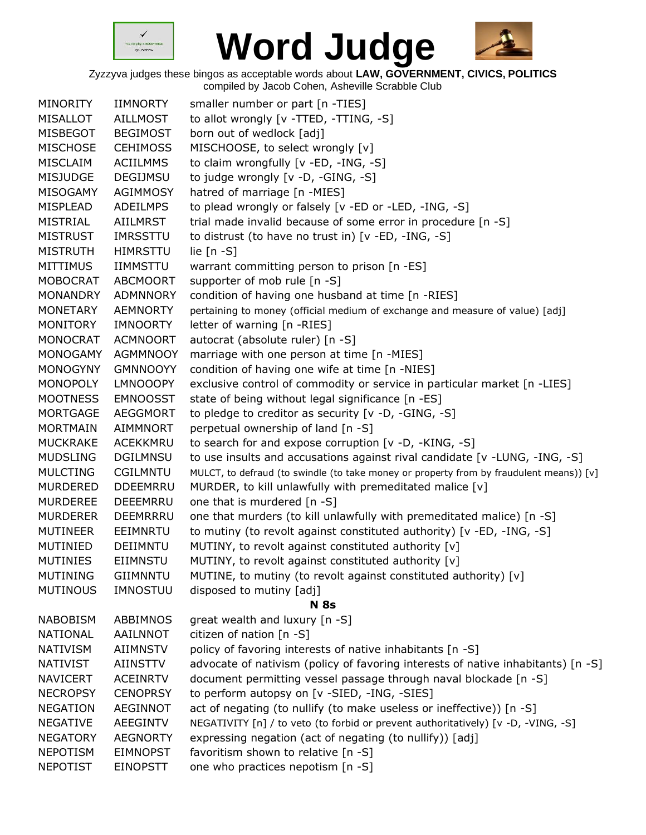



| <b>MINORITY</b> | <b>IIMNORTY</b> | smaller number or part [n -TIES]                                                        |
|-----------------|-----------------|-----------------------------------------------------------------------------------------|
| <b>MISALLOT</b> | <b>AILLMOST</b> | to allot wrongly [v -TTED, -TTING, -S]                                                  |
| MISBEGOT        | <b>BEGIMOST</b> | born out of wedlock [adj]                                                               |
| <b>MISCHOSE</b> | <b>CEHIMOSS</b> | MISCHOOSE, to select wrongly [v]                                                        |
| MISCLAIM        | <b>ACIILMMS</b> | to claim wrongfully [v -ED, -ING, -S]                                                   |
| <b>MISJUDGE</b> | <b>DEGIJMSU</b> | to judge wrongly [v -D, -GING, -S]                                                      |
| MISOGAMY        | AGIMMOSY        | hatred of marriage [n -MIES]                                                            |
| MISPLEAD        | <b>ADEILMPS</b> | to plead wrongly or falsely [v -ED or -LED, -ING, -S]                                   |
| <b>MISTRIAL</b> | AIILMRST        | trial made invalid because of some error in procedure [n -S]                            |
| <b>MISTRUST</b> | <b>IMRSSTTU</b> | to distrust (to have no trust in) [v -ED, -ING, -S]                                     |
| <b>MISTRUTH</b> | <b>HIMRSTTU</b> | lie $[n - S]$                                                                           |
| <b>MITTIMUS</b> | <b>IIMMSTTU</b> | warrant committing person to prison [n -ES]                                             |
| <b>MOBOCRAT</b> | <b>ABCMOORT</b> | supporter of mob rule [n -S]                                                            |
| <b>MONANDRY</b> | <b>ADMNNORY</b> | condition of having one husband at time [n -RIES]                                       |
| MONETARY        | <b>AEMNORTY</b> | pertaining to money (official medium of exchange and measure of value) [adj]            |
| MONITORY        | IMNOORTY        | letter of warning [n -RIES]                                                             |
| <b>MONOCRAT</b> | <b>ACMNOORT</b> | autocrat (absolute ruler) [n -S]                                                        |
| <b>MONOGAMY</b> | <b>AGMMNOOY</b> | marriage with one person at time [n -MIES]                                              |
| <b>MONOGYNY</b> | <b>GMNNOOYY</b> | condition of having one wife at time [n -NIES]                                          |
| <b>MONOPOLY</b> | <b>LMNOOOPY</b> | exclusive control of commodity or service in particular market [n -LIES]                |
| <b>MOOTNESS</b> | <b>EMNOOSST</b> | state of being without legal significance [n -ES]                                       |
| <b>MORTGAGE</b> | <b>AEGGMORT</b> | to pledge to creditor as security [v -D, -GING, -S]                                     |
| <b>MORTMAIN</b> | <b>AIMMNORT</b> | perpetual ownership of land [n -S]                                                      |
| <b>MUCKRAKE</b> | <b>ACEKKMRU</b> | to search for and expose corruption [v -D, -KING, -S]                                   |
| <b>MUDSLING</b> | <b>DGILMNSU</b> | to use insults and accusations against rival candidate $[v - LUNG, -ING, -S]$           |
| <b>MULCTING</b> | CGILMNTU        | MULCT, to defraud (to swindle (to take money or property from by fraudulent means)) [v] |
| <b>MURDERED</b> | <b>DDEEMRRU</b> | MURDER, to kill unlawfully with premeditated malice [v]                                 |
| <b>MURDEREE</b> | <b>DEEEMRRU</b> | one that is murdered [n -S]                                                             |
| <b>MURDERER</b> | DEEMRRRU        | one that murders (to kill unlawfully with premeditated malice) [n -S]                   |
| <b>MUTINEER</b> | EEIMNRTU        | to mutiny (to revolt against constituted authority) [v -ED, -ING, -S]                   |
| MUTINIED        | DEIIMNTU        | MUTINY, to revolt against constituted authority [v]                                     |
| <b>MUTINIES</b> | <b>EIIMNSTU</b> | MUTINY, to revolt against constituted authority [v]                                     |
| <b>MUTINING</b> | <b>GIIMNNTU</b> | MUTINE, to mutiny (to revolt against constituted authority) [v]                         |
| <b>MUTINOUS</b> | IMNOSTUU        | disposed to mutiny [adj]                                                                |
|                 |                 | <b>N</b> 8s                                                                             |
| <b>NABOBISM</b> | <b>ABBIMNOS</b> | great wealth and luxury [n -S]                                                          |
| <b>NATIONAL</b> | AAILNNOT        | citizen of nation [n -S]                                                                |
| <b>NATIVISM</b> | AIIMNSTV        | policy of favoring interests of native inhabitants [n -S]                               |
| <b>NATIVIST</b> | <b>AIINSTTV</b> | advocate of nativism (policy of favoring interests of native inhabitants) [n -S]        |
| <b>NAVICERT</b> | <b>ACEINRTV</b> | document permitting vessel passage through naval blockade [n -S]                        |
| <b>NECROPSY</b> | <b>CENOPRSY</b> | to perform autopsy on [v -SIED, -ING, -SIES]                                            |
| <b>NEGATION</b> | AEGINNOT        | act of negating (to nullify (to make useless or ineffective)) [n -S]                    |
| <b>NEGATIVE</b> | <b>AEEGINTV</b> | NEGATIVITY [n] / to veto (to forbid or prevent authoritatively) [v -D, -VING, -S]       |
| <b>NEGATORY</b> | <b>AEGNORTY</b> | expressing negation (act of negating (to nullify)) [adj]                                |
| <b>NEPOTISM</b> | <b>EIMNOPST</b> | favoritism shown to relative [n -S]                                                     |
| <b>NEPOTIST</b> | <b>EINOPSTT</b> | one who practices nepotism [n -S]                                                       |
|                 |                 |                                                                                         |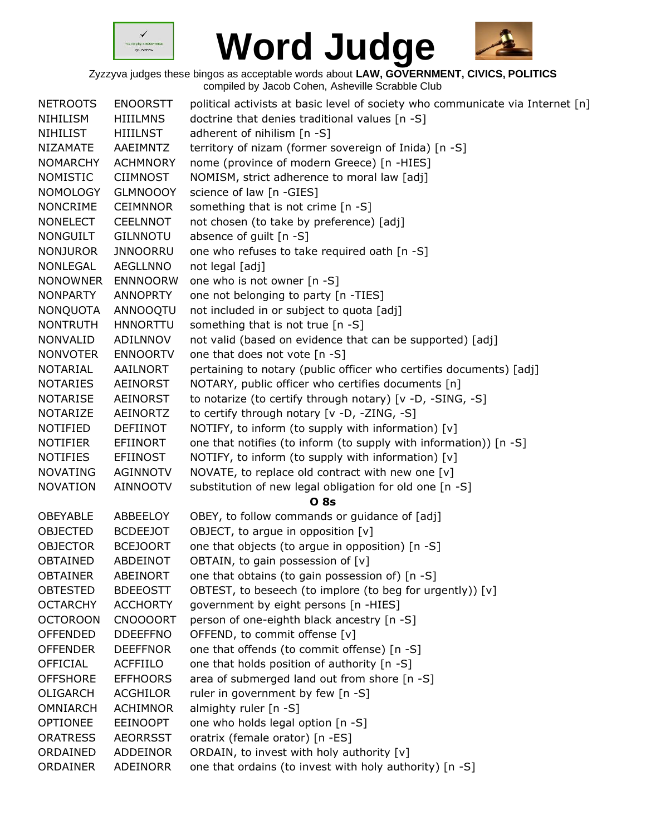



| <b>NETROOTS</b> | <b>ENOORSTT</b> | political activists at basic level of society who communicate via Internet [n] |
|-----------------|-----------------|--------------------------------------------------------------------------------|
| NIHILISM        | <b>HIIILMNS</b> | doctrine that denies traditional values [n -S]                                 |
| <b>NIHILIST</b> | <b>HIIILNST</b> | adherent of nihilism $[n -S]$                                                  |
| <b>NIZAMATE</b> | AAEIMNTZ        | territory of nizam (former sovereign of Inida) [n -S]                          |
| <b>NOMARCHY</b> | <b>ACHMNORY</b> | nome (province of modern Greece) [n -HIES]                                     |
| <b>NOMISTIC</b> | <b>CIIMNOST</b> | NOMISM, strict adherence to moral law [adj]                                    |
| <b>NOMOLOGY</b> | <b>GLMNOOOY</b> | science of law [n -GIES]                                                       |
| <b>NONCRIME</b> | <b>CEIMNNOR</b> | something that is not crime [n -S]                                             |
| <b>NONELECT</b> | <b>CEELNNOT</b> | not chosen (to take by preference) [adj]                                       |
| <b>NONGUILT</b> | <b>GILNNOTU</b> | absence of guilt [n -S]                                                        |
| <b>NONJUROR</b> | <b>JNNOORRU</b> | one who refuses to take required oath [n -S]                                   |
| NONLEGAL        | <b>AEGLLNNO</b> | not legal [adj]                                                                |
| <b>NONOWNER</b> | <b>ENNNOORW</b> | one who is not owner [n -S]                                                    |
| <b>NONPARTY</b> | ANNOPRTY        | one not belonging to party [n -TIES]                                           |
| <b>NONQUOTA</b> | ANNOOQTU        | not included in or subject to quota [adj]                                      |
| <b>NONTRUTH</b> | <b>HNNORTTU</b> | something that is not true [n -S]                                              |
| NONVALID        | ADILNNOV        | not valid (based on evidence that can be supported) [adj]                      |
| <b>NONVOTER</b> | <b>ENNOORTV</b> | one that does not vote [n -S]                                                  |
| <b>NOTARIAL</b> | AAILNORT        | pertaining to notary (public officer who certifies documents) [adj]            |
| <b>NOTARIES</b> | AEINORST        | NOTARY, public officer who certifies documents [n]                             |
| <b>NOTARISE</b> | AEINORST        | to notarize (to certify through notary) [v -D, -SING, -S]                      |
| <b>NOTARIZE</b> | <b>AEINORTZ</b> | to certify through notary [v -D, -ZING, -S]                                    |
| <b>NOTIFIED</b> | <b>DEFIINOT</b> | NOTIFY, to inform (to supply with information) [v]                             |
| <b>NOTIFIER</b> | <b>EFIINORT</b> | one that notifies (to inform (to supply with information)) [n -S]              |
| <b>NOTIFIES</b> | <b>EFIINOST</b> | NOTIFY, to inform (to supply with information) [v]                             |
| <b>NOVATING</b> | <b>AGINNOTV</b> | NOVATE, to replace old contract with new one [v]                               |
| <b>NOVATION</b> | <b>AINNOOTV</b> | substitution of new legal obligation for old one [n -S]                        |
|                 |                 | <b>O</b> 8s                                                                    |
| <b>OBEYABLE</b> | ABBEELOY        | OBEY, to follow commands or guidance of [adj]                                  |
| <b>OBJECTED</b> | <b>BCDEEJOT</b> | OBJECT, to arque in opposition [v]                                             |
| <b>OBJECTOR</b> | <b>BCEJOORT</b> | one that objects (to argue in opposition) [n -S]                               |
| <b>OBTAINED</b> | <b>ABDEINOT</b> | OBTAIN, to gain possession of [v]                                              |
| <b>OBTAINER</b> | ABEINORT        | one that obtains (to gain possession of) [n -S]                                |
| <b>OBTESTED</b> | <b>BDEEOSTT</b> | OBTEST, to beseech (to implore (to beg for urgently)) [v]                      |
| <b>OCTARCHY</b> | <b>ACCHORTY</b> | government by eight persons [n -HIES]                                          |
| <b>OCTOROON</b> | <b>CNOOOORT</b> | person of one-eighth black ancestry [n -S]                                     |
| <b>OFFENDED</b> | <b>DDEEFFNO</b> | OFFEND, to commit offense [v]                                                  |
| <b>OFFENDER</b> | <b>DEEFFNOR</b> | one that offends (to commit offense) [n -S]                                    |
| <b>OFFICIAL</b> | <b>ACFFIILO</b> | one that holds position of authority [n -S]                                    |
| <b>OFFSHORE</b> | <b>EFFHOORS</b> | area of submerged land out from shore [n -S]                                   |
| OLIGARCH        | <b>ACGHILOR</b> | ruler in government by few [n -S]                                              |
| <b>OMNIARCH</b> | <b>ACHIMNOR</b> | almighty ruler [n -S]                                                          |
| <b>OPTIONEE</b> | <b>EEINOOPT</b> | one who holds legal option [n -S]                                              |
| <b>ORATRESS</b> | <b>AEORRSST</b> | oratrix (female orator) [n -ES]                                                |
| ORDAINED        | ADDEINOR        | ORDAIN, to invest with holy authority [v]                                      |
| ORDAINER        | ADEINORR        | one that ordains (to invest with holy authority) [n -S]                        |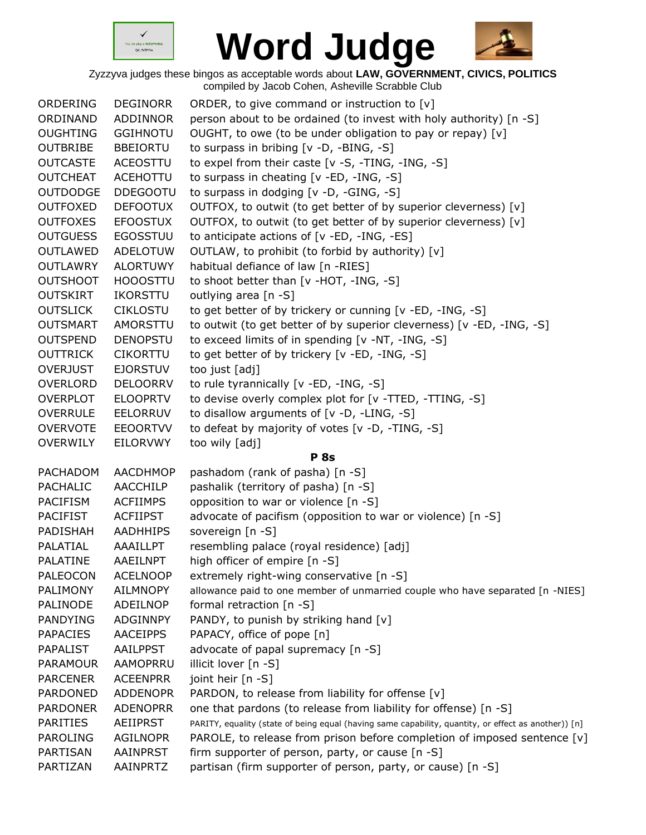



| ORDERING        | <b>DEGINORR</b> | ORDER, to give command or instruction to [v]                                                         |
|-----------------|-----------------|------------------------------------------------------------------------------------------------------|
| ORDINAND        | <b>ADDINNOR</b> | person about to be ordained (to invest with holy authority) [n -S]                                   |
| <b>OUGHTING</b> | <b>GGIHNOTU</b> | OUGHT, to owe (to be under obligation to pay or repay) [v]                                           |
| <b>OUTBRIBE</b> | <b>BBEIORTU</b> | to surpass in bribing $[v -D, -BING, -S]$                                                            |
| <b>OUTCASTE</b> | <b>ACEOSTTU</b> | to expel from their caste [v -S, -TING, -ING, -S]                                                    |
| <b>OUTCHEAT</b> | <b>ACEHOTTU</b> | to surpass in cheating [v -ED, -ING, -S]                                                             |
| <b>OUTDODGE</b> | <b>DDEGOOTU</b> | to surpass in dodging [v -D, -GING, -S]                                                              |
| <b>OUTFOXED</b> | <b>DEFOOTUX</b> | OUTFOX, to outwit (to get better of by superior cleverness) [v]                                      |
| <b>OUTFOXES</b> | <b>EFOOSTUX</b> | OUTFOX, to outwit (to get better of by superior cleverness) [v]                                      |
| <b>OUTGUESS</b> | <b>EGOSSTUU</b> | to anticipate actions of [v -ED, -ING, -ES]                                                          |
| <b>OUTLAWED</b> | <b>ADELOTUW</b> | OUTLAW, to prohibit (to forbid by authority) [v]                                                     |
| <b>OUTLAWRY</b> | <b>ALORTUWY</b> | habitual defiance of law [n -RIES]                                                                   |
| <b>OUTSHOOT</b> | <b>HOOOSTTU</b> | to shoot better than [v -HOT, -ING, -S]                                                              |
| <b>OUTSKIRT</b> | IKORSTTU        | outlying area [n -S]                                                                                 |
| <b>OUTSLICK</b> | <b>CIKLOSTU</b> | to get better of by trickery or cunning [v -ED, -ING, -S]                                            |
| <b>OUTSMART</b> | AMORSTTU        | to outwit (to get better of by superior cleverness) [v -ED, -ING, -S]                                |
| <b>OUTSPEND</b> | <b>DENOPSTU</b> | to exceed limits of in spending [v -NT, -ING, -S]                                                    |
| <b>OUTTRICK</b> | <b>CIKORTTU</b> | to get better of by trickery [v -ED, -ING, -S]                                                       |
| <b>OVERJUST</b> | <b>EJORSTUV</b> | too just [adj]                                                                                       |
| <b>OVERLORD</b> | <b>DELOORRV</b> | to rule tyrannically [v -ED, -ING, -S]                                                               |
| <b>OVERPLOT</b> | <b>ELOOPRTV</b> | to devise overly complex plot for [v -TTED, -TTING, -S]                                              |
| <b>OVERRULE</b> | <b>EELORRUV</b> | to disallow arguments of [v -D, -LING, -S]                                                           |
| <b>OVERVOTE</b> | <b>EEOORTVV</b> | to defeat by majority of votes [v -D, -TING, -S]                                                     |
| <b>OVERWILY</b> | EILORVWY        | too wily [adj]                                                                                       |
|                 |                 | <b>P</b> 8s                                                                                          |
| PACHADOM        | <b>AACDHMOP</b> | pashadom (rank of pasha) [n -S]                                                                      |
| <b>PACHALIC</b> | <b>AACCHILP</b> | pashalik (territory of pasha) [n -S]                                                                 |
| <b>PACIFISM</b> | <b>ACFIIMPS</b> | opposition to war or violence [n -S]                                                                 |
| <b>PACIFIST</b> | <b>ACFIIPST</b> | advocate of pacifism (opposition to war or violence) [n -S]                                          |
| PADISHAH        | <b>AADHHIPS</b> | sovereign [n -S]                                                                                     |
| PALATIAL        | AAAILLPT        | resembling palace (royal residence) [adj]                                                            |
| PALATINE        | AAEILNPT        | high officer of empire [n -S]                                                                        |
| <b>PALEOCON</b> | <b>ACELNOOP</b> | extremely right-wing conservative [n -S]                                                             |
| <b>PALIMONY</b> | <b>AILMNOPY</b> | allowance paid to one member of unmarried couple who have separated [n -NIES]                        |
| PALINODE        | ADEILNOP        | formal retraction $[n -S]$                                                                           |
| PANDYING        | ADGINNPY        | PANDY, to punish by striking hand [v]                                                                |
| <b>PAPACIES</b> | <b>AACEIPPS</b> | PAPACY, office of pope [n]                                                                           |
| PAPALIST        | <b>AAILPPST</b> | advocate of papal supremacy [n -S]                                                                   |
| <b>PARAMOUR</b> | AAMOPRRU        | illicit lover [n -S]                                                                                 |
| <b>PARCENER</b> | <b>ACEENPRR</b> | joint heir [n -S]                                                                                    |
| <b>PARDONED</b> | <b>ADDENOPR</b> | PARDON, to release from liability for offense [v]                                                    |
| <b>PARDONER</b> | <b>ADENOPRR</b> | one that pardons (to release from liability for offense) [n -S]                                      |
| <b>PARITIES</b> | <b>AEIIPRST</b> | PARITY, equality (state of being equal (having same capability, quantity, or effect as another)) [n] |
| <b>PAROLING</b> | <b>AGILNOPR</b> | PAROLE, to release from prison before completion of imposed sentence [v]                             |
| PARTISAN        | AAINPRST        | firm supporter of person, party, or cause [n -S]                                                     |
| PARTIZAN        | AAINPRTZ        | partisan (firm supporter of person, party, or cause) [n -S]                                          |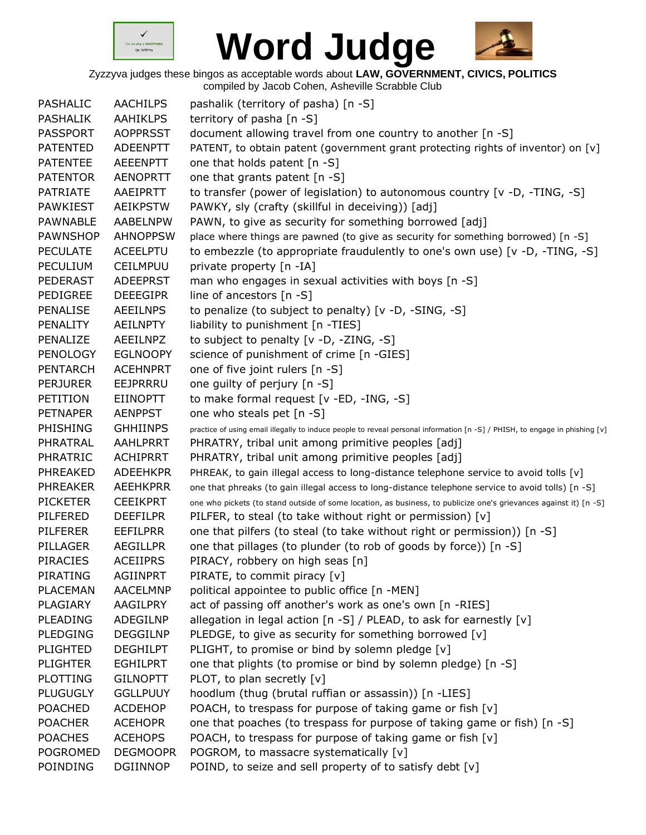



| PASHALIC        | <b>AACHILPS</b> | pashalik (territory of pasha) [n -S]                                                                                        |
|-----------------|-----------------|-----------------------------------------------------------------------------------------------------------------------------|
| <b>PASHALIK</b> | <b>AAHIKLPS</b> | territory of pasha [n -S]                                                                                                   |
| <b>PASSPORT</b> | <b>AOPPRSST</b> | document allowing travel from one country to another [n -S]                                                                 |
| <b>PATENTED</b> | <b>ADEENPTT</b> | PATENT, to obtain patent (government grant protecting rights of inventor) on [v]                                            |
| <b>PATENTEE</b> | AEEENPTT        | one that holds patent [n -S]                                                                                                |
| <b>PATENTOR</b> | <b>AENOPRTT</b> | one that grants patent [n -S]                                                                                               |
| <b>PATRIATE</b> | AAEIPRTT        | to transfer (power of legislation) to autonomous country $[v -D, -TING, -S]$                                                |
| <b>PAWKIEST</b> | <b>AEIKPSTW</b> | PAWKY, sly (crafty (skillful in deceiving)) [adj]                                                                           |
| <b>PAWNABLE</b> | AABELNPW        | PAWN, to give as security for something borrowed [adj]                                                                      |
| <b>PAWNSHOP</b> | <b>AHNOPPSW</b> | place where things are pawned (to give as security for something borrowed) [n -S]                                           |
| <b>PECULATE</b> | <b>ACEELPTU</b> | to embezzle (to appropriate fraudulently to one's own use) [v -D, -TING, -S]                                                |
| <b>PECULIUM</b> | <b>CEILMPUU</b> | private property [n -IA]                                                                                                    |
| PEDERAST        | <b>ADEEPRST</b> | man who engages in sexual activities with boys [n -S]                                                                       |
| <b>PEDIGREE</b> | <b>DEEEGIPR</b> | line of ancestors [n -S]                                                                                                    |
| PENALISE        | <b>AEEILNPS</b> | to penalize (to subject to penalty) [v -D, -SING, -S]                                                                       |
| PENALITY        | <b>AEILNPTY</b> | liability to punishment [n -TIES]                                                                                           |
| PENALIZE        | AEEILNPZ        | to subject to penalty [v -D, -ZING, -S]                                                                                     |
| <b>PENOLOGY</b> | <b>EGLNOOPY</b> | science of punishment of crime [n -GIES]                                                                                    |
| <b>PENTARCH</b> | <b>ACEHNPRT</b> | one of five joint rulers [n -S]                                                                                             |
| <b>PERJURER</b> | EEJPRRRU        | one guilty of perjury [n -S]                                                                                                |
| PETITION        | <b>EIINOPTT</b> | to make formal request [v -ED, -ING, -S]                                                                                    |
| <b>PETNAPER</b> | <b>AENPPST</b>  | one who steals pet [n -S]                                                                                                   |
| PHISHING        | <b>GHHIINPS</b> | practice of using email illegally to induce people to reveal personal information [n -S] / PHISH, to engage in phishing [v] |
| PHRATRAL        | AAHLPRRT        | PHRATRY, tribal unit among primitive peoples [adj]                                                                          |
| PHRATRIC        | <b>ACHIPRRT</b> | PHRATRY, tribal unit among primitive peoples [adj]                                                                          |
| PHREAKED        | <b>ADEEHKPR</b> | PHREAK, to gain illegal access to long-distance telephone service to avoid tolls [v]                                        |
| <b>PHREAKER</b> | <b>AEEHKPRR</b> | one that phreaks (to gain illegal access to long-distance telephone service to avoid tolls) [n -S]                          |
| <b>PICKETER</b> | <b>CEEIKPRT</b> | one who pickets (to stand outside of some location, as business, to publicize one's grievances against it) [n -S]           |
| PILFERED        | <b>DEEFILPR</b> | PILFER, to steal (to take without right or permission) [v]                                                                  |
| <b>PILFERER</b> | <b>EEFILPRR</b> | one that pilfers (to steal (to take without right or permission)) [n -S]                                                    |
| PILLAGER        | <b>AEGILLPR</b> | one that pillages (to plunder (to rob of goods by force)) [n -S]                                                            |
| <b>PIRACIES</b> | <b>ACEIIPRS</b> | PIRACY, robbery on high seas [n]                                                                                            |
| PIRATING        | <b>AGIINPRT</b> | PIRATE, to commit piracy [v]                                                                                                |
| PLACEMAN        | <b>AACELMNP</b> | political appointee to public office [n -MEN]                                                                               |
| PLAGIARY        | AAGILPRY        | act of passing off another's work as one's own [n -RIES]                                                                    |
| PLEADING        | ADEGILNP        | allegation in legal action [n -S] / PLEAD, to ask for earnestly [v]                                                         |
| <b>PLEDGING</b> | <b>DEGGILNP</b> | PLEDGE, to give as security for something borrowed [v]                                                                      |
| <b>PLIGHTED</b> | <b>DEGHILPT</b> | PLIGHT, to promise or bind by solemn pledge [v]                                                                             |
| <b>PLIGHTER</b> | <b>EGHILPRT</b> | one that plights (to promise or bind by solemn pledge) [n -S]                                                               |
| <b>PLOTTING</b> | <b>GILNOPTT</b> | PLOT, to plan secretly [v]                                                                                                  |
| <b>PLUGUGLY</b> | <b>GGLLPUUY</b> | hoodlum (thug (brutal ruffian or assassin)) [n -LIES]                                                                       |
| <b>POACHED</b>  | <b>ACDEHOP</b>  | POACH, to trespass for purpose of taking game or fish [v]                                                                   |
| <b>POACHER</b>  | <b>ACEHOPR</b>  | one that poaches (to trespass for purpose of taking game or fish) [n -S]                                                    |
| <b>POACHES</b>  | <b>ACEHOPS</b>  | POACH, to trespass for purpose of taking game or fish [v]                                                                   |
| <b>POGROMED</b> | <b>DEGMOOPR</b> | POGROM, to massacre systematically [v]                                                                                      |
| POINDING        | <b>DGIINNOP</b> | POIND, to seize and sell property of to satisfy debt [v]                                                                    |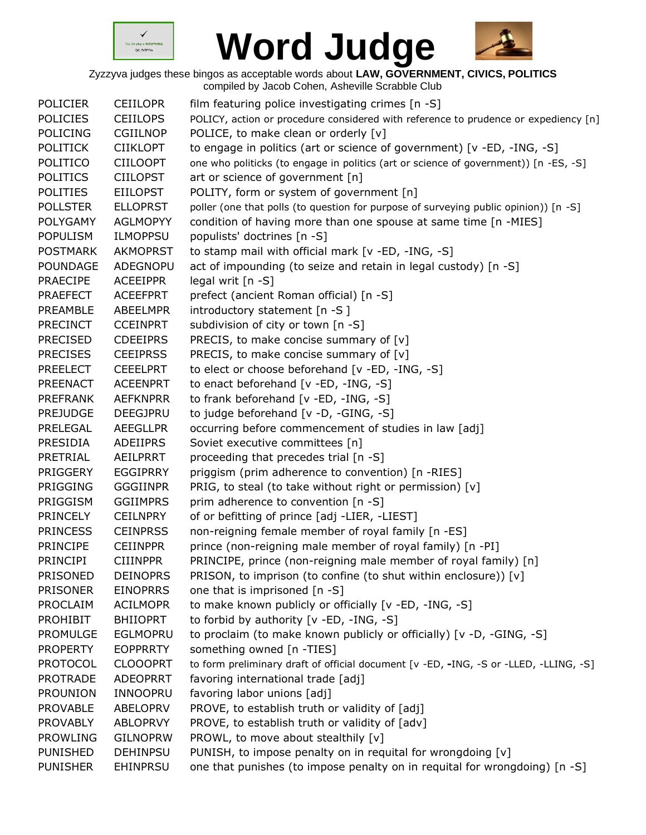



| <b>POLICIER</b> | <b>CEIILOPR</b> | film featuring police investigating crimes [n -S]                                     |
|-----------------|-----------------|---------------------------------------------------------------------------------------|
| <b>POLICIES</b> | <b>CEIILOPS</b> | POLICY, action or procedure considered with reference to prudence or expediency [n]   |
| <b>POLICING</b> | <b>CGIILNOP</b> | POLICE, to make clean or orderly [v]                                                  |
| <b>POLITICK</b> | <b>CIIKLOPT</b> | to engage in politics (art or science of government) [v -ED, -ING, -S]                |
| <b>POLITICO</b> | <b>CIILOOPT</b> | one who politicks (to engage in politics (art or science of government)) [n -ES, -S]  |
| <b>POLITICS</b> | <b>CIILOPST</b> | art or science of government [n]                                                      |
| <b>POLITIES</b> | <b>EIILOPST</b> | POLITY, form or system of government [n]                                              |
| <b>POLLSTER</b> | <b>ELLOPRST</b> | poller (one that polls (to question for purpose of surveying public opinion)) [n -S]  |
| <b>POLYGAMY</b> | <b>AGLMOPYY</b> | condition of having more than one spouse at same time [n -MIES]                       |
| <b>POPULISM</b> | <b>ILMOPPSU</b> | populists' doctrines [n -S]                                                           |
| <b>POSTMARK</b> | <b>AKMOPRST</b> | to stamp mail with official mark [v -ED, -ING, -S]                                    |
| POUNDAGE        | <b>ADEGNOPU</b> | act of impounding (to seize and retain in legal custody) [n -S]                       |
| <b>PRAECIPE</b> | <b>ACEEIPPR</b> | legal writ [n -S]                                                                     |
| <b>PRAEFECT</b> | <b>ACEEFPRT</b> | prefect (ancient Roman official) [n -S]                                               |
| PREAMBLE        | <b>ABEELMPR</b> | introductory statement [n -S]                                                         |
| <b>PRECINCT</b> | <b>CCEINPRT</b> | subdivision of city or town [n -S]                                                    |
| <b>PRECISED</b> | <b>CDEEIPRS</b> | PRECIS, to make concise summary of $[v]$                                              |
| <b>PRECISES</b> | <b>CEEIPRSS</b> | PRECIS, to make concise summary of [v]                                                |
| <b>PREELECT</b> | <b>CEEELPRT</b> | to elect or choose beforehand [v -ED, -ING, -S]                                       |
| <b>PREENACT</b> | <b>ACEENPRT</b> | to enact beforehand [v -ED, -ING, -S]                                                 |
| <b>PREFRANK</b> | <b>AEFKNPRR</b> | to frank beforehand [v -ED, -ING, -S]                                                 |
| <b>PREJUDGE</b> | DEEGJPRU        | to judge beforehand [v -D, -GING, -S]                                                 |
| PRELEGAL        | <b>AEEGLLPR</b> | occurring before commencement of studies in law [adj]                                 |
| PRESIDIA        | ADEIIPRS        | Soviet executive committees [n]                                                       |
| PRETRIAL        | AEILPRRT        | proceeding that precedes trial [n -S]                                                 |
| PRIGGERY        | <b>EGGIPRRY</b> | priggism (prim adherence to convention) [n -RIES]                                     |
| <b>PRIGGING</b> | <b>GGGIINPR</b> | PRIG, to steal (to take without right or permission) [v]                              |
| PRIGGISM        | <b>GGIIMPRS</b> | prim adherence to convention [n -S]                                                   |
| <b>PRINCELY</b> | <b>CEILNPRY</b> | of or befitting of prince [adj -LIER, -LIEST]                                         |
| <b>PRINCESS</b> | <b>CEINPRSS</b> | non-reigning female member of royal family [n -ES]                                    |
| <b>PRINCIPE</b> | <b>CEIINPPR</b> | prince (non-reigning male member of royal family) [n -PI]                             |
| <b>PRINCIPI</b> | <b>CIIINPPR</b> | PRINCIPE, prince (non-reigning male member of royal family) [n]                       |
| <b>PRISONED</b> | <b>DEINOPRS</b> | PRISON, to imprison (to confine (to shut within enclosure)) [v]                       |
| <b>PRISONER</b> | <b>EINOPRRS</b> | one that is imprisoned [n -S]                                                         |
| PROCLAIM        | <b>ACILMOPR</b> | to make known publicly or officially [v -ED, -ING, -S]                                |
| <b>PROHIBIT</b> | <b>BHIIOPRT</b> | to forbid by authority [v -ED, -ING, -S]                                              |
| <b>PROMULGE</b> | <b>EGLMOPRU</b> | to proclaim (to make known publicly or officially) [v -D, -GING, -S]                  |
| <b>PROPERTY</b> | <b>EOPPRRTY</b> | something owned [n -TIES]                                                             |
| <b>PROTOCOL</b> | <b>CLOOOPRT</b> | to form preliminary draft of official document [v -ED, -ING, -S or -LLED, -LLING, -S] |
| <b>PROTRADE</b> | <b>ADEOPRRT</b> | favoring international trade [adj]                                                    |
| <b>PROUNION</b> | INNOOPRU        | favoring labor unions [adj]                                                           |
| <b>PROVABLE</b> | ABELOPRV        | PROVE, to establish truth or validity of [adj]                                        |
| <b>PROVABLY</b> | <b>ABLOPRVY</b> | PROVE, to establish truth or validity of [adv]                                        |
| <b>PROWLING</b> | <b>GILNOPRW</b> | PROWL, to move about stealthily [v]                                                   |
| <b>PUNISHED</b> | <b>DEHINPSU</b> | PUNISH, to impose penalty on in requital for wrongdoing [v]                           |
| <b>PUNISHER</b> | <b>EHINPRSU</b> | one that punishes (to impose penalty on in requital for wrongdoing) [n -S]            |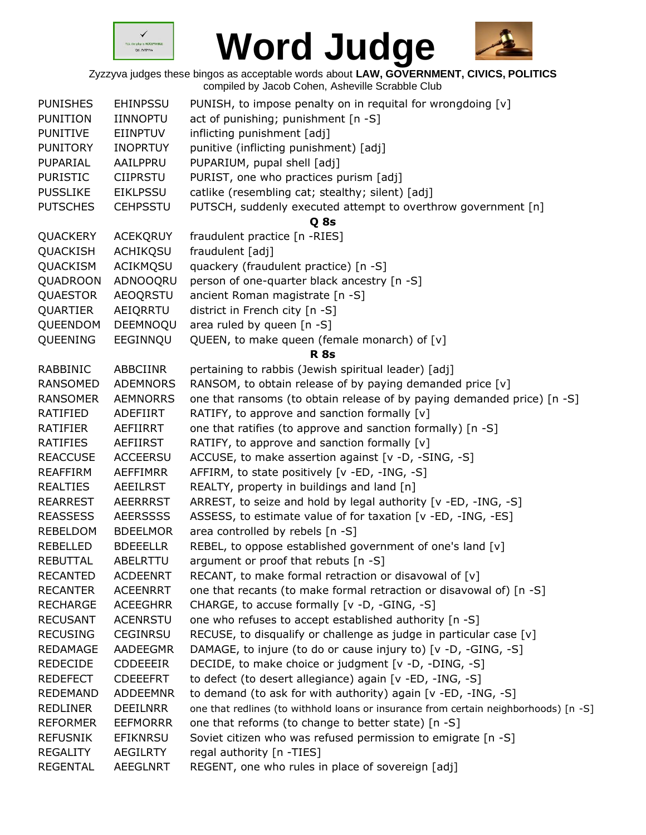



| <b>PUNISHES</b> | <b>EHINPSSU</b> | PUNISH, to impose penalty on in requital for wrongdoing [v]                          |
|-----------------|-----------------|--------------------------------------------------------------------------------------|
| <b>PUNITION</b> | <b>IINNOPTU</b> | act of punishing; punishment [n -S]                                                  |
| <b>PUNITIVE</b> | <b>EIINPTUV</b> | inflicting punishment [adj]                                                          |
| <b>PUNITORY</b> | <b>INOPRTUY</b> | punitive (inflicting punishment) [adj]                                               |
| PUPARIAL        | AAILPPRU        | PUPARIUM, pupal shell [adj]                                                          |
| <b>PURISTIC</b> | <b>CIIPRSTU</b> | PURIST, one who practices purism [adj]                                               |
| <b>PUSSLIKE</b> | <b>EIKLPSSU</b> | catlike (resembling cat; stealthy; silent) [adj]                                     |
| <b>PUTSCHES</b> | <b>CEHPSSTU</b> | PUTSCH, suddenly executed attempt to overthrow government [n]                        |
|                 |                 | Q 8s                                                                                 |
| QUACKERY        | <b>ACEKQRUY</b> | fraudulent practice [n -RIES]                                                        |
| QUACKISH        | <b>ACHIKQSU</b> | fraudulent [adj]                                                                     |
| QUACKISM        | ACIKMQSU        | quackery (fraudulent practice) [n -S]                                                |
| QUADROON        | ADNOOQRU        | person of one-quarter black ancestry [n -S]                                          |
| QUAESTOR        | <b>AEOQRSTU</b> | ancient Roman magistrate [n -S]                                                      |
| QUARTIER        | AEIQRRTU        | district in French city [n -S]                                                       |
| QUEENDOM        | DEEMNOQU        | area ruled by queen [n -S]                                                           |
| <b>QUEENING</b> | EEGINNQU        | QUEEN, to make queen (female monarch) of [v]                                         |
|                 |                 | <b>R</b> 8s                                                                          |
|                 |                 |                                                                                      |
| RABBINIC        | ABBCIINR        | pertaining to rabbis (Jewish spiritual leader) [adj]                                 |
| <b>RANSOMED</b> | <b>ADEMNORS</b> | RANSOM, to obtain release of by paying demanded price [v]                            |
| <b>RANSOMER</b> | <b>AEMNORRS</b> | one that ransoms (to obtain release of by paying demanded price) [n -S]              |
| RATIFIED        | ADEFIIRT        | RATIFY, to approve and sanction formally [v]                                         |
| RATIFIER        | AEFIIRRT        | one that ratifies (to approve and sanction formally) [n -S]                          |
| <b>RATIFIES</b> | AEFIIRST        | RATIFY, to approve and sanction formally [v]                                         |
| <b>REACCUSE</b> | ACCEERSU        | ACCUSE, to make assertion against [v -D, -SING, -S]                                  |
| <b>REAFFIRM</b> | AEFFIMRR        | AFFIRM, to state positively [v -ED, -ING, -S]                                        |
| <b>REALTIES</b> | <b>AEEILRST</b> | REALTY, property in buildings and land [n]                                           |
| <b>REARREST</b> | <b>AEERRRST</b> | ARREST, to seize and hold by legal authority [v -ED, -ING, -S]                       |
| <b>REASSESS</b> | <b>AEERSSSS</b> | ASSESS, to estimate value of for taxation [v -ED, -ING, -ES]                         |
| REBELDOM        | <b>BDEELMOR</b> | area controlled by rebels [n -S]                                                     |
| <b>REBELLED</b> | <b>BDEEELLR</b> | REBEL, to oppose established government of one's land [v]                            |
| <b>REBUTTAL</b> | ABELRTTU        | argument or proof that rebuts [n -S]                                                 |
| <b>RECANTED</b> | <b>ACDEENRT</b> | RECANT, to make formal retraction or disavowal of [v]                                |
| <b>RECANTER</b> | <b>ACEENRRT</b> | one that recants (to make formal retraction or disavowal of) [n -S]                  |
| <b>RECHARGE</b> | <b>ACEEGHRR</b> | CHARGE, to accuse formally [v -D, -GING, -S]                                         |
| <b>RECUSANT</b> | ACENRSTU        | one who refuses to accept established authority [n -S]                               |
| <b>RECUSING</b> | <b>CEGINRSU</b> | RECUSE, to disqualify or challenge as judge in particular case [v]                   |
| <b>REDAMAGE</b> | AADEEGMR        | DAMAGE, to injure (to do or cause injury to) [v -D, -GING, -S]                       |
| <b>REDECIDE</b> | <b>CDDEEEIR</b> | DECIDE, to make choice or judgment [v -D, -DING, -S]                                 |
| <b>REDEFECT</b> | <b>CDEEEFRT</b> | to defect (to desert allegiance) again [v -ED, -ING, -S]                             |
| <b>REDEMAND</b> | <b>ADDEEMNR</b> | to demand (to ask for with authority) again [v -ED, -ING, -S]                        |
| <b>REDLINER</b> | <b>DEEILNRR</b> | one that redlines (to withhold loans or insurance from certain neighborhoods) [n -S] |
| <b>REFORMER</b> | <b>EEFMORRR</b> | one that reforms (to change to better state) [n -S]                                  |
| <b>REFUSNIK</b> | <b>EFIKNRSU</b> | Soviet citizen who was refused permission to emigrate [n -S]                         |
| <b>REGALITY</b> | <b>AEGILRTY</b> | regal authority [n -TIES]                                                            |
| <b>REGENTAL</b> | <b>AEEGLNRT</b> | REGENT, one who rules in place of sovereign [adj]                                    |
|                 |                 |                                                                                      |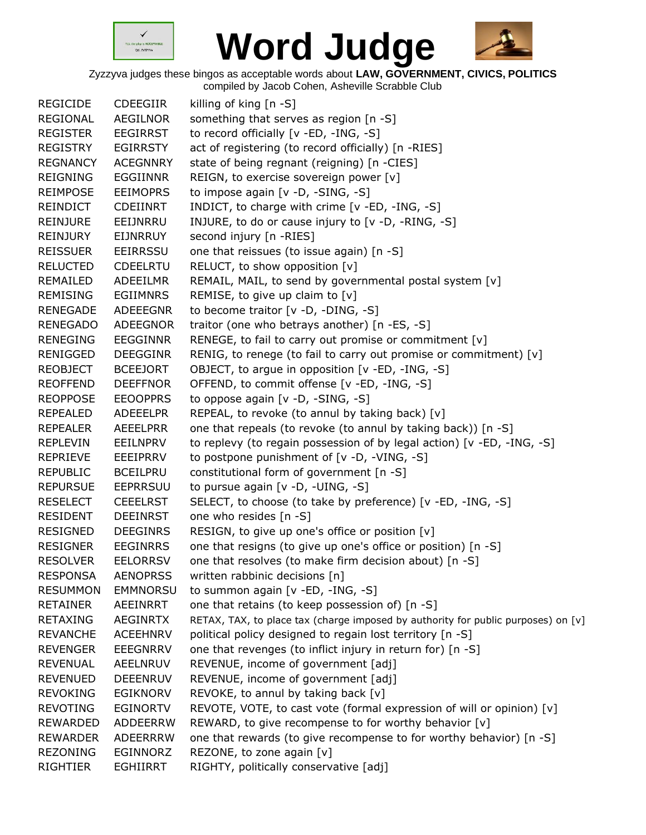



| <b>REGICIDE</b> | <b>CDEEGIIR</b> | killing of king [n -S]                                                            |
|-----------------|-----------------|-----------------------------------------------------------------------------------|
| <b>REGIONAL</b> | <b>AEGILNOR</b> | something that serves as region [n -S]                                            |
| <b>REGISTER</b> | <b>EEGIRRST</b> | to record officially [v -ED, -ING, -S]                                            |
| <b>REGISTRY</b> | <b>EGIRRSTY</b> | act of registering (to record officially) [n -RIES]                               |
| <b>REGNANCY</b> | <b>ACEGNNRY</b> | state of being regnant (reigning) [n -CIES]                                       |
| <b>REIGNING</b> | <b>EGGIINNR</b> | REIGN, to exercise sovereign power [v]                                            |
| <b>REIMPOSE</b> | <b>EEIMOPRS</b> | to impose again [v -D, -SING, -S]                                                 |
| <b>REINDICT</b> | <b>CDEIINRT</b> | INDICT, to charge with crime [v -ED, -ING, -S]                                    |
| <b>REINJURE</b> | EEIJNRRU        | INJURE, to do or cause injury to [v -D, -RING, -S]                                |
| REINJURY        | <b>EIJNRRUY</b> | second injury [n -RIES]                                                           |
| <b>REISSUER</b> | EEIRRSSU        | one that reissues (to issue again) [n -S]                                         |
| <b>RELUCTED</b> | <b>CDEELRTU</b> | RELUCT, to show opposition [v]                                                    |
| REMAILED        | ADEEILMR        | REMAIL, MAIL, to send by governmental postal system [v]                           |
| <b>REMISING</b> | EGIIMNRS        | REMISE, to give up claim to $[v]$                                                 |
| <b>RENEGADE</b> | <b>ADEEEGNR</b> | to become traitor [v -D, -DING, -S]                                               |
| <b>RENEGADO</b> | <b>ADEEGNOR</b> | traitor (one who betrays another) [n -ES, -S]                                     |
| <b>RENEGING</b> | <b>EEGGINNR</b> | RENEGE, to fail to carry out promise or commitment [v]                            |
| RENIGGED        | <b>DEEGGINR</b> | RENIG, to renege (to fail to carry out promise or commitment) [v]                 |
| <b>REOBJECT</b> | <b>BCEEJORT</b> | OBJECT, to argue in opposition [v -ED, -ING, -S]                                  |
| <b>REOFFEND</b> | <b>DEEFFNOR</b> | OFFEND, to commit offense [v -ED, -ING, -S]                                       |
| <b>REOPPOSE</b> | <b>EEOOPPRS</b> | to oppose again [v -D, -SING, -S]                                                 |
| <b>REPEALED</b> | <b>ADEEELPR</b> | REPEAL, to revoke (to annul by taking back) [v]                                   |
| <b>REPEALER</b> | AEEELPRR        | one that repeals (to revoke (to annul by taking back)) [n -S]                     |
| <b>REPLEVIN</b> | EEILNPRV        | to replevy (to regain possession of by legal action) [v -ED, -ING, -S]            |
| <b>REPRIEVE</b> | EEEIPRRV        | to postpone punishment of [v -D, -VING, -S]                                       |
| <b>REPUBLIC</b> | <b>BCEILPRU</b> | constitutional form of government [n -S]                                          |
| <b>REPURSUE</b> | <b>EEPRRSUU</b> | to pursue again [v -D, -UING, -S]                                                 |
| <b>RESELECT</b> | <b>CEEELRST</b> | SELECT, to choose (to take by preference) [v -ED, -ING, -S]                       |
| <b>RESIDENT</b> | <b>DEEINRST</b> | one who resides [n -S]                                                            |
| <b>RESIGNED</b> | <b>DEEGINRS</b> | RESIGN, to give up one's office or position [v]                                   |
| <b>RESIGNER</b> | <b>EEGINRRS</b> | one that resigns (to give up one's office or position) [n -S]                     |
| <b>RESOLVER</b> | <b>EELORRSV</b> | one that resolves (to make firm decision about) [n -S]                            |
| <b>RESPONSA</b> | <b>AENOPRSS</b> | written rabbinic decisions [n]                                                    |
| <b>RESUMMON</b> | <b>EMMNORSU</b> | to summon again [v -ED, -ING, -S]                                                 |
| <b>RETAINER</b> | AEEINRRT        | one that retains (to keep possession of) [n -S]                                   |
| <b>RETAXING</b> | <b>AEGINRTX</b> | RETAX, TAX, to place tax (charge imposed by authority for public purposes) on [v] |
| <b>REVANCHE</b> | <b>ACEEHNRV</b> | political policy designed to regain lost territory [n -S]                         |
| <b>REVENGER</b> | <b>EEEGNRRV</b> | one that revenges (to inflict injury in return for) [n -S]                        |
| <b>REVENUAL</b> | AEELNRUV        | REVENUE, income of government [adj]                                               |
| <b>REVENUED</b> | <b>DEEENRUV</b> | REVENUE, income of government [adj]                                               |
| <b>REVOKING</b> | <b>EGIKNORV</b> | REVOKE, to annul by taking back [v]                                               |
| <b>REVOTING</b> | <b>EGINORTV</b> | REVOTE, VOTE, to cast vote (formal expression of will or opinion) [v]             |
| <b>REWARDED</b> | <b>ADDEERRW</b> | REWARD, to give recompense to for worthy behavior [v]                             |
| <b>REWARDER</b> | <b>ADEERRRW</b> | one that rewards (to give recompense to for worthy behavior) [n -S]               |
| <b>REZONING</b> | EGINNORZ        | REZONE, to zone again [v]                                                         |
| RIGHTIER        | <b>EGHIIRRT</b> | RIGHTY, politically conservative [adj]                                            |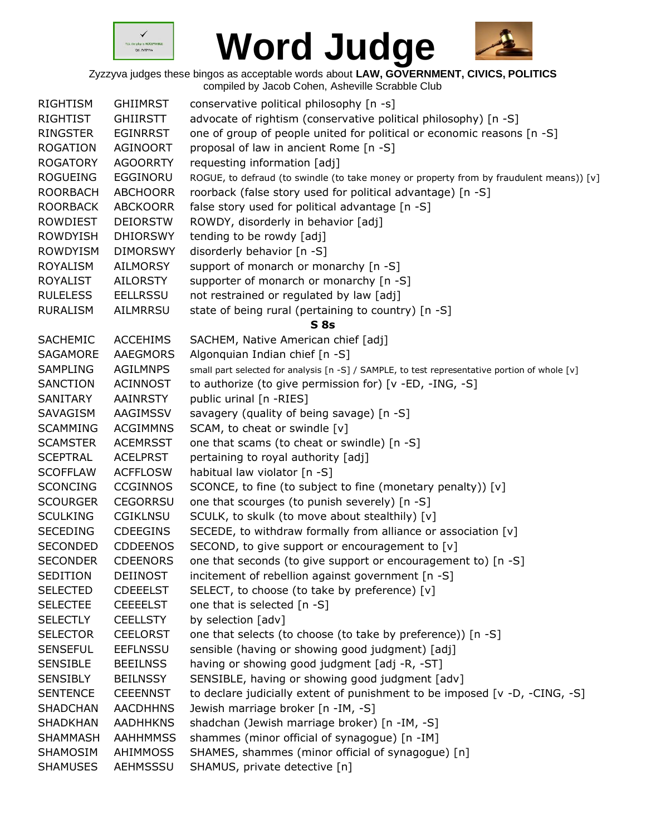



| <b>RIGHTISM</b> | <b>GHIIMRST</b> | conservative political philosophy [n -s]                                                      |
|-----------------|-----------------|-----------------------------------------------------------------------------------------------|
| <b>RIGHTIST</b> | <b>GHIIRSTT</b> | advocate of rightism (conservative political philosophy) [n -S]                               |
| <b>RINGSTER</b> | <b>EGINRRST</b> | one of group of people united for political or economic reasons [n -S]                        |
| <b>ROGATION</b> | AGINOORT        | proposal of law in ancient Rome [n -S]                                                        |
| <b>ROGATORY</b> | <b>AGOORRTY</b> | requesting information [adj]                                                                  |
| <b>ROGUEING</b> | EGGINORU        | ROGUE, to defraud (to swindle (to take money or property from by fraudulent means)) [v]       |
| <b>ROORBACH</b> | <b>ABCHOORR</b> | roorback (false story used for political advantage) [n -S]                                    |
| <b>ROORBACK</b> | <b>ABCKOORR</b> | false story used for political advantage [n -S]                                               |
| <b>ROWDIEST</b> | <b>DEIORSTW</b> | ROWDY, disorderly in behavior [adj]                                                           |
| <b>ROWDYISH</b> | <b>DHIORSWY</b> | tending to be rowdy [adj]                                                                     |
| <b>ROWDYISM</b> | <b>DIMORSWY</b> | disorderly behavior [n -S]                                                                    |
| <b>ROYALISM</b> | <b>AILMORSY</b> | support of monarch or monarchy [n -S]                                                         |
| <b>ROYALIST</b> | <b>AILORSTY</b> | supporter of monarch or monarchy [n -S]                                                       |
| <b>RULELESS</b> | <b>EELLRSSU</b> | not restrained or regulated by law [adj]                                                      |
| <b>RURALISM</b> | AILMRRSU        | state of being rural (pertaining to country) [n -S]                                           |
|                 |                 | $S$ 8s                                                                                        |
| <b>SACHEMIC</b> | <b>ACCEHIMS</b> | SACHEM, Native American chief [adj]                                                           |
| SAGAMORE        | <b>AAEGMORS</b> | Algonquian Indian chief [n -S]                                                                |
| <b>SAMPLING</b> | <b>AGILMNPS</b> | small part selected for analysis [n -S] / SAMPLE, to test representative portion of whole [v] |
| <b>SANCTION</b> | <b>ACINNOST</b> | to authorize (to give permission for) [v -ED, -ING, -S]                                       |
| SANITARY        | AAINRSTY        | public urinal [n -RIES]                                                                       |
| SAVAGISM        | AAGIMSSV        | savagery (quality of being savage) [n -S]                                                     |
| <b>SCAMMING</b> | <b>ACGIMMNS</b> | SCAM, to cheat or swindle [v]                                                                 |
| <b>SCAMSTER</b> | <b>ACEMRSST</b> | one that scams (to cheat or swindle) [n -S]                                                   |
| <b>SCEPTRAL</b> | <b>ACELPRST</b> | pertaining to royal authority [adj]                                                           |
| <b>SCOFFLAW</b> | <b>ACFFLOSW</b> | habitual law violator [n -S]                                                                  |
| <b>SCONCING</b> | <b>CCGINNOS</b> | SCONCE, to fine (to subject to fine (monetary penalty)) [v]                                   |
| <b>SCOURGER</b> | <b>CEGORRSU</b> | one that scourges (to punish severely) [n -S]                                                 |
| <b>SCULKING</b> | <b>CGIKLNSU</b> | SCULK, to skulk (to move about stealthily) [v]                                                |
| <b>SECEDING</b> | <b>CDEEGINS</b> | SECEDE, to withdraw formally from alliance or association [v]                                 |
| <b>SECONDED</b> | <b>CDDEENOS</b> | SECOND, to give support or encouragement to [v]                                               |
| <b>SECONDER</b> | <b>CDEENORS</b> | one that seconds (to give support or encouragement to) [n -S]                                 |
| SEDITION        | <b>DEIINOST</b> | incitement of rebellion against government [n -S]                                             |
| <b>SELECTED</b> | <b>CDEEELST</b> | SELECT, to choose (to take by preference) [v]                                                 |
| <b>SELECTEE</b> | <b>CEEEELST</b> | one that is selected [n -S]                                                                   |
| <b>SELECTLY</b> | <b>CEELLSTY</b> | by selection [adv]                                                                            |
| <b>SELECTOR</b> | <b>CEELORST</b> | one that selects (to choose (to take by preference)) [n -S]                                   |
| <b>SENSEFUL</b> | <b>EEFLNSSU</b> | sensible (having or showing good judgment) [adj]                                              |
| <b>SENSIBLE</b> | <b>BEEILNSS</b> | having or showing good judgment [adj -R, -ST]                                                 |
| <b>SENSIBLY</b> | <b>BEILNSSY</b> | SENSIBLE, having or showing good judgment [adv]                                               |
| <b>SENTENCE</b> | <b>CEEENNST</b> | to declare judicially extent of punishment to be imposed [v -D, -CING, -S]                    |
| <b>SHADCHAN</b> | <b>AACDHHNS</b> | Jewish marriage broker [n -IM, -S]                                                            |
| <b>SHADKHAN</b> | <b>AADHHKNS</b> | shadchan (Jewish marriage broker) [n -IM, -S]                                                 |
| <b>SHAMMASH</b> | <b>AAHHMMSS</b> | shammes (minor official of synagogue) [n -IM]                                                 |
| SHAMOSIM        | AHIMMOSS        | SHAMES, shammes (minor official of synagogue) [n]                                             |
| <b>SHAMUSES</b> | AEHMSSSU        | SHAMUS, private detective [n]                                                                 |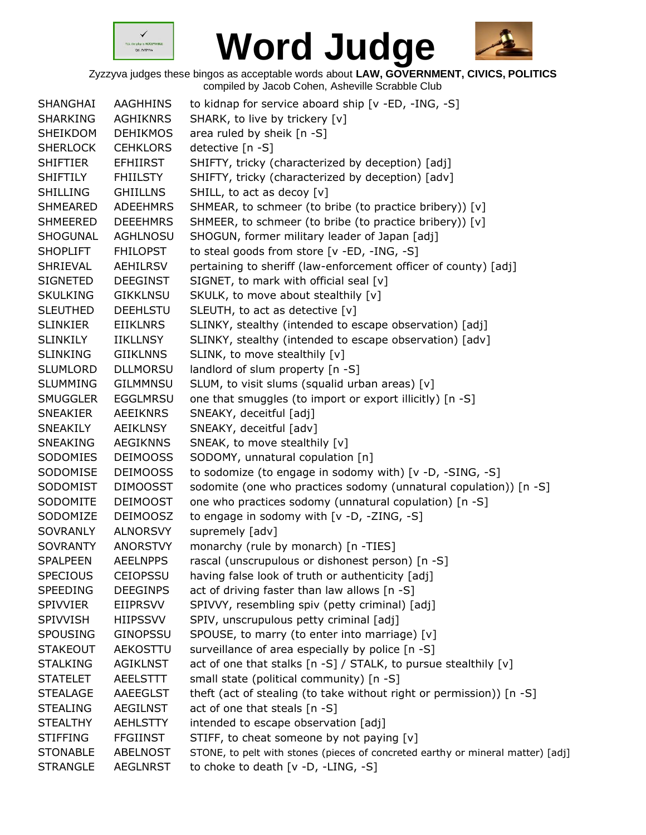



| SHANGHAI        | AAGHHINS        | to kidnap for service aboard ship [v -ED, -ING, -S]                             |
|-----------------|-----------------|---------------------------------------------------------------------------------|
| <b>SHARKING</b> | <b>AGHIKNRS</b> | SHARK, to live by trickery [v]                                                  |
| SHEIKDOM        | <b>DEHIKMOS</b> | area ruled by sheik [n -S]                                                      |
| <b>SHERLOCK</b> | <b>CEHKLORS</b> | detective [n -S]                                                                |
| <b>SHIFTIER</b> | EFHIIRST        | SHIFTY, tricky (characterized by deception) [adj]                               |
| <b>SHIFTILY</b> | <b>FHIILSTY</b> | SHIFTY, tricky (characterized by deception) [adv]                               |
| <b>SHILLING</b> | <b>GHIILLNS</b> | SHILL, to act as decoy [v]                                                      |
| <b>SHMEARED</b> | <b>ADEEHMRS</b> | SHMEAR, to schmeer (to bribe (to practice bribery)) [v]                         |
| <b>SHMEERED</b> | <b>DEEEHMRS</b> | SHMEER, to schmeer (to bribe (to practice bribery)) [v]                         |
| SHOGUNAL        | <b>AGHLNOSU</b> | SHOGUN, former military leader of Japan [adj]                                   |
| <b>SHOPLIFT</b> | <b>FHILOPST</b> | to steal goods from store [v -ED, -ING, -S]                                     |
| SHRIEVAL        | AEHILRSV        | pertaining to sheriff (law-enforcement officer of county) [adj]                 |
| <b>SIGNETED</b> | <b>DEEGINST</b> | SIGNET, to mark with official seal [v]                                          |
| <b>SKULKING</b> | <b>GIKKLNSU</b> | SKULK, to move about stealthily [v]                                             |
| <b>SLEUTHED</b> | <b>DEEHLSTU</b> | SLEUTH, to act as detective [v]                                                 |
| <b>SLINKIER</b> | <b>EIIKLNRS</b> | SLINKY, stealthy (intended to escape observation) [adj]                         |
| <b>SLINKILY</b> | IIKLLNSY        | SLINKY, stealthy (intended to escape observation) [adv]                         |
| <b>SLINKING</b> | <b>GIIKLNNS</b> | SLINK, to move stealthily [v]                                                   |
| <b>SLUMLORD</b> | <b>DLLMORSU</b> | landlord of slum property [n -S]                                                |
| <b>SLUMMING</b> | <b>GILMMNSU</b> | SLUM, to visit slums (squalid urban areas) [v]                                  |
| <b>SMUGGLER</b> | <b>EGGLMRSU</b> | one that smuggles (to import or export illicitly) [n -S]                        |
| <b>SNEAKIER</b> | <b>AEEIKNRS</b> | SNEAKY, deceitful [adj]                                                         |
| SNEAKILY        | AEIKLNSY        | SNEAKY, deceitful [adv]                                                         |
| SNEAKING        | <b>AEGIKNNS</b> | SNEAK, to move stealthily [v]                                                   |
| SODOMIES        | <b>DEIMOOSS</b> | SODOMY, unnatural copulation [n]                                                |
| SODOMISE        | <b>DEIMOOSS</b> | to sodomize (to engage in sodomy with) [v -D, -SING, -S]                        |
| SODOMIST        | <b>DIMOOSST</b> | sodomite (one who practices sodomy (unnatural copulation)) [n -S]               |
| SODOMITE        | <b>DEIMOOST</b> | one who practices sodomy (unnatural copulation) [n -S]                          |
| SODOMIZE        | <b>DEIMOOSZ</b> | to engage in sodomy with [v -D, -ZING, -S]                                      |
| SOVRANLY        | <b>ALNORSVY</b> | supremely [adv]                                                                 |
| <b>SOVRANTY</b> | <b>ANORSTVY</b> | monarchy (rule by monarch) [n -TIES]                                            |
| <b>SPALPEEN</b> | <b>AEELNPPS</b> | rascal (unscrupulous or dishonest person) [n -S]                                |
| <b>SPECIOUS</b> | <b>CEIOPSSU</b> | having false look of truth or authenticity [adj]                                |
| <b>SPEEDING</b> | <b>DEEGINPS</b> | act of driving faster than law allows [n -S]                                    |
| SPIVVIER        | EIIPRSVV        | SPIVVY, resembling spiv (petty criminal) [adj]                                  |
| SPIVVISH        | HIIPSSVV        | SPIV, unscrupulous petty criminal [adj]                                         |
| <b>SPOUSING</b> | GINOPSSU        | SPOUSE, to marry (to enter into marriage) [v]                                   |
| <b>STAKEOUT</b> | AEKOSTTU        | surveillance of area especially by police [n -S]                                |
| <b>STALKING</b> | <b>AGIKLNST</b> | act of one that stalks [n -S] / STALK, to pursue stealthily [v]                 |
| <b>STATELET</b> | <b>AEELSTTT</b> | small state (political community) [n -S]                                        |
| <b>STEALAGE</b> | <b>AAEEGLST</b> | theft (act of stealing (to take without right or permission)) [n -S]            |
| <b>STEALING</b> | <b>AEGILNST</b> | act of one that steals [n -S]                                                   |
| <b>STEALTHY</b> | <b>AEHLSTTY</b> | intended to escape observation [adj]                                            |
| <b>STIFFING</b> | <b>FFGIINST</b> | STIFF, to cheat someone by not paying [v]                                       |
| <b>STONABLE</b> | <b>ABELNOST</b> | STONE, to pelt with stones (pieces of concreted earthy or mineral matter) [adj] |
| <b>STRANGLE</b> | <b>AEGLNRST</b> | to choke to death [v -D, -LING, -S]                                             |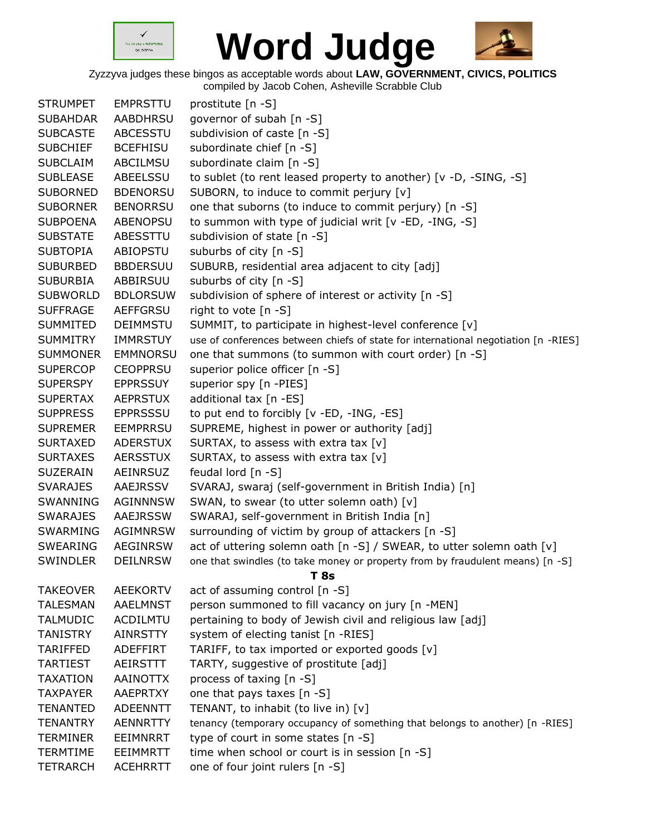



| <b>STRUMPET</b> | <b>EMPRSTTU</b> | prostitute [n -S]                                                                  |
|-----------------|-----------------|------------------------------------------------------------------------------------|
| <b>SUBAHDAR</b> | <b>AABDHRSU</b> | governor of subah [n -S]                                                           |
| <b>SUBCASTE</b> | <b>ABCESSTU</b> | subdivision of caste [n -S]                                                        |
| <b>SUBCHIEF</b> | <b>BCEFHISU</b> | subordinate chief [n -S]                                                           |
| <b>SUBCLAIM</b> | ABCILMSU        | subordinate claim [n -S]                                                           |
| <b>SUBLEASE</b> | ABEELSSU        | to sublet (to rent leased property to another) [v -D, -SING, -S]                   |
| <b>SUBORNED</b> | <b>BDENORSU</b> | SUBORN, to induce to commit perjury [v]                                            |
| <b>SUBORNER</b> | <b>BENORRSU</b> | one that suborns (to induce to commit perjury) [n -S]                              |
| <b>SUBPOENA</b> | <b>ABENOPSU</b> | to summon with type of judicial writ [v -ED, -ING, -S]                             |
| <b>SUBSTATE</b> | ABESSTTU        | subdivision of state [n -S]                                                        |
| <b>SUBTOPIA</b> | ABIOPSTU        | suburbs of city [n -S]                                                             |
| <b>SUBURBED</b> | <b>BBDERSUU</b> | SUBURB, residential area adjacent to city [adj]                                    |
| <b>SUBURBIA</b> | ABBIRSUU        | suburbs of city [n -S]                                                             |
| <b>SUBWORLD</b> | <b>BDLORSUW</b> | subdivision of sphere of interest or activity [n -S]                               |
| <b>SUFFRAGE</b> | <b>AEFFGRSU</b> | right to vote [n -S]                                                               |
| SUMMITED        | <b>DEIMMSTU</b> | SUMMIT, to participate in highest-level conference [v]                             |
| <b>SUMMITRY</b> | <b>IMMRSTUY</b> | use of conferences between chiefs of state for international negotiation [n -RIES] |
| <b>SUMMONER</b> | <b>EMMNORSU</b> | one that summons (to summon with court order) [n -S]                               |
| <b>SUPERCOP</b> | <b>CEOPPRSU</b> | superior police officer [n -S]                                                     |
| <b>SUPERSPY</b> | <b>EPPRSSUY</b> | superior spy [n -PIES]                                                             |
| <b>SUPERTAX</b> | <b>AEPRSTUX</b> | additional tax [n -ES]                                                             |
| <b>SUPPRESS</b> | <b>EPPRSSSU</b> | to put end to forcibly [v -ED, -ING, -ES]                                          |
| <b>SUPREMER</b> | <b>EEMPRRSU</b> | SUPREME, highest in power or authority [adj]                                       |
| <b>SURTAXED</b> | <b>ADERSTUX</b> | SURTAX, to assess with extra tax [v]                                               |
| <b>SURTAXES</b> | <b>AERSSTUX</b> | SURTAX, to assess with extra tax [v]                                               |
| SUZERAIN        | AEINRSUZ        | feudal lord [n -S]                                                                 |
| <b>SVARAJES</b> | AAEJRSSV        | SVARAJ, swaraj (self-government in British India) [n]                              |
| SWANNING        | <b>AGINNNSW</b> | SWAN, to swear (to utter solemn oath) [v]                                          |
| <b>SWARAJES</b> | <b>AAEJRSSW</b> | SWARAJ, self-government in British India [n]                                       |
| SWARMING        | <b>AGIMNRSW</b> | surrounding of victim by group of attackers [n -S]                                 |
| SWEARING        | <b>AEGINRSW</b> | act of uttering solemn oath [n -S] / SWEAR, to utter solemn oath [v]               |
| <b>SWINDLER</b> | <b>DEILNRSW</b> | one that swindles (to take money or property from by fraudulent means) [n -S]      |
|                 |                 | T 8s                                                                               |
| <b>TAKEOVER</b> | <b>AEEKORTV</b> | act of assuming control [n -S]                                                     |
| <b>TALESMAN</b> | <b>AAELMNST</b> | person summoned to fill vacancy on jury [n -MEN]                                   |
| <b>TALMUDIC</b> | <b>ACDILMTU</b> | pertaining to body of Jewish civil and religious law [adj]                         |
| <b>TANISTRY</b> | <b>AINRSTTY</b> | system of electing tanist [n -RIES]                                                |
| <b>TARIFFED</b> | ADEFFIRT        | TARIFF, to tax imported or exported goods [v]                                      |
| <b>TARTIEST</b> | AEIRSTTT        | TARTY, suggestive of prostitute [adj]                                              |
| <b>TAXATION</b> | <b>AAINOTTX</b> | process of taxing [n -S]                                                           |
| <b>TAXPAYER</b> | <b>AAEPRTXY</b> | one that pays taxes [n -S]                                                         |
| <b>TENANTED</b> | <b>ADEENNTT</b> | TENANT, to inhabit (to live in) [v]                                                |
| <b>TENANTRY</b> | <b>AENNRTTY</b> | tenancy (temporary occupancy of something that belongs to another) [n -RIES]       |
| <b>TERMINER</b> | <b>EEIMNRRT</b> | type of court in some states [n -S]                                                |
| <b>TERMTIME</b> | EEIMMRTT        | time when school or court is in session [n -S]                                     |
| <b>TETRARCH</b> | <b>ACEHRRTT</b> | one of four joint rulers [n -S]                                                    |
|                 |                 |                                                                                    |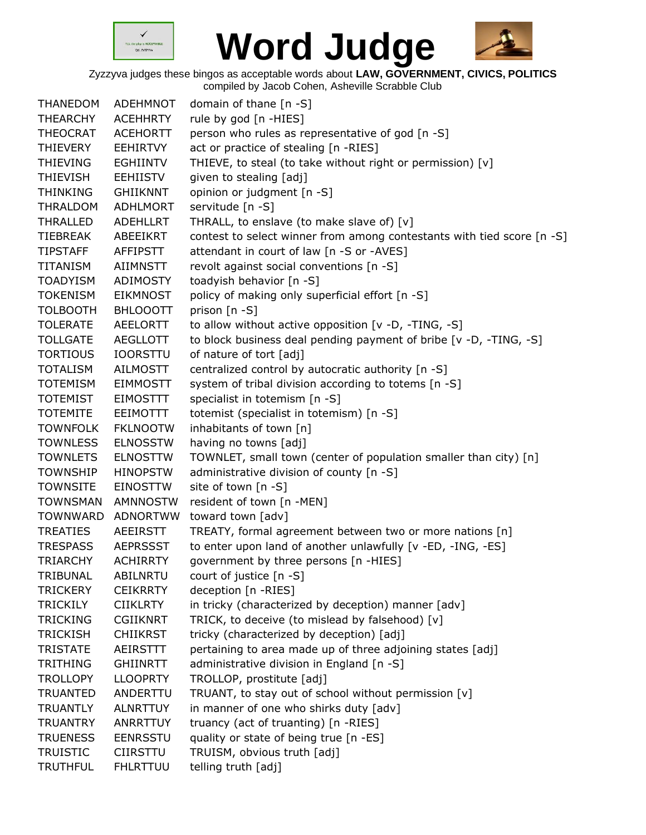



| <b>THANEDOM</b><br><b>THEARCHY</b> | ADEHMNOT<br><b>ACEHHRTY</b> | domain of thane [n -S]<br>rule by god [n -HIES]                        |
|------------------------------------|-----------------------------|------------------------------------------------------------------------|
| <b>THEOCRAT</b>                    | <b>ACEHORTT</b>             | person who rules as representative of god [n -S]                       |
| THIEVERY                           | <b>EEHIRTVY</b>             | act or practice of stealing [n -RIES]                                  |
| THIEVING                           | <b>EGHIINTV</b>             | THIEVE, to steal (to take without right or permission) [v]             |
|                                    | <b>EEHIISTV</b>             | given to stealing [adj]                                                |
| <b>THIEVISH</b>                    |                             |                                                                        |
| <b>THINKING</b>                    | <b>GHIIKNNT</b>             | opinion or judgment [n -S]                                             |
| THRALDOM                           | <b>ADHLMORT</b>             | servitude [n -S]                                                       |
| <b>THRALLED</b>                    | <b>ADEHLLRT</b>             | THRALL, to enslave (to make slave of) [v]                              |
| TIEBREAK                           | ABEEIKRT                    | contest to select winner from among contestants with tied score [n -S] |
| <b>TIPSTAFF</b>                    | AFFIPSTT                    | attendant in court of law [n -S or -AVES]                              |
| TITANISM                           | AIIMNSTT                    | revolt against social conventions [n -S]                               |
| <b>TOADYISM</b>                    | ADIMOSTY                    | toadyish behavior [n -S]                                               |
| <b>TOKENISM</b>                    | <b>EIKMNOST</b>             | policy of making only superficial effort [n -S]                        |
| <b>TOLBOOTH</b>                    | <b>BHLOOOTT</b>             | prison [n -S]                                                          |
| <b>TOLERATE</b>                    | <b>AEELORTT</b>             | to allow without active opposition [v -D, -TING, -S]                   |
| <b>TOLLGATE</b>                    | <b>AEGLLOTT</b>             | to block business deal pending payment of bribe [v -D, -TING, -S]      |
| <b>TORTIOUS</b>                    | <b>IOORSTTU</b>             | of nature of tort [adj]                                                |
| <b>TOTALISM</b>                    | <b>AILMOSTT</b>             | centralized control by autocratic authority [n -S]                     |
| <b>TOTEMISM</b>                    | <b>EIMMOSTT</b>             | system of tribal division according to totems [n -S]                   |
| <b>TOTEMIST</b>                    | <b>EIMOSTTT</b>             | specialist in totemism [n -S]                                          |
| <b>TOTEMITE</b>                    | <b>EEIMOTTT</b>             | totemist (specialist in totemism) [n -S]                               |
| <b>TOWNFOLK</b>                    | <b>FKLNOOTW</b>             | inhabitants of town [n]                                                |
| <b>TOWNLESS</b>                    | <b>ELNOSSTW</b>             | having no towns [adj]                                                  |
| <b>TOWNLETS</b>                    | <b>ELNOSTTW</b>             | TOWNLET, small town (center of population smaller than city) [n]       |
| <b>TOWNSHIP</b>                    | <b>HINOPSTW</b>             | administrative division of county [n -S]                               |
| <b>TOWNSITE</b>                    | <b>EINOSTTW</b>             | site of town [n -S]                                                    |
| <b>TOWNSMAN</b>                    | <b>AMNNOSTW</b>             | resident of town [n -MEN]                                              |
| <b>TOWNWARD</b>                    | <b>ADNORTWW</b>             | toward town [adv]                                                      |
| <b>TREATIES</b>                    | <b>AEEIRSTT</b>             | TREATY, formal agreement between two or more nations [n]               |
| <b>TRESPASS</b>                    | <b>AEPRSSST</b>             | to enter upon land of another unlawfully [v -ED, -ING, -ES]            |
| <b>TRIARCHY</b>                    | <b>ACHIRRTY</b>             | government by three persons [n -HIES]                                  |
| TRIBUNAL                           | <b>ABILNRTU</b>             | court of justice [n -S]                                                |
| <b>TRICKERY</b>                    | <b>CEIKRRTY</b>             | deception [n -RIES]                                                    |
| <b>TRICKILY</b>                    | <b>CIIKLRTY</b>             | in tricky (characterized by deception) manner [adv]                    |
| <b>TRICKING</b>                    | <b>CGIIKNRT</b>             | TRICK, to deceive (to mislead by falsehood) [v]                        |
| <b>TRICKISH</b>                    | <b>CHIIKRST</b>             | tricky (characterized by deception) [adj]                              |
| <b>TRISTATE</b>                    | AEIRSTTT                    | pertaining to area made up of three adjoining states [adj]             |
| <b>TRITHING</b>                    | <b>GHIINRTT</b>             | administrative division in England [n -S]                              |
| <b>TROLLOPY</b>                    | <b>LLOOPRTY</b>             | TROLLOP, prostitute [adj]                                              |
| <b>TRUANTED</b>                    | ANDERTTU                    | TRUANT, to stay out of school without permission [v]                   |
| <b>TRUANTLY</b>                    | <b>ALNRTTUY</b>             | in manner of one who shirks duty [adv]                                 |
| <b>TRUANTRY</b>                    | <b>ANRRTTUY</b>             | truancy (act of truanting) [n -RIES]                                   |
| <b>TRUENESS</b>                    | <b>EENRSSTU</b>             | quality or state of being true [n -ES]                                 |
| <b>TRUISTIC</b>                    | <b>CIIRSTTU</b>             | TRUISM, obvious truth [adj]                                            |
| <b>TRUTHFUL</b>                    | <b>FHLRTTUU</b>             | telling truth [adj]                                                    |
|                                    |                             |                                                                        |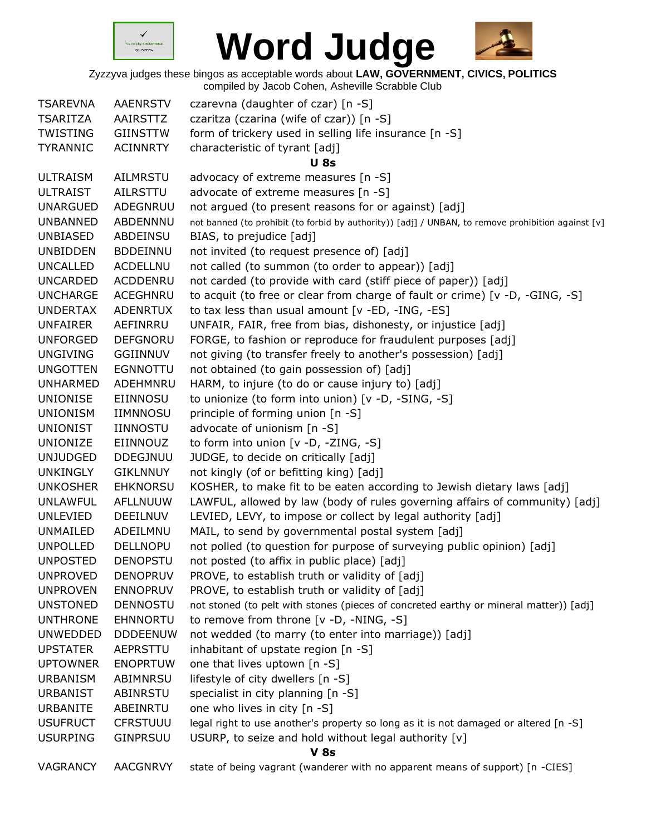



| <b>TSAREVNA</b>                    | <b>AAENRSTV</b>                    | czarevna (daughter of czar) [n -S]                                                                                          |
|------------------------------------|------------------------------------|-----------------------------------------------------------------------------------------------------------------------------|
| <b>TSARITZA</b>                    | AAIRSTTZ                           | czaritza (czarina (wife of czar)) [n -S]                                                                                    |
| <b>TWISTING</b>                    | <b>GIINSTTW</b>                    | form of trickery used in selling life insurance [n -S]                                                                      |
| <b>TYRANNIC</b>                    | <b>ACINNRTY</b>                    | characteristic of tyrant [adj]                                                                                              |
|                                    |                                    | <b>U</b> 8s                                                                                                                 |
| <b>ULTRAISM</b>                    | AILMRSTU                           | advocacy of extreme measures [n -S]                                                                                         |
| <b>ULTRAIST</b>                    | AILRSTTU                           | advocate of extreme measures [n -S]                                                                                         |
| <b>UNARGUED</b>                    | ADEGNRUU                           | not argued (to present reasons for or against) [adj]                                                                        |
| <b>UNBANNED</b>                    | ABDENNNU                           | not banned (to prohibit (to forbid by authority)) [adj] / UNBAN, to remove prohibition against [v]                          |
| <b>UNBIASED</b>                    | ABDEINSU                           | BIAS, to prejudice [adj]                                                                                                    |
| <b>UNBIDDEN</b>                    | <b>BDDEINNU</b>                    | not invited (to request presence of) [adj]                                                                                  |
| <b>UNCALLED</b>                    | ACDELLNU                           | not called (to summon (to order to appear)) [adj]                                                                           |
| <b>UNCARDED</b>                    | <b>ACDDENRU</b>                    | not carded (to provide with card (stiff piece of paper)) [adj]                                                              |
| <b>UNCHARGE</b>                    | ACEGHNRU                           | to acquit (to free or clear from charge of fault or crime) [v -D, -GING, -S]                                                |
| <b>UNDERTAX</b>                    | <b>ADENRTUX</b>                    | to tax less than usual amount [v -ED, -ING, -ES]                                                                            |
| <b>UNFAIRER</b>                    | AEFINRRU                           | UNFAIR, FAIR, free from bias, dishonesty, or injustice [adj]                                                                |
| <b>UNFORGED</b>                    | <b>DEFGNORU</b>                    | FORGE, to fashion or reproduce for fraudulent purposes [adj]                                                                |
| <b>UNGIVING</b>                    | GGIINNUV                           | not giving (to transfer freely to another's possession) [adj]                                                               |
| <b>UNGOTTEN</b>                    | <b>EGNNOTTU</b>                    | not obtained (to gain possession of) [adj]                                                                                  |
| <b>UNHARMED</b>                    | ADEHMNRU                           | HARM, to injure (to do or cause injury to) [adj]                                                                            |
| <b>UNIONISE</b>                    | EIINNOSU                           | to unionize (to form into union) [v -D, -SING, -S]                                                                          |
| <b>UNIONISM</b>                    | <b>IIMNNOSU</b>                    | principle of forming union [n -S]                                                                                           |
| <b>UNIONIST</b>                    | <b>IINNOSTU</b>                    | advocate of unionism [n -S]                                                                                                 |
| <b>UNIONIZE</b>                    | EIINNOUZ                           | to form into union [v -D, -ZING, -S]                                                                                        |
| <b>UNJUDGED</b>                    | <b>DDEGJNUU</b>                    | JUDGE, to decide on critically [adj]                                                                                        |
| <b>UNKINGLY</b>                    | <b>GIKLNNUY</b>                    | not kingly (of or befitting king) [adj]                                                                                     |
| <b>UNKOSHER</b>                    | <b>EHKNORSU</b>                    | KOSHER, to make fit to be eaten according to Jewish dietary laws [adj]                                                      |
| <b>UNLAWFUL</b>                    | <b>AFLLNUUW</b>                    | LAWFUL, allowed by law (body of rules governing affairs of community) [adj]                                                 |
| <b>UNLEVIED</b>                    | <b>DEEILNUV</b>                    |                                                                                                                             |
| <b>UNMAILED</b>                    | ADEILMNU                           | LEVIED, LEVY, to impose or collect by legal authority [adj]                                                                 |
|                                    | <b>DELLNOPU</b>                    | MAIL, to send by governmental postal system [adj]<br>not polled (to question for purpose of surveying public opinion) [adj] |
| <b>UNPOLLED</b><br><b>UNPOSTED</b> | <b>DENOPSTU</b>                    | not posted (to affix in public place) [adj]                                                                                 |
| <b>UNPROVED</b>                    |                                    |                                                                                                                             |
| <b>UNPROVEN</b>                    | <b>DENOPRUV</b><br><b>ENNOPRUV</b> | PROVE, to establish truth or validity of [adj]                                                                              |
| <b>UNSTONED</b>                    | <b>DENNOSTU</b>                    | PROVE, to establish truth or validity of [adj]                                                                              |
| <b>UNTHRONE</b>                    | <b>EHNNORTU</b>                    | not stoned (to pelt with stones (pieces of concreted earthy or mineral matter)) [adj]                                       |
| <b>UNWEDDED</b>                    |                                    | to remove from throne [v -D, -NING, -S]                                                                                     |
|                                    | <b>DDDEENUW</b>                    | not wedded (to marry (to enter into marriage)) [adj]                                                                        |
| <b>UPSTATER</b>                    | <b>AEPRSTTU</b>                    | inhabitant of upstate region [n -S]                                                                                         |
| <b>UPTOWNER</b>                    | <b>ENOPRTUW</b>                    | one that lives uptown [n -S]                                                                                                |
| <b>URBANISM</b>                    | ABIMNRSU                           | lifestyle of city dwellers [n -S]                                                                                           |
| <b>URBANIST</b>                    | ABINRSTU                           | specialist in city planning [n -S]                                                                                          |
| <b>URBANITE</b>                    | ABEINRTU                           | one who lives in city [n -S]                                                                                                |
| <b>USUFRUCT</b>                    | <b>CFRSTUUU</b>                    | legal right to use another's property so long as it is not damaged or altered [n -S]                                        |
| <b>USURPING</b>                    | <b>GINPRSUU</b>                    | USURP, to seize and hold without legal authority [v]                                                                        |
|                                    |                                    | <b>V 8s</b>                                                                                                                 |
| VAGRANCY                           | <b>AACGNRVY</b>                    | state of being vagrant (wanderer with no apparent means of support) [n -CIES]                                               |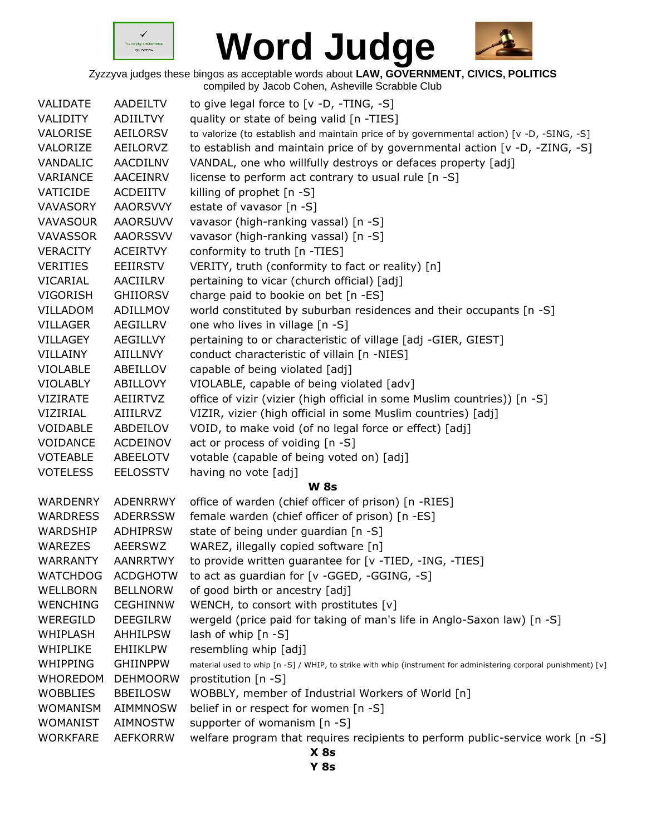



Zyzzyva judges these bingos as acceptable words about **LAW, GOVERNMENT, CIVICS, POLITICS** compiled by Jacob Cohen, Asheville Scrabble Club

| VALIDATE        | AADEILTV        | to give legal force to [v -D, -TING, -S]                                                                        |
|-----------------|-----------------|-----------------------------------------------------------------------------------------------------------------|
| VALIDITY        | <b>ADIILTVY</b> | quality or state of being valid [n -TIES]                                                                       |
| VALORISE        | AEILORSV        | to valorize (to establish and maintain price of by governmental action) [v -D, -SING, -S]                       |
| VALORIZE        | AEILORVZ        | to establish and maintain price of by governmental action [v -D, -ZING, -S]                                     |
| VANDALIC        | AACDILNV        | VANDAL, one who willfully destroys or defaces property [adj]                                                    |
| VARIANCE        | AACEINRV        | license to perform act contrary to usual rule [n -S]                                                            |
| VATICIDE        | <b>ACDEIITV</b> | killing of prophet [n -S]                                                                                       |
| <b>VAVASORY</b> | <b>AAORSVVY</b> | estate of vavasor [n -S]                                                                                        |
| <b>VAVASOUR</b> | <b>AAORSUVV</b> | vavasor (high-ranking vassal) [n -S]                                                                            |
| <b>VAVASSOR</b> | <b>AAORSSVV</b> | vavasor (high-ranking vassal) [n -S]                                                                            |
| <b>VERACITY</b> | <b>ACEIRTVY</b> | conformity to truth [n -TIES]                                                                                   |
| <b>VERITIES</b> | EEIIRSTV        | VERITY, truth (conformity to fact or reality) [n]                                                               |
| VICARIAL        | AACIILRV        | pertaining to vicar (church official) [adj]                                                                     |
| <b>VIGORISH</b> | <b>GHIIORSV</b> | charge paid to bookie on bet [n -ES]                                                                            |
| VILLADOM        | ADILLMOV        | world constituted by suburban residences and their occupants [n -S]                                             |
| <b>VILLAGER</b> | <b>AEGILLRV</b> | one who lives in village [n -S]                                                                                 |
| <b>VILLAGEY</b> | <b>AEGILLVY</b> | pertaining to or characteristic of village [adj -GIER, GIEST]                                                   |
| VILLAINY        | AIILLNVY        | conduct characteristic of villain [n -NIES]                                                                     |
| <b>VIOLABLE</b> | ABEILLOV        | capable of being violated [adj]                                                                                 |
| <b>VIOLABLY</b> | ABILLOVY        | VIOLABLE, capable of being violated [adv]                                                                       |
| <b>VIZIRATE</b> | AEIIRTVZ        | office of vizir (vizier (high official in some Muslim countries)) [n -S]                                        |
| VIZIRIAL        | AIIILRVZ        | VIZIR, vizier (high official in some Muslim countries) [adj]                                                    |
| VOIDABLE        | ABDEILOV        | VOID, to make void (of no legal force or effect) [adj]                                                          |
| VOIDANCE        | ACDEINOV        | act or process of voiding [n -S]                                                                                |
| <b>VOTEABLE</b> | ABEELOTV        | votable (capable of being voted on) [adj]                                                                       |
| <b>VOTELESS</b> | <b>EELOSSTV</b> | having no vote [adj]                                                                                            |
|                 |                 | <b>W 8s</b>                                                                                                     |
| WARDENRY        | ADENRRWY        | office of warden (chief officer of prison) [n -RIES]                                                            |
| <b>WARDRESS</b> | <b>ADERRSSW</b> | female warden (chief officer of prison) [n -ES]                                                                 |
| WARDSHIP        | <b>ADHIPRSW</b> | state of being under guardian [n -S]                                                                            |
| WAREZES         | <b>AEERSWZ</b>  | WAREZ, illegally copied software [n]                                                                            |
| <b>WARRANTY</b> | AANRRTWY        | to provide written guarantee for [v -TIED, -ING, -TIES]                                                         |
| <b>WATCHDOG</b> | <b>ACDGHOTW</b> | to act as guardian for [v -GGED, -GGING, -S]                                                                    |
| WELLBORN        | <b>BELLNORW</b> | of good birth or ancestry [adj]                                                                                 |
| <b>WENCHING</b> | <b>CEGHINNW</b> | WENCH, to consort with prostitutes [v]                                                                          |
| WEREGILD        | <b>DEEGILRW</b> | wergeld (price paid for taking of man's life in Anglo-Saxon law) [n -S]                                         |
| WHIPLASH        | <b>AHHILPSW</b> | lash of whip [n -S]                                                                                             |
| WHIPLIKE        | <b>EHIIKLPW</b> | resembling whip [adj]                                                                                           |
| WHIPPING        | <b>GHIINPPW</b> | material used to whip [n -S] / WHIP, to strike with whip (instrument for administering corporal punishment) [v] |
| <b>WHOREDOM</b> | <b>DEHMOORW</b> | prostitution [n -S]                                                                                             |
| <b>WOBBLIES</b> | <b>BBEILOSW</b> | WOBBLY, member of Industrial Workers of World [n]                                                               |
| <b>WOMANISM</b> | <b>AIMMNOSW</b> | belief in or respect for women [n -S]                                                                           |
| <b>WOMANIST</b> | <b>AIMNOSTW</b> | supporter of womanism [n -S]                                                                                    |
| <b>WORKFARE</b> | <b>AEFKORRW</b> | welfare program that requires recipients to perform public-service work [n -S]                                  |
|                 |                 | $X$ 8s                                                                                                          |

**Y 8s**